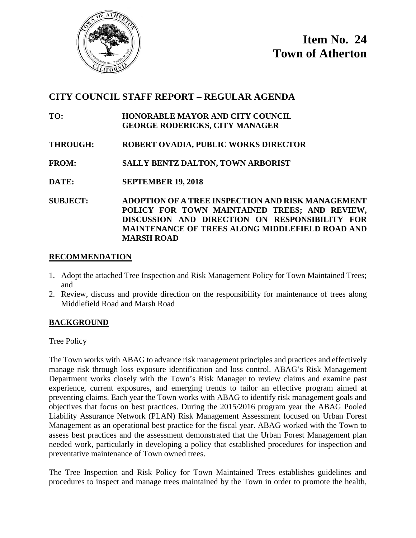

# **CITY COUNCIL STAFF REPORT – REGULAR AGENDA**

- **TO: HONORABLE MAYOR AND CITY COUNCIL GEORGE RODERICKS, CITY MANAGER**
- **THROUGH: ROBERT OVADIA, PUBLIC WORKS DIRECTOR**
- **FROM: SALLY BENTZ DALTON, TOWN ARBORIST**
- **DATE: SEPTEMBER 19, 2018**

**SUBJECT: ADOPTION OF A TREE INSPECTION AND RISK MANAGEMENT POLICY FOR TOWN MAINTAINED TREES; AND REVIEW, DISCUSSION AND DIRECTION ON RESPONSIBILITY FOR MAINTENANCE OF TREES ALONG MIDDLEFIELD ROAD AND MARSH ROAD**

#### **RECOMMENDATION**

- 1. Adopt the attached Tree Inspection and Risk Management Policy for Town Maintained Trees; and
- 2. Review, discuss and provide direction on the responsibility for maintenance of trees along Middlefield Road and Marsh Road

## **BACKGROUND**

#### Tree Policy

The Town works with ABAG to advance risk management principles and practices and effectively manage risk through loss exposure identification and loss control. ABAG's Risk Management Department works closely with the Town's Risk Manager to review claims and examine past experience, current exposures, and emerging trends to tailor an effective program aimed at preventing claims. Each year the Town works with ABAG to identify risk management goals and objectives that focus on best practices. During the 2015/2016 program year the ABAG Pooled Liability Assurance Network (PLAN) Risk Management Assessment focused on Urban Forest Management as an operational best practice for the fiscal year. ABAG worked with the Town to assess best practices and the assessment demonstrated that the Urban Forest Management plan needed work, particularly in developing a policy that established procedures for inspection and preventative maintenance of Town owned trees.

The Tree Inspection and Risk Policy for Town Maintained Trees establishes guidelines and procedures to inspect and manage trees maintained by the Town in order to promote the health,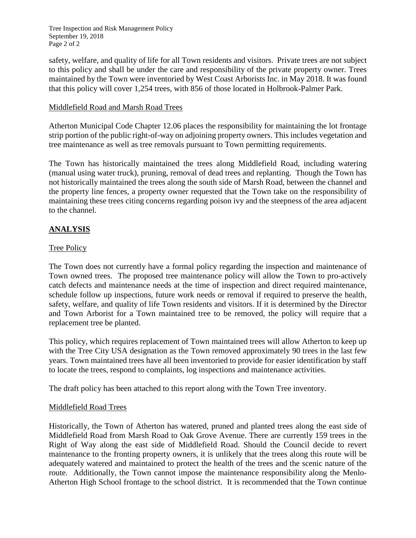Tree Inspection and Risk Management Policy September 19, 2018 Page 2 of 2

safety, welfare, and quality of life for all Town residents and visitors. Private trees are not subject to this policy and shall be under the care and responsibility of the private property owner. Trees maintained by the Town were inventoried by West Coast Arborists Inc. in May 2018. It was found that this policy will cover 1,254 trees, with 856 of those located in Holbrook-Palmer Park.

#### Middlefield Road and Marsh Road Trees

Atherton Municipal Code Chapter 12.06 places the responsibility for maintaining the lot frontage strip portion of the public right-of-way on adjoining property owners. This includes vegetation and tree maintenance as well as tree removals pursuant to Town permitting requirements.

The Town has historically maintained the trees along Middlefield Road, including watering (manual using water truck), pruning, removal of dead trees and replanting. Though the Town has not historically maintained the trees along the south side of Marsh Road, between the channel and the property line fences, a property owner requested that the Town take on the responsibility of maintaining these trees citing concerns regarding poison ivy and the steepness of the area adjacent to the channel.

## **ANALYSIS**

#### Tree Policy

The Town does not currently have a formal policy regarding the inspection and maintenance of Town owned trees. The proposed tree maintenance policy will allow the Town to pro-actively catch defects and maintenance needs at the time of inspection and direct required maintenance, schedule follow up inspections, future work needs or removal if required to preserve the health, safety, welfare, and quality of life Town residents and visitors. If it is determined by the Director and Town Arborist for a Town maintained tree to be removed, the policy will require that a replacement tree be planted.

This policy, which requires replacement of Town maintained trees will allow Atherton to keep up with the Tree City USA designation as the Town removed approximately 90 trees in the last few years. Town maintained trees have all been inventoried to provide for easier identification by staff to locate the trees, respond to complaints, log inspections and maintenance activities.

The draft policy has been attached to this report along with the Town Tree inventory.

#### Middlefield Road Trees

Historically, the Town of Atherton has watered, pruned and planted trees along the east side of Middlefield Road from Marsh Road to Oak Grove Avenue. There are currently 159 trees in the Right of Way along the east side of Middlefield Road. Should the Council decide to revert maintenance to the fronting property owners, it is unlikely that the trees along this route will be adequately watered and maintained to protect the health of the trees and the scenic nature of the route. Additionally, the Town cannot impose the maintenance responsibility along the Menlo-Atherton High School frontage to the school district. It is recommended that the Town continue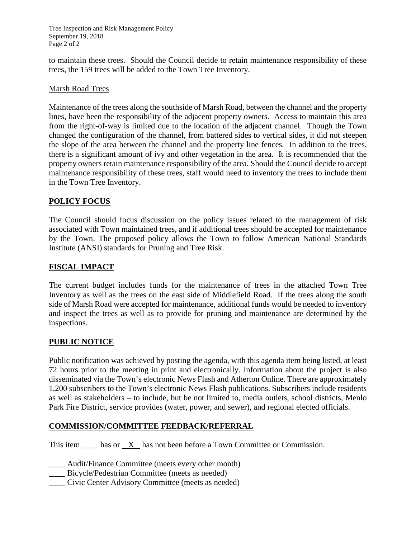Tree Inspection and Risk Management Policy September 19, 2018 Page 2 of 2

to maintain these trees. Should the Council decide to retain maintenance responsibility of these trees, the 159 trees will be added to the Town Tree Inventory.

#### Marsh Road Trees

Maintenance of the trees along the southside of Marsh Road, between the channel and the property lines, have been the responsibility of the adjacent property owners. Access to maintain this area from the right-of-way is limited due to the location of the adjacent channel. Though the Town changed the configuration of the channel, from battered sides to vertical sides, it did not steepen the slope of the area between the channel and the property line fences. In addition to the trees, there is a significant amount of ivy and other vegetation in the area. It is recommended that the property owners retain maintenance responsibility of the area. Should the Council decide to accept maintenance responsibility of these trees, staff would need to inventory the trees to include them in the Town Tree Inventory.

#### **POLICY FOCUS**

The Council should focus discussion on the policy issues related to the management of risk associated with Town maintained trees, and if additional trees should be accepted for maintenance by the Town. The proposed policy allows the Town to follow American National Standards Institute (ANSI) standards for Pruning and Tree Risk.

#### **FISCAL IMPACT**

The current budget includes funds for the maintenance of trees in the attached Town Tree Inventory as well as the trees on the east side of Middlefield Road. If the trees along the south side of Marsh Road were accepted for maintenance, additional funds would be needed to inventory and inspect the trees as well as to provide for pruning and maintenance are determined by the inspections.

## **PUBLIC NOTICE**

Public notification was achieved by posting the agenda, with this agenda item being listed, at least 72 hours prior to the meeting in print and electronically. Information about the project is also disseminated via the Town's electronic News Flash and Atherton Online. There are approximately 1,200 subscribers to the Town's electronic News Flash publications. Subscribers include residents as well as stakeholders – to include, but be not limited to, media outlets, school districts, Menlo Park Fire District, service provides (water, power, and sewer), and regional elected officials.

#### **COMMISSION/COMMITTEE FEEDBACK/REFERRAL**

This item has or X has not been before a Town Committee or Commission.

Audit/Finance Committee (meets every other month)

\_\_\_\_ Bicycle/Pedestrian Committee (meets as needed)

\_\_\_\_ Civic Center Advisory Committee (meets as needed)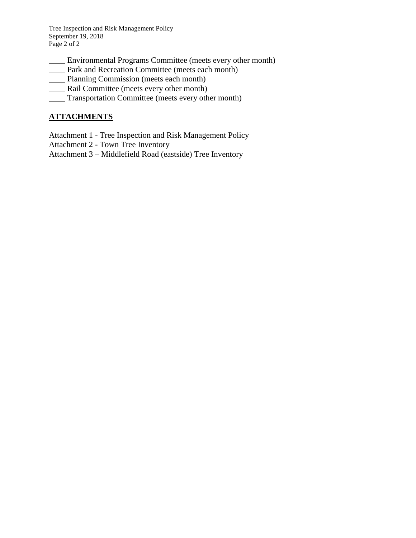Tree Inspection and Risk Management Policy September 19, 2018 Page 2 of 2

- \_\_\_\_ Environmental Programs Committee (meets every other month)
- \_\_\_\_ Park and Recreation Committee (meets each month)
- \_\_\_\_ Planning Commission (meets each month)
- \_\_\_\_ Rail Committee (meets every other month)
- \_\_\_\_ Transportation Committee (meets every other month)

#### **ATTACHMENTS**

Attachment 1 - Tree Inspection and Risk Management Policy

Attachment 2 - Town Tree Inventory

Attachment 3 – Middlefield Road (eastside) Tree Inventory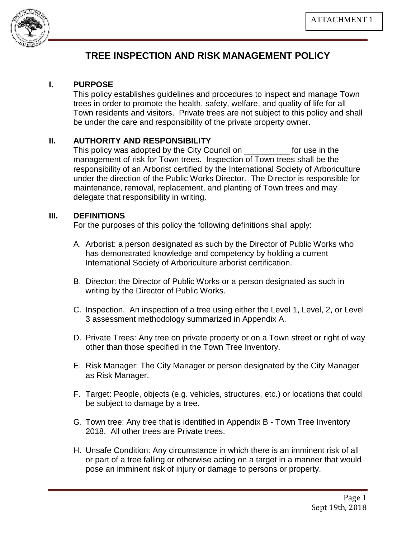

# **TREE INSPECTION AND RISK MANAGEMENT POLICY**

#### **I. PURPOSE**

This policy establishes guidelines and procedures to inspect and manage Town trees in order to promote the health, safety, welfare, and quality of life for all Town residents and visitors. Private trees are not subject to this policy and shall be under the care and responsibility of the private property owner.

## **II. AUTHORITY AND RESPONSIBILITY**

This policy was adopted by the City Council on This policy was adopted by the City Council on management of risk for Town trees. Inspection of Town trees shall be the responsibility of an Arborist certified by the International Society of Arboriculture under the direction of the Public Works Director. The Director is responsible for maintenance, removal, replacement, and planting of Town trees and may delegate that responsibility in writing.

#### **III. DEFINITIONS**

For the purposes of this policy the following definitions shall apply:

- A. Arborist: a person designated as such by the Director of Public Works who has demonstrated knowledge and competency by holding a current International Society of Arboriculture arborist certification.
- B. Director: the Director of Public Works or a person designated as such in writing by the Director of Public Works.
- C. Inspection. An inspection of a tree using either the Level 1, Level, 2, or Level 3 assessment methodology summarized in Appendix A.
- D. Private Trees: Any tree on private property or on a Town street or right of way other than those specified in the Town Tree Inventory.
- E. Risk Manager: The City Manager or person designated by the City Manager as Risk Manager.
- F. Target: People, objects (e.g. vehicles, structures, etc.) or locations that could be subject to damage by a tree.
- G. Town tree: Any tree that is identified in Appendix B Town Tree Inventory 2018. All other trees are Private trees.
- H. Unsafe Condition: Any circumstance in which there is an imminent risk of all or part of a tree falling or otherwise acting on a target in a manner that would pose an imminent risk of injury or damage to persons or property.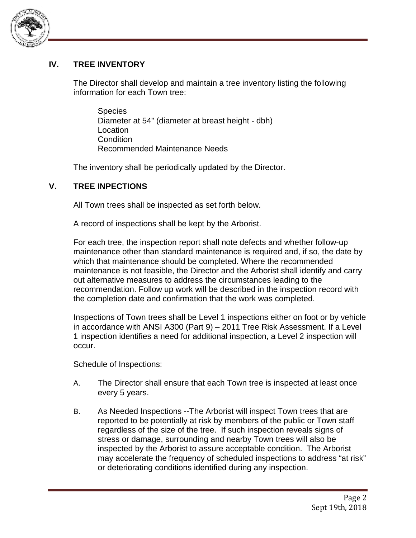

## **IV. TREE INVENTORY**

The Director shall develop and maintain a tree inventory listing the following information for each Town tree:

Species Diameter at 54" (diameter at breast height - dbh) Location Condition Recommended Maintenance Needs

The inventory shall be periodically updated by the Director.

# **V. TREE INPECTIONS**

All Town trees shall be inspected as set forth below.

A record of inspections shall be kept by the Arborist.

For each tree, the inspection report shall note defects and whether follow-up maintenance other than standard maintenance is required and, if so, the date by which that maintenance should be completed. Where the recommended maintenance is not feasible, the Director and the Arborist shall identify and carry out alternative measures to address the circumstances leading to the recommendation. Follow up work will be described in the inspection record with the completion date and confirmation that the work was completed.

Inspections of Town trees shall be Level 1 inspections either on foot or by vehicle in accordance with ANSI A300 (Part 9) – 2011 Tree Risk Assessment. If a Level 1 inspection identifies a need for additional inspection, a Level 2 inspection will occur.

Schedule of Inspections:

- A. The Director shall ensure that each Town tree is inspected at least once every 5 years.
- B. As Needed Inspections --The Arborist will inspect Town trees that are reported to be potentially at risk by members of the public or Town staff regardless of the size of the tree. If such inspection reveals signs of stress or damage, surrounding and nearby Town trees will also be inspected by the Arborist to assure acceptable condition. The Arborist may accelerate the frequency of scheduled inspections to address "at risk" or deteriorating conditions identified during any inspection.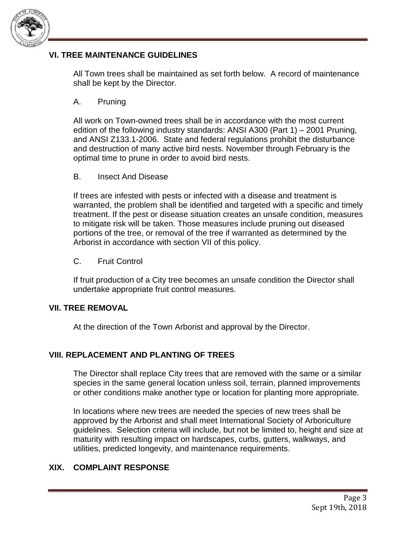

## **VI. TREE MAINTENANCE GUIDELINES**

All Town trees shall be maintained as set forth below. A record of maintenance shall be kept by the Director.

## A. Pruning

All work on Town-owned trees shall be in accordance with the most current edition of the following industry standards: ANSI A300 (Part 1) – 2001 Pruning, and ANSI Z133.1-2006. State and federal regulations prohibit the disturbance and destruction of many active bird nests. November through February is the optimal time to prune in order to avoid bird nests.

## B. Insect And Disease

If trees are infested with pests or infected with a disease and treatment is warranted, the problem shall be identified and targeted with a specific and timely treatment. If the pest or disease situation creates an unsafe condition, measures to mitigate risk will be taken. Those measures include pruning out diseased portions of the tree, or removal of the tree if warranted as determined by the Arborist in accordance with section VII of this policy.

## C. Fruit Control

If fruit production of a City tree becomes an unsafe condition the Director shall undertake appropriate fruit control measures.

## **VII. TREE REMOVAL**

At the direction of the Town Arborist and approval by the Director.

## **VIII. REPLACEMENT AND PLANTING OF TREES**

The Director shall replace City trees that are removed with the same or a similar species in the same general location unless soil, terrain, planned improvements or other conditions make another type or location for planting more appropriate.

In locations where new trees are needed the species of new trees shall be approved by the Arborist and shall meet International Society of Arboriculture guidelines. Selection criteria will include, but not be limited to, height and size at maturity with resulting impact on hardscapes, curbs, gutters, walkways, and utilities, predicted longevity, and maintenance requirements.

## **XIX. COMPLAINT RESPONSE**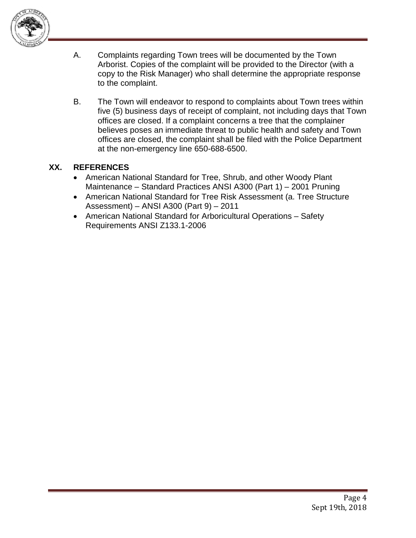

- A. Complaints regarding Town trees will be documented by the Town Arborist. Copies of the complaint will be provided to the Director (with a copy to the Risk Manager) who shall determine the appropriate response to the complaint.
- B. The Town will endeavor to respond to complaints about Town trees within five (5) business days of receipt of complaint, not including days that Town offices are closed. If a complaint concerns a tree that the complainer believes poses an immediate threat to public health and safety and Town offices are closed, the complaint shall be filed with the Police Department at the non-emergency line 650-688-6500.

## **XX. REFERENCES**

- American National Standard for Tree, Shrub, and other Woody Plant Maintenance – Standard Practices ANSI A300 (Part 1) – 2001 Pruning
- American National Standard for Tree Risk Assessment (a. Tree Structure Assessment) – ANSI A300 (Part 9) – 2011
- American National Standard for Arboricultural Operations Safety Requirements ANSI Z133.1-2006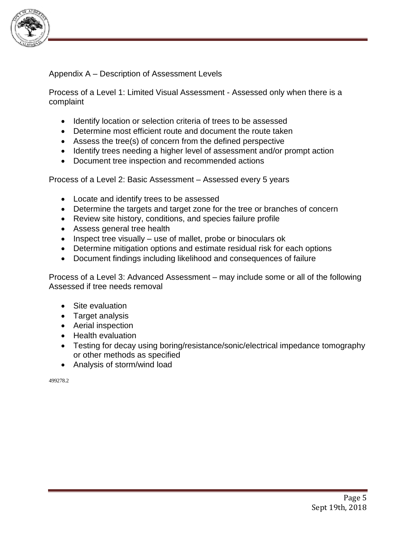

Appendix A – Description of Assessment Levels

Process of a Level 1: Limited Visual Assessment - Assessed only when there is a complaint

- Identify location or selection criteria of trees to be assessed
- Determine most efficient route and document the route taken
- Assess the tree(s) of concern from the defined perspective
- Identify trees needing a higher level of assessment and/or prompt action
- Document tree inspection and recommended actions

Process of a Level 2: Basic Assessment – Assessed every 5 years

- Locate and identify trees to be assessed
- Determine the targets and target zone for the tree or branches of concern
- Review site history, conditions, and species failure profile
- Assess general tree health
- Inspect tree visually use of mallet, probe or binoculars ok
- Determine mitigation options and estimate residual risk for each options
- Document findings including likelihood and consequences of failure

Process of a Level 3: Advanced Assessment – may include some or all of the following Assessed if tree needs removal

- Site evaluation
- Target analysis
- Aerial inspection
- Health evaluation
- Testing for decay using boring/resistance/sonic/electrical impedance tomography or other methods as specified
- Analysis of storm/wind load

499278.2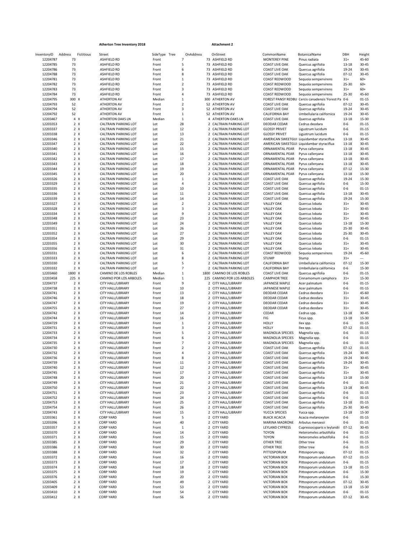|                      |                          | <b>Atherton Tree Inventory 2018</b>                        |                |                            |                | <b>Attachment 2</b>                              |                                                |                                                      |                      |                          |
|----------------------|--------------------------|------------------------------------------------------------|----------------|----------------------------|----------------|--------------------------------------------------|------------------------------------------------|------------------------------------------------------|----------------------|--------------------------|
| InventoryID          | Address<br>Fictitious    | Street                                                     | SideType Tree  |                            | OnAddress      | OnStreet                                         | CommonName                                     | BotanicalName                                        | DBH                  | Height                   |
| 12204787             | 73                       | ASHFIELD RD                                                | Front          |                            | 7              | 73 ASHFIELD RD                                   | <b>MONTEREY PINE</b>                           | Pinus radiata                                        | $31+$                | 45-60                    |
| 12204785             | 73                       | <b>ASHFIELD RD</b>                                         | Front          |                            | 5              | 73 ASHFIELD RD                                   | <b>COAST LIVE OAK</b>                          | Quercus agrifolia                                    | 13-18                | 30-45                    |
| 12204786<br>12204788 | 73<br>73                 | <b>ASHFIELD RD</b><br><b>ASHFIELD RD</b>                   | Front<br>Front |                            | 6<br>8         | 73 ASHFIELD RD<br>73 ASHFIELD RD                 | <b>COAST LIVE OAK</b><br><b>COAST LIVE OAK</b> | Quercus agrifolia<br>Quercus agrifolia               | 19-24<br>$07 - 12$   | $30 - 45$<br>$30 - 45$   |
| 12204781             | 73                       | ASHFIELD RD                                                | Front          |                            | $\mathbf{1}$   | 73 ASHFIELD RD                                   | COAST REDWOOD                                  | Sequoia sempervirens                                 | $31+$                | $60+$                    |
| 12204782             | 73                       | ASHFIELD RD                                                | Front          |                            | $\overline{2}$ | 73 ASHFIELD RD                                   | COAST REDWOOD                                  | Sequoia sempervirens                                 | 25-30                | $60+$                    |
| 12204783             | 73                       | <b>ASHFIELD RD</b>                                         | Front          |                            | 3              | 73 ASHFIELD RD                                   | COAST REDWOOD                                  | Sequoia sempervirens                                 | $31+$                | $60+$                    |
| 12204784             | 73                       | <b>ASHFIELD RD</b>                                         | Front          |                            | 4              | 73 ASHFIELD RD                                   | COAST REDWOOD                                  | Sequoia sempervirens                                 | 25-30                | 45-60                    |
| 12204795             | 300 X                    | <b>ATHERTON AV</b>                                         | Median         |                            | $\mathbf{1}$   | 300 ATHERTON AV                                  |                                                | FOREST PANSY REDBU Cercis canadensis 'Forest Pai 0-6 |                      | $01 - 15$                |
| 12204793             | 52                       | ATHERTON AV                                                | Front          |                            | $\overline{2}$ | 52 ATHERTON AV                                   | <b>COAST LIVE OAK</b>                          | Quercus agrifolia                                    | $07 - 12$            | 30-45                    |
| 12204794             | 52                       | ATHERTON AV                                                | Front          |                            | 3              | 52 ATHERTON AV                                   | <b>COAST LIVE OAK</b>                          | Quercus agrifolia                                    | 19-24                | $30 - 45$                |
| 12204792             | 52                       | ATHERTON AV                                                | Front          | $\mathbf{1}$               |                | 52 ATHERTON AV                                   | CALIFORNIA BAY                                 | Umbellularia californica                             | 19-24                | $30 - 45$                |
| 12203467             | 4 X<br>$2 \times$        | ATHERTON OAKS LN                                           | Median         | $\mathbf{1}$<br>28         |                | 4 ATHERTON OAKS LN                               | <b>COAST LIVE OAK</b><br>DEODAR CEDAR          | Quercus agrifolia<br>Cedrus deodara                  | $13 - 18$<br>$0 - 6$ | 15-30<br>$01 - 15$       |
| 12203353<br>12203337 | $2 \times$               | CALTRAIN PARKING LOT<br><b>CALTRAIN PARKING LOT</b>        | Lot<br>Lot     | 12                         |                | 2 CALTRAIN PARKING LOT<br>2 CALTRAIN PARKING LOT | <b>GLOSSY PRIVET</b>                           | Ligustrum lucidum                                    | $0 - 6$              | $01 - 15$                |
| 12203338             | $2 \times$               | CALTRAIN PARKING LOT                                       | Lot            | 13                         |                | 2 CALTRAIN PARKING LOT                           | <b>GLOSSY PRIVET</b>                           | Ligustrum lucidum                                    | $0 - 6$              | $01 - 15$                |
| 12203346             | $2 \times$               | CALTRAIN PARKING LOT                                       | Lot            | 21                         |                | 2 CALTRAIN PARKING LOT                           |                                                | AMERICAN SWEETGUI Liquidambar styraciflua            | $13 - 18$            | $30 - 45$                |
| 12203347             | 2 X                      | <b>CALTRAIN PARKING LOT</b>                                | Lot            | 22                         |                | 2 CALTRAIN PARKING LOT                           |                                                | AMERICAN SWEETGUI Liquidambar styraciflua            | 13-18                | $30 - 45$                |
| 12203340             | $2 \times$               | <b>CALTRAIN PARKING LOT</b>                                | Lot            | 15                         |                | 2 CALTRAIN PARKING LOT                           | ORNAMENTAL PEAR                                | Pyrus calleryana                                     | 13-18                | 30-45                    |
| 12203341             | $2 \times$               | <b>CALTRAIN PARKING LOT</b>                                | Lot            | 16                         |                | 2 CALTRAIN PARKING LOT                           | ORNAMENTAL PEAR                                | Pyrus calleryana                                     | 13-18                | $30 - 45$                |
| 12203342             | 2 X                      | <b>CALTRAIN PARKING LOT</b>                                | Lot            | 17                         |                | 2 CALTRAIN PARKING LOT                           | ORNAMENTAL PEAR                                | Pyrus calleryana                                     | 13-18                | $30 - 45$                |
| 12203343             | 2 X                      | <b>CALTRAIN PARKING LOT</b>                                | Lot            | 18                         |                | 2 CALTRAIN PARKING LOT                           | ORNAMENTAL PEAR                                | Pyrus calleryana                                     | 13-18                | $30 - 45$                |
| 12203344             | $2 \times$               | <b>CALTRAIN PARKING LOT</b>                                | Lot            | 19                         |                | 2 CALTRAIN PARKING LOT                           | ORNAMENTAL PEAR                                | Pyrus calleryana                                     | $07 - 12$            | 15-30                    |
| 12203345             | $2 \times$               | <b>CALTRAIN PARKING LOT</b>                                | Lot            | 20                         |                | 2 CALTRAIN PARKING LOT                           | ORNAMENTAL PEAR                                | Pyrus calleryana                                     | 13-18                | 15-30                    |
| 12203326             | $2 \times$<br>$2 \times$ | CALTRAIN PARKING LOT                                       | Lot            | $\mathbf{1}$<br>$\sqrt{4}$ |                | 2 CALTRAIN PARKING LOT                           | <b>COAST LIVE OAK</b><br><b>COAST LIVE OAK</b> | Quercus agrifolia                                    | 19-24<br>$0 - 6$     | 15-30<br>15-30           |
| 12203329<br>12203335 | $2 \times$               | CALTRAIN PARKING LOT<br><b>CALTRAIN PARKING LOT</b>        | Lot<br>Lot     | 10                         |                | 2 CALTRAIN PARKING LOT<br>2 CALTRAIN PARKING LOT | <b>COAST LIVE OAK</b>                          | Quercus agrifolia<br>Quercus agrifolia               | $0 - 6$              | $01 - 15$                |
| 12203336             | $2 \times$               | <b>CALTRAIN PARKING LOT</b>                                | Lot            | 11                         |                | 2 CALTRAIN PARKING LOT                           | <b>COAST LIVE OAK</b>                          | Quercus agrifolia                                    | 13-18                | 30-45                    |
| 12203339             | 2 X                      | <b>CALTRAIN PARKING LOT</b>                                | Lot            | 14                         |                | 2 CALTRAIN PARKING LOT                           | <b>COAST LIVE OAK</b>                          | Quercus agrifolia                                    | 19-24                | 15-30                    |
| 12203327             | 2 X                      | <b>CALTRAIN PARKING LOT</b>                                | Lot            |                            | $\overline{2}$ | 2 CALTRAIN PARKING LOT                           | <b>VALLEY OAK</b>                              | Quercus lobata                                       | $31+$                | $30 - 45$                |
| 12203328             | $2 \times$               | <b>CALTRAIN PARKING LOT</b>                                | Lot            |                            | 3              | 2 CALTRAIN PARKING LOT                           | <b>VALLEY OAK</b>                              | Quercus lobata                                       | $31+$                | $30 - 45$                |
| 12203334             | $2 \times$               | CALTRAIN PARKING LOT                                       | Lot            | 9                          |                | 2 CALTRAIN PARKING LOT                           | <b>VALLEY OAK</b>                              | Quercus lobata                                       | $31+$                | $30 - 45$                |
| 12203348             | $2 \times$               | <b>CALTRAIN PARKING LOT</b>                                | Lot            | 23                         |                | 2 CALTRAIN PARKING LOT                           | <b>VALLEY OAK</b>                              | Quercus lobata                                       | $31+$                | $30 - 45$                |
| 12203349             | $2 \times$               | CALTRAIN PARKING LOT                                       | Lot            | 24                         |                | 2 CALTRAIN PARKING LOT                           | <b>VALLEY OAK</b>                              | Quercus Iobata                                       | $13 - 18$            | 15-30                    |
| 12203351             | 2 X                      | <b>CALTRAIN PARKING LOT</b>                                | Lot            | 26                         |                | 2 CALTRAIN PARKING LOT                           | <b>VALLEY OAK</b>                              | Quercus Iobata                                       | 25-30                | $30 - 45$                |
| 12203352             | $2 \times$               | <b>CALTRAIN PARKING LOT</b>                                | Lot            | 27                         |                | 2 CALTRAIN PARKING LOT                           | <b>VALLEY OAK</b>                              | Quercus lobata                                       | 25-30                | $30 - 45$                |
| 12203354             | $2 \times$               | CALTRAIN PARKING LOT                                       | Lot            | 29                         |                | 2 CALTRAIN PARKING LOT                           | <b>VALLEY OAK</b>                              | Quercus lobata                                       | $0 - 6$              | $01 - 15$                |
| 12203355             | 2 X                      | <b>CALTRAIN PARKING LOT</b>                                | Lot            | 30<br>31                   |                | 2 CALTRAIN PARKING LOT                           | <b>VALLEY OAK</b>                              | Quercus lobata                                       | $31+$                | $30 - 45$                |
| 12203356<br>12203331 | 2 X<br>$2 \times$        | <b>CALTRAIN PARKING LOT</b><br><b>CALTRAIN PARKING LOT</b> | Lot<br>Lot     |                            | 6              | 2 CALTRAIN PARKING LOT<br>2 CALTRAIN PARKING LOT | <b>VALLEY OAK</b><br>COAST REDWOOD             | Quercus lobata<br>Sequoia sempervirens               | $31+$<br>19-24       | $30 - 45$<br>45-60       |
| 12203333             | $2 \times$               | CALTRAIN PARKING LOT                                       | Lot            |                            | 8              | 2 CALTRAIN PARKING LOT                           | <b>STUMP</b>                                   | Stump                                                | $31+$                | $\overline{\phantom{a}}$ |
| 12203330             | $2 \times$               | CALTRAIN PARKING LOT                                       | Lot            |                            | 5              | 2 CALTRAIN PARKING LOT                           | CALIFORNIA BAY                                 | Umbellularia californica                             | $07 - 12$            | 15-30                    |
| 12203332             | 2 X                      | CALTRAIN PARKING LOT                                       | Lot            |                            | $\overline{7}$ | 2 CALTRAIN PARKING LOT                           | CALIFORNIA BAY                                 | Umbellularia californica                             | $0 - 6$              | 15-30                    |
| 12203460             | 1800 X                   | CAMINO DE LOS ROBLES                                       | Median         |                            | $\mathbf{1}$   | 1800 CAMINO DE LOS ROBLES                        | <b>COAST LIVE OAK</b>                          | Quercus agrifolia                                    | $0 - 6$              | $01 - 15$                |
| 12203458             | 225 X                    | CAMINO POR LOS ARBOLES                                     | Median         |                            | $\mathbf 1$    | 225 CAMINO POR LOS ARBOLES                       | <b>CAMPHOR TREE</b>                            | Cinnamomum camphora                                  | $31+$                | 15-30                    |
| 12204737             | 2 X                      | CITY HALL/LIBRARY                                          | Front          |                            | 9              | 2 CITY HALL/LIBRARY                              | JAPANESE MAPLE                                 | Acer palmatum                                        | $0 - 6$              | $01 - 15$                |
| 12204738             | 2 X                      | CITY HALL/LIBRARY                                          | Front          | 10                         |                | 2 CITY HALL/LIBRARY                              | JAPANESE MAPLE                                 | Acer palmatum                                        | $0 - 6$              | $01 - 15$                |
| 12204741             | $2 \times$               | CITY HALL/LIBRARY                                          | Front          | 13                         |                | 2 CITY HALL/LIBRARY                              | DEODAR CEDAR                                   | Cedrus deodara                                       | $31+$                | 45-60                    |
| 12204746             | $2 \times$               | CITY HALL/LIBRARY                                          | Front          | 18                         |                | 2 CITY HALL/LIBRARY                              | DEODAR CEDAR                                   | Cedrus deodara                                       | $31+$                | $30 - 45$                |
| 12204747<br>12204755 | $2 \times$<br>$2 \times$ | CITY HALL/LIBRARY<br>CITY HALL/LIBRARY                     | Front<br>Front | 19<br>27                   |                | 2 CITY HALL/LIBRARY<br>2 CITY HALL/LIBRARY       | DEODAR CEDAR<br>DEODAR CEDAR                   | Cedrus deodara<br>Cedrus deodara                     | $31+$<br>$31+$       | $30 - 45$<br>$30 - 45$   |
| 12204742             | 2 X                      | CITY HALL/LIBRARY                                          | Front          | 14                         |                | 2 CITY HALL/LIBRARY                              | CEDAR                                          | Cedrus spp.                                          | 13-18                | $30 - 45$                |
| 12204744             | 2 X                      | CITY HALL/LIBRARY                                          | Front          | 16                         |                | 2 CITY HALL/LIBRARY                              | FIG                                            | Ficus spp.                                           | 13-18                | 15-30                    |
| 12204729             | 2 X                      | CITY HALL/LIBRARY                                          | Front          | $\mathbf 1$                |                | 2 CITY HALL/LIBRARY                              | HOLLY                                          | Ilex spp.                                            | $0-6$                | $01 - 15$                |
| 12204731             | 2 X                      | CITY HALL/LIBRARY                                          | Front          | 3                          |                | 2 CITY HALL/LIBRARY                              | HOLLY                                          | Ilex spp.                                            | $07 - 12$            | $01 - 15$                |
| 12204733             | 2 X                      | CITY HALL/LIBRARY                                          | Front          |                            | 5              | 2 CITY HALL/LIBRARY                              | MAGNOLIA SPECIES                               | Magnolia spp.                                        | $0 - 6$              | $01 - 15$                |
| 12204734             | $2 \times$               | CITY HALL/LIBRARY                                          | Front          |                            | 6              | 2 CITY HALL/LIBRARY                              | MAGNOLIA SPECIES                               | Magnolia spp.                                        | $0 - 6$              | $01 - 15$                |
| 12204735             | $2 \times$               | CITY HALL/LIBRARY                                          | Front          |                            | $\overline{7}$ | 2 CITY HALL/LIBRARY                              | MAGNOLIA SPECIES                               | Magnolia spp.                                        | $0 - 6$              | $01 - 15$                |
| 12204730             | $2 \times$               | CITY HALL/LIBRARY                                          | Front          |                            | 2              | 2 CITY HALL/LIBRARY                              | <b>COAST LIVE OAK</b>                          | Quercus agrifolia                                    | $07 - 12$            | $01 - 15$                |
| 12204732             | $2 \times$               | CITY HALL/LIBRARY                                          | Front          |                            | 4              | 2 CITY HALL/LIBRARY                              | <b>COAST LIVE OAK</b>                          | Quercus agrifolia                                    | 19-24                | 30-45                    |
| 12204736             | 2 X                      | CITY HALL/LIBRARY                                          | Front          |                            | 8              | 2 CITY HALL/LIBRARY                              | <b>COAST LIVE OAK</b>                          | Quercus agrifolia                                    | 19-24                | $30 - 45$                |
| 12204739<br>12204740 | 2 X<br>2 X               | CITY HALL/LIBRARY<br>CITY HALL/LIBRARY                     | Front<br>Front | $11\,$<br>12               |                | 2 CITY HALL/LIBRARY<br>2 CITY HALL/LIBRARY       | <b>COAST LIVE OAK</b><br><b>COAST LIVE OAK</b> | Quercus agrifolia<br>Quercus agrifolia               | 19-24<br>$31+$       | 30-45<br>30-45           |
| 12204745             | 2 X                      | CITY HALL/LIBRARY                                          | Front          | $17\,$                     |                | 2 CITY HALL/LIBRARY                              | <b>COAST LIVE OAK</b>                          | Quercus agrifolia                                    | $31+$                | 30-45                    |
| 12204748             | 2 X                      | CITY HALL/LIBRARY                                          | Front          | 20                         |                | 2 CITY HALL/LIBRARY                              | <b>COAST LIVE OAK</b>                          | Quercus agrifolia                                    | 13-18                | 15-30                    |
| 12204749             | 2 X                      | CITY HALL/LIBRARY                                          | Front          | 21                         |                | 2 CITY HALL/LIBRARY                              | <b>COAST LIVE OAK</b>                          | Quercus agrifolia                                    | $0 - 6$              | $01 - 15$                |
| 12204750             | $2 \times$               | CITY HALL/LIBRARY                                          | Front          | 22                         |                | 2 CITY HALL/LIBRARY                              | <b>COAST LIVE OAK</b>                          | Quercus agrifolia                                    | 13-18                | 30-45                    |
| 12204751             | $2 \times$               | CITY HALL/LIBRARY                                          | Front          | 23                         |                | 2 CITY HALL/LIBRARY                              | <b>COAST LIVE OAK</b>                          | Quercus agrifolia                                    | $0 - 6$              | $01 - 15$                |
| 12204752             | $2 \times$               | CITY HALL/LIBRARY                                          | Front          | 24                         |                | 2 CITY HALL/LIBRARY                              | <b>COAST LIVE OAK</b>                          | Quercus agrifolia                                    | 0-6                  | $01 - 15$                |
| 12204753             | 2 X                      | CITY HALL/LIBRARY                                          | Front          | 25                         |                | 2 CITY HALL/LIBRARY                              | <b>COAST LIVE OAK</b>                          | Quercus agrifolia                                    | 13-18                | $01 - 15$                |
| 12204754             | 2 X                      | CITY HALL/LIBRARY                                          | Front          | 26                         |                | 2 CITY HALL/LIBRARY                              | <b>COAST LIVE OAK</b>                          | Quercus agrifolia                                    | 25-30                | 30-45                    |
| 12204743             | 2 X                      | CITY HALL/LIBRARY                                          | Front          | 15                         |                | 2 CITY HALL/LIBRARY                              | YUCCA SPECIES                                  | Yucca spp.                                           | 13-18                | 15-30                    |
| 12203361             | 2 X                      | <b>CORP YARD</b>                                           | Front          | $\overline{\phantom{a}}$   |                | 2 CITY YARD                                      | <b>BLACK ACACIA</b>                            | Acacia melanoxylon<br>Arbutus menzesii               | $0 - 6$              | $01 - 15$                |
| 12203396<br>12203357 | 2 X<br>2 X               | <b>CORP YARD</b><br><b>CORP YARD</b>                       | Front<br>Front | 40<br>$\mathbf{1}$         |                | 2 CITY YARD                                      | MARINA MADRONE<br>LEYLAND CYPRESS              | Cupressocyparis x leylandii                          | $0 - 6$<br>$07 - 12$ | $01 - 15$<br>30-45       |
| 12203370             | $2 \times$               | <b>CORP YARD</b>                                           | Front          | 14                         |                | 2 CITY YARD<br>2 CITY YARD                       | <b>TOYON</b>                                   | Heteromeles arbutifolia                              | $0 - 6$              | $01 - 15$                |
| 12203371             | $2 \times$               | <b>CORP YARD</b>                                           | Front          | 15                         |                | 2 CITY YARD                                      | <b>TOYON</b>                                   | Heteromeles arbutifolia                              | $0 - 6$              | $01 - 15$                |
| 12203385             | 2 X                      | <b>CORP YARD</b>                                           | Front          | 29                         |                | 2 CITY YARD                                      | OTHER TREE                                     | Other tree                                           | $0 - 6$              | $01 - 15$                |
| 12203386             | 2 X                      | <b>CORP YARD</b>                                           | Front          | 30                         |                | 2 CITY YARD                                      | <b>OTHER TREE</b>                              | Other tree                                           | 0-6                  | $01 - 15$                |
| 12203388             | 2 X                      | <b>CORP YARD</b>                                           | Front          | 32                         |                | 2 CITY YARD                                      | PITTOSPORUM                                    | Pittosporum spp.                                     | $07 - 12$            | $01 - 15$                |
| 12203372             | 2 X                      | <b>CORP YARD</b>                                           | Front          | 16                         |                | 2 CITY YARD                                      | <b>VICTORIAN BOX</b>                           | Pittosporum undulatum                                | $07 - 12$            | $01 - 15$                |
| 12203373             | 2 X                      | <b>CORP YARD</b>                                           | Front          | 17                         |                | 2 CITY YARD                                      | <b>VICTORIAN BOX</b>                           | Pittosporum undulatum                                | $0 - 6$              | $01 - 15$                |
| 12203374             | $2 \times$               | <b>CORP YARD</b>                                           | Front          | 18                         |                | 2 CITY YARD                                      | <b>VICTORIAN BOX</b>                           | Pittosporum undulatum                                | 13-18                | $01 - 15$                |
| 12203375             | 2 X                      | <b>CORP YARD</b>                                           | Front          | 19                         |                | 2 CITY YARD                                      | <b>VICTORIAN BOX</b>                           | Pittosporum undulatum                                | $0 - 6$              | 15-30                    |
| 12203376             | $2 \times$               | <b>CORP YARD</b>                                           | Front          | 20                         |                | 2 CITY YARD                                      | <b>VICTORIAN BOX</b>                           | Pittosporum undulatum                                | $0 - 6$              | 15-30                    |
| 12203405             | 2 X                      | <b>CORP YARD</b>                                           | Front          | 49                         |                | 2 CITY YARD                                      | <b>VICTORIAN BOX</b>                           | Pittosporum undulatum                                | $07 - 12$            | 30-45                    |
| 12203409<br>12203410 | 2 X<br>2 X               | <b>CORP YARD</b><br><b>CORP YARD</b>                       | Front<br>Front | 53<br>54                   |                | 2 CITY YARD<br>2 CITY YARD                       | <b>VICTORIAN BOX</b><br><b>VICTORIAN BOX</b>   | Pittosporum undulatum<br>Pittosporum undulatum       | 13-18<br>0-6         | 15-30<br>$01 - 15$       |
| 12203412             | 2 X                      | <b>CORP YARD</b>                                           | Front          | 56                         |                | 2 CITY YARD                                      | <b>VICTORIAN BOX</b>                           | Pittosporum undulatum                                | $07 - 12$            | 30-45                    |
|                      |                          |                                                            |                |                            |                |                                                  |                                                |                                                      |                      |                          |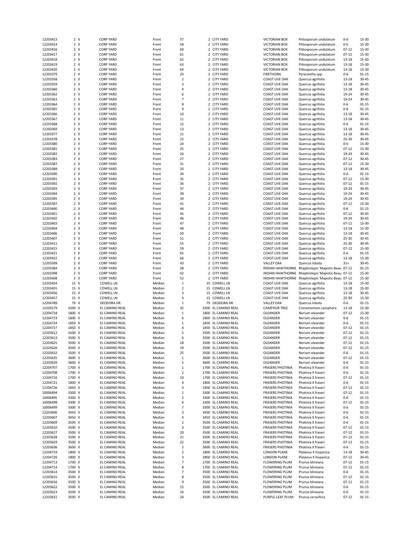| 12203413 | 2 X        | <b>CORP YARD</b> | Front  | 57             | 2 CITY YARD             | <b>VICTORIAN BOX</b>    | Pittosporum undulatum                              | $0 - 6$   | 15-30     |
|----------|------------|------------------|--------|----------------|-------------------------|-------------------------|----------------------------------------------------|-----------|-----------|
|          |            |                  |        |                |                         |                         |                                                    |           |           |
| 12203414 | 2 X        | <b>CORP YARD</b> | Front  | 58             | 2 CITY YARD             | <b>VICTORIAN BOX</b>    | Pittosporum undulatum                              | $0 - 6$   | 15-30     |
| 12203416 | 2 X        | <b>CORP YARD</b> | Front  | 60             | 2 CITY YARD             | <b>VICTORIAN BOX</b>    | Pittosporum undulatum                              | $07 - 12$ | 15-30     |
| 12203417 | 2 X        | <b>CORP YARD</b> | Front  | 61             | 2 CITY YARD             | <b>VICTORIAN BOX</b>    | Pittosporum undulatum                              | $07 - 12$ | 15-30     |
|          |            |                  |        |                |                         |                         |                                                    |           |           |
| 12203418 | 2 X        | <b>CORP YARD</b> | Front  | 62             | 2 CITY YARD             | <b>VICTORIAN BOX</b>    | Pittosporum undulatum                              | 13-18     | 15-30     |
| 12203419 | 2 X        | <b>CORP YARD</b> | Front  | 63             | 2 CITY YARD             | <b>VICTORIAN BOX</b>    | Pittosporum undulatum                              | $13 - 18$ | 15-30     |
| 12203420 | 2 X        | <b>CORP YARD</b> |        | 64             | 2 CITY YARD             | <b>VICTORIAN BOX</b>    | Pittosporum undulatum                              | $13 - 18$ | 15-30     |
|          |            |                  | Front  |                |                         |                         |                                                    |           |           |
| 12203379 | 2 X        | <b>CORP YARD</b> | Front  | 23             | 2 CITY YARD             | <b>FIRETHORN</b>        | Pyracantha spp.                                    | $0 - 6$   | $01 - 15$ |
| 12203358 | 2 X        | <b>CORP YARD</b> | Front  | $\mathbf 2$    | 2 CITY YARD             | <b>COAST LIVE OAK</b>   | Quercus agrifolia                                  | 13-18     | 30-45     |
| 12203359 |            |                  |        |                |                         |                         |                                                    |           |           |
|          | 2 X        | <b>CORP YARD</b> | Front  | 3              | 2 CITY YARD             | <b>COAST LIVE OAK</b>   | Quercus agrifolia                                  | 13-18     | 30-45     |
| 12203360 | 2 X        | <b>CORP YARD</b> | Front  | 4              | 2 CITY YARD             | <b>COAST LIVE OAK</b>   | Quercus agrifolia                                  | 13-18     | $30 - 45$ |
| 12203362 | 2 X        | <b>CORP YARD</b> | Front  | 6              | 2 CITY YARD             | <b>COAST LIVE OAK</b>   | Quercus agrifolia                                  | 19-24     | 30-45     |
|          |            |                  |        |                |                         |                         |                                                    |           |           |
| 12203363 | 2 X        | <b>CORP YARD</b> | Front  | $\overline{7}$ | 2 CITY YARD             | <b>COAST LIVE OAK</b>   | Quercus agrifolia                                  | 19-24     | 30-45     |
| 12203364 | 2 X        | <b>CORP YARD</b> | Front  | 8              | 2 CITY YARD             | <b>COAST LIVE OAK</b>   | Quercus agrifolia                                  | $0 - 6$   | $01 - 15$ |
| 12203365 | 2 X        | <b>CORP YARD</b> | Front  | 9              | 2 CITY YARD             | <b>COAST LIVE OAK</b>   | Quercus agrifolia                                  | $0-6$     | $01 - 15$ |
|          |            |                  |        |                |                         |                         |                                                    |           |           |
| 12203366 | 2 X        | <b>CORP YARD</b> | Front  | 10             | 2 CITY YARD             | <b>COAST LIVE OAK</b>   | Quercus agrifolia                                  | 13-18     | 30-45     |
| 12203367 | 2 X        | <b>CORP YARD</b> | Front  | 11             | 2 CITY YARD             | <b>COAST LIVE OAK</b>   | Quercus agrifolia                                  | 13-18     | $30 - 45$ |
| 12203368 | 2 X        | <b>CORP YARD</b> | Front  | 12             | 2 CITY YARD             | <b>COAST LIVE OAK</b>   | Quercus agrifolia                                  | $0 - 6$   | $01 - 15$ |
|          |            |                  |        |                |                         |                         |                                                    |           |           |
| 12203369 | 2 X        | <b>CORP YARD</b> | Front  | 13             | 2 CITY YARD             | <b>COAST LIVE OAK</b>   | Quercus agrifolia                                  | 13-18     | 30-45     |
| 12203377 | 2 X        | <b>CORP YARD</b> | Front  | 21             | 2 CITY YARD             | <b>COAST LIVE OAK</b>   | Quercus agrifolia                                  | 13-18     | 30-45     |
| 12203378 | 2 X        | <b>CORP YARD</b> | Front  | 22             | 2 CITY YARD             | <b>COAST LIVE OAK</b>   | Quercus agrifolia                                  | $25 - 30$ | 30-45     |
|          |            |                  |        |                |                         |                         |                                                    |           |           |
| 12203380 | 2 X        | <b>CORP YARD</b> | Front  | 24             | 2 CITY YARD             | <b>COAST LIVE OAK</b>   | Quercus agrifolia                                  | $0 - 6$   | 15-30     |
| 12203381 | 2 X        | <b>CORP YARD</b> | Front  | 25             | 2 CITY YARD             | <b>COAST LIVE OAK</b>   | Quercus agrifolia                                  | $07 - 12$ | 15-30     |
| 12203382 | 2 X        | <b>CORP YARD</b> | Front  | 26             | 2 CITY YARD             | <b>COAST LIVE OAK</b>   | Quercus agrifolia                                  | 19-24     | $30 - 45$ |
|          |            |                  |        |                |                         |                         |                                                    |           |           |
| 12203383 | 2 X        | <b>CORP YARD</b> | Front  | 27             | 2 CITY YARD             | <b>COAST LIVE OAK</b>   | Quercus agrifolia                                  | $07 - 12$ | 30-45     |
| 12203387 | 2 X        | <b>CORP YARD</b> | Front  | 31             | 2 CITY YARD             | <b>COAST LIVE OAK</b>   | Quercus agrifolia                                  | $07 - 12$ | 15-30     |
|          |            |                  |        |                |                         |                         |                                                    |           |           |
| 12203389 | 2 X        | <b>CORP YARD</b> | Front  | 33             | 2 CITY YARD             | <b>COAST LIVE OAK</b>   | Quercus agrifolia                                  | 13-18     | $30 - 45$ |
| 12203390 | 2 X        | <b>CORP YARD</b> | Front  | 34             | 2 CITY YARD             | <b>COAST LIVE OAK</b>   | Quercus agrifolia                                  | $0 - 6$   | $01 - 15$ |
| 12203391 | 2 X        | <b>CORP YARD</b> | Front  | 35             | 2 CITY YARD             | <b>COAST LIVE OAK</b>   | Quercus agrifolia                                  | $07 - 12$ | 15-30     |
|          |            |                  |        |                |                         |                         |                                                    |           |           |
| 12203392 | $2 \times$ | <b>CORP YARD</b> | Front  | 36             | 2 CITY YARD             | <b>COAST LIVE OAK</b>   | Quercus agrifolia                                  | $07 - 12$ | $01 - 15$ |
| 12203393 | 2 X        | <b>CORP YARD</b> | Front  | 37             | 2 CITY YARD             | <b>COAST LIVE OAK</b>   | Quercus agrifolia                                  | 19-24     | $30 - 45$ |
| 12203394 | $2 \times$ | <b>CORP YARD</b> | Front  | 38             | 2 CITY YARD             | <b>COAST LIVE OAK</b>   | Quercus agrifolia                                  | 19-24     | 30-45     |
|          |            |                  |        |                |                         |                         |                                                    |           |           |
| 12203395 | 2 X        | <b>CORP YARD</b> | Front  | 39             | 2 CITY YARD             | COAST LIVE OAK          | Quercus agrifolia                                  | 19-24     | 30-45     |
| 12203397 | 2 X        | <b>CORP YARD</b> | Front  | 41             | 2 CITY YARD             | <b>COAST LIVE OAK</b>   | Quercus agrifolia                                  | $07 - 12$ | 15-30     |
|          |            |                  |        |                |                         |                         |                                                    |           |           |
| 12203400 | 2 X        | <b>CORP YARD</b> | Front  | 44             | 2 CITY YARD             | <b>COAST LIVE OAK</b>   | Quercus agrifolia                                  | $0 - 6$   | $01 - 15$ |
| 12203401 | 2 X        | <b>CORP YARD</b> | Front  | 45             | 2 CITY YARD             | <b>COAST LIVE OAK</b>   | Quercus agrifolia                                  | $07 - 12$ | 30-45     |
| 12203402 | 2 X        | <b>CORP YARD</b> | Front  | 46             | 2 CITY YARD             | <b>COAST LIVE OAK</b>   | Quercus agrifolia                                  | 19-24     | 30-45     |
|          |            |                  |        |                |                         |                         |                                                    |           |           |
| 12203403 | 2 X        | <b>CORP YARD</b> | Front  | 47             | 2 CITY YARD             | <b>COAST LIVE OAK</b>   | Quercus agrifolia                                  | $07 - 12$ | 15-30     |
| 12203404 | 2 X        | <b>CORP YARD</b> | Front  | 48             | 2 CITY YARD             | <b>COAST LIVE OAK</b>   | Quercus agrifolia                                  | 13-18     | 15-30     |
| 12203406 | 2 X        | <b>CORP YARD</b> | Front  | 50             | 2 CITY YARD             | <b>COAST LIVE OAK</b>   | Quercus agrifolia                                  | 13-18     | $30 - 45$ |
|          |            |                  |        |                |                         |                         |                                                    |           |           |
| 12203407 | 2 X        | <b>CORP YARD</b> | Front  | 51             | 2 CITY YARD             | <b>COAST LIVE OAK</b>   | Quercus agrifolia                                  | 25-30     | 30-45     |
| 12203411 | 2 X        | <b>CORP YARD</b> | Front  | 55             | 2 CITY YARD             | COAST LIVE OAK          | Quercus agrifolia                                  | 25-30     | 30-45     |
| 12203415 | 2 X        | <b>CORP YARD</b> | Front  | 59             | 2 CITY YARD             | <b>COAST LIVE OAK</b>   | Quercus agrifolia                                  | $07 - 12$ | 15-30     |
|          |            |                  |        |                |                         |                         |                                                    |           |           |
| 12203421 | 2 X        | <b>CORP YARD</b> | Front  | 65             | 2 CITY YARD             | <b>COAST LIVE OAK</b>   | Quercus agrifolia                                  | $0 - 6$   | $01 - 15$ |
| 12203422 | 2 X        | <b>CORP YARD</b> | Front  | 66             | 2 CITY YARD             | <b>COAST LIVE OAK</b>   | Quercus agrifolia                                  | 13-18     | 15-30     |
|          |            |                  |        |                |                         |                         |                                                    | $31+$     |           |
|          |            |                  |        |                |                         |                         |                                                    |           |           |
| 12203399 | 2 X        | <b>CORP YARD</b> | Front  | 43             | 2 CITY YARD             | <b>VALLEY OAK</b>       | Quercus Iobata                                     |           | 30-45     |
| 12203384 | 2 X        | <b>CORP YARD</b> | Front  | 28             | 2 CITY YARD             |                         | INDIAN HAWTHORNE Rhaphiolepis 'Majestic Beau 07-12 |           | $01 - 15$ |
|          |            |                  |        |                |                         | <b>INDIAN HAWTHORNE</b> |                                                    |           | 15-30     |
| 12203398 | 2 X        | <b>CORP YARD</b> | Front  | 42             | 2 CITY YARD             |                         | Rhaphiolepis 'Majestic Beau 07-12                  |           |           |
| 12203408 | 2 X        | <b>CORP YARD</b> | Front  | 52             | 2 CITY YARD             |                         | INDIAN HAWTHORNE Rhaphiolepis 'Majestic Beau 07-12 |           | 15-30     |
| 12203454 | 15 X       | COWELL LN        | Median | $\mathbf{1}$   | 15 COWELL LN            | <b>COAST LIVE OAK</b>   | Quercus agrifolia                                  | 13-18     | 15-30     |
|          |            |                  |        |                |                         |                         |                                                    |           |           |
| 12203455 | 15 X       | <b>COWELL LN</b> | Median | $\overline{2}$ | 15 COWELL LN            | COAST LIVE OAK          | Quercus agrifolia                                  | 13-18     | 15-30     |
| 12203456 | 15 X       | <b>COWELL LN</b> | Median | 3              | 15 COWELL LN            | <b>COAST LIVE OAK</b>   | Quercus agrifolia                                  | 13-18     | $30 - 45$ |
| 12203457 | 15 X       | <b>COWELL LN</b> | Median | 4              | <b>COWELL LN</b><br>15  | <b>COAST LIVE OAK</b>   | Quercus agrifolia                                  | 25-30     | 15-30     |
|          |            |                  |        |                |                         |                         |                                                    |           |           |
| 12204789 | 79 X       | DEODORA DR       | Median | $\,1\,$        | 79<br><b>DEODORA DR</b> | <b>VALLEY OAK</b>       | Quercus Iobata                                     | $0 - 6$   | $01 - 15$ |
| 12203579 | 3200 X     | EL CAMINO REAL   | Median | 32             | 3200 EL CAMINO REAL     | <b>CAMPHOR TREE</b>     | Cinnamomum camphora                                | 13-18     | 15-30     |
| 12204718 | 1800 X     | EL CAMINO REAL   | Median | 1              | 1800 EL CAMINO REAL     | OLEANDER                | Nerium oleander                                    | $07 - 12$ | 15-30     |
|          |            |                  |        |                |                         |                         |                                                    |           |           |
| 12204723 | 1800 X     | EL CAMINO REAL   | Median | 6              | 1800 EL CAMINO REAL     | OLEANDER                | Nerium oleander                                    | $0 - 6$   | $01 - 15$ |
| 12204724 | 1850 X     | EL CAMINO REAL   | Median | 1              | EL CAMINO REAL<br>1850  | OLEANDER                | Nerium oleander                                    | $0-6$     | $01 - 15$ |
|          |            | EL CAMINO REAL   |        | 4              | 1850 EL CAMINO REAL     |                         | Nerium oleander                                    |           |           |
| 12204727 | 1850 X     |                  | Median |                |                         | OLEANDER                |                                                    | $07 - 12$ | $01 - 15$ |
| 12203612 | 3500 X     | EL CAMINO REAL   | Median | 5              | 3500 EL CAMINO REAL     | OLEANDER                | Nerium oleander                                    | $07 - 12$ | $01 - 15$ |
| 12203613 | 3500 X     | EL CAMINO REAL   | Median | 6              | 3500 EL CAMINO REAL     | OLEANDER                | Nerium oleander                                    | $07 - 12$ | $01 - 15$ |
|          |            |                  |        |                |                         |                         |                                                    |           |           |
| 12203625 | 3500 X     | EL CAMINO REAL   | Median | 18             | 3500 EL CAMINO REAL     | OLEANDER                | Nerium oleander                                    | $07 - 12$ | $01 - 15$ |
| 12203626 | 3500 X     | EL CAMINO REAL   | Median | 19             | 3500 EL CAMINO REAL     | OLEANDER                | Nerium oleander                                    | $07 - 12$ | $01 - 15$ |
| 12203632 | 3500 X     | EL CAMINO REAL   | Median | 25             | 3500 EL CAMINO REAL     | OLEANDER                | Nerium oleander                                    | 0-6       | $01 - 15$ |
| 12203635 | 3600 X     | EL CAMINO REAL   | Median | 1              | 3600 EL CAMINO REAL     | OLEANDER                | Nerium oleander                                    | $07 - 12$ | $01 - 15$ |
|          |            |                  |        |                |                         |                         |                                                    |           |           |
| 12203639 | 3600 X     | EL CAMINO REAL   | Median | 5              | 3600 EL CAMINO REAL     | OLEANDER                | Nerium oleander                                    | $0 - 6$   | $01 - 15$ |
| 12204707 | 1700 X     | EL CAMINO REAL   | Median | $\mathbf{1}$   | 1700<br>EL CAMINO REAL  | <b>FRASERS PHOTINIA</b> | Photinia X fraseri                                 | $0 - 6$   | $01 - 15$ |
| 12204708 | 1700 X     | EL CAMINO REAL   | Median | $\overline{2}$ | 1700 EL CAMINO REAL     | <b>FRASERS PHOTINIA</b> | Photinia X fraseri                                 | 0-6       | $01 - 15$ |
|          |            |                  |        |                |                         |                         |                                                    |           |           |
| 12204716 | 1700 X     | EL CAMINO REAL   | Median | 10             | 1700<br>EL CAMINO REAL  | <b>FRASERS PHOTINIA</b> | Photinia X fraseri                                 | $07 - 12$ | $01 - 15$ |
| 12204721 | 1800 X     | EL CAMINO REAL   | Median | 4              | EL CAMINO REAL<br>1800  | <b>FRASERS PHOTINIA</b> | Photinia X fraseri                                 | $0 - 6$   | $01 - 15$ |
|          |            |                  |        |                |                         |                         |                                                    |           |           |
| 12204726 | 1850 X     | EL CAMINO REAL   | Median | 3              | 1850 EL CAMINO REAL     | <b>FRASERS PHOTINIA</b> | Photinia X fraseri                                 | $07 - 12$ | $01 - 15$ |
| 10006494 | 3300 X     | EL CAMINO REAL   | Median | $\mathbf{1}$   | 3300 EL CAMINO REAL     | <b>FRASERS PHOTINIA</b> | Photinia X fraseri                                 | $07 - 12$ | $01 - 15$ |
| 10006495 | 3300 X     | EL CAMINO REAL   | Median | 2              | 3300 EL CAMINO REAL     | <b>FRASERS PHOTINIA</b> | Photinia X fraseri                                 | $0 - 6$   | $01 - 15$ |
|          |            |                  |        |                |                         |                         |                                                    |           |           |
| 10006498 | 3300 X     | EL CAMINO REAL   | Median | 6              | 3300 EL CAMINO REAL     | <b>FRASERS PHOTINIA</b> | Photinia X fraseri                                 | $07 - 12$ | $01 - 15$ |
| 10006499 | 3300 X     | EL CAMINO REAL   | Median | 7              | EL CAMINO REAL<br>3300  | <b>FRASERS PHOTINIA</b> | Photinia X fraseri                                 | $0 - 6$   | $01 - 15$ |
| 12203606 | 3450 X     | EL CAMINO REAL   | Median | 3              | 3450<br>EL CAMINO REAL  | <b>FRASERS PHOTINIA</b> | Photinia X fraseri                                 | $0 - 6$   | $01 - 15$ |
|          |            |                  |        |                |                         |                         |                                                    |           |           |
| 12203607 | 3450 X     | EL CAMINO REAL   | Median | 4              | 3450 EL CAMINO REAL     | <b>FRASERS PHOTINIA</b> | Photinia X fraseri                                 | $0 - 6$   | $01 - 15$ |
| 12203609 | 3500 X     | EL CAMINO REAL   | Median | 2              | 3500 EL CAMINO REAL     | <b>FRASERS PHOTINIA</b> | Photinia X fraseri                                 | $0 - 6$   | $01 - 15$ |
|          |            |                  |        |                |                         |                         |                                                    |           |           |
| 12203610 | 3500 X     | EL CAMINO REAL   | Median | 3              | 3500 EL CAMINO REAL     | <b>FRASERS PHOTINIA</b> | Photinia X fraseri                                 | $07 - 12$ | $01 - 15$ |
| 12203627 | 3500 X     | EL CAMINO REAL   | Median | 20             | 3500 EL CAMINO REAL     | <b>FRASERS PHOTINIA</b> | Photinia X fraseri                                 | $07 - 12$ | $01 - 15$ |
| 12203628 | 3500 X     | EL CAMINO REAL   | Median | 21             | 3500 EL CAMINO REAL     | <b>FRASERS PHOTINIA</b> | Photinia X fraseri                                 | $07 - 12$ | $01 - 15$ |
|          |            |                  |        |                |                         |                         |                                                    |           |           |
| 12203629 | 3500 X     | EL CAMINO REAL   | Median | 22             | 3500 EL CAMINO REAL     | <b>FRASERS PHOTINIA</b> | Photinia X fraseri                                 | $07 - 12$ | $01 - 15$ |
| 12203636 | 3600 X     | EL CAMINO REAL   | Median | $\overline{2}$ | 3600<br>EL CAMINO REAL  | <b>FRASERS PHOTINIA</b> | Photinia X fraseri                                 | 0-6       | $01 - 15$ |
| 12204719 | 1800 X     | EL CAMINO REAL   | Median | 2              | 1800 EL CAMINO REAL     | LONDON PLANE            | Platanus X hispanica                               | 13-18     | 30-45     |
|          |            |                  |        |                |                         |                         |                                                    |           |           |
| 12204720 | 1800 X     | EL CAMINO REAL   | Median | 3              | 1800<br>EL CAMINO REAL  | LONDON PLANE            | Platanus X hispanica                               | $07 - 12$ | 30-45     |
| 12204713 | 1700 X     | EL CAMINO REAL   | Median | 7              | 1700 EL CAMINO REAL     | FLOWERING PLUM          | Prunus blireiana                                   | $07 - 12$ | $01 - 15$ |
|          |            |                  |        |                |                         |                         |                                                    |           |           |
| 12204714 | 1700 X     | EL CAMINO REAL   | Median | 8              | 1700 EL CAMINO REAL     | <b>FLOWERING PLUM</b>   | Prunus blireiana                                   | $07 - 12$ | $01 - 15$ |
| 12203614 | 3500 X     | EL CAMINO REAL   | Median | $\overline{7}$ | 3500 EL CAMINO REAL     | <b>FLOWERING PLUM</b>   | Prunus blireiana                                   | $0 - 6$   | $01 - 15$ |
| 12203615 | 3500 X     | EL CAMINO REAL   | Median | 8              | 3500 EL CAMINO REAL     | FLOWERING PLUM          | Prunus blireiana                                   | $07 - 12$ | $01 - 15$ |
|          |            |                  |        |                |                         |                         |                                                    |           |           |
| 12203616 | 3500 X     | EL CAMINO REAL   | Median | 9              | 3500<br>EL CAMINO REAL  | <b>FLOWERING PLUM</b>   | Prunus blireiana                                   | $07 - 12$ | $01 - 15$ |
| 12203622 | 3500 X     | EL CAMINO REAL   | Median | 15             | 3500 EL CAMINO REAL     | <b>FLOWERING PLUM</b>   | Prunus blireiana                                   | $0 - 6$   | $01 - 15$ |
| 12203623 | 3500 X     | EL CAMINO REAL   | Median | 16             | 3500 EL CAMINO REAL     | <b>FLOWERING PLUM</b>   | Prunus blireiana                                   | $0 - 6$   | $01 - 15$ |
| 12203631 | 3500 X     | EL CAMINO REAL   | Median | 24             | 3500 EL CAMINO REAL     | PURPLE-LEAF PLUM        | Prunus cerasifera                                  | $07 - 12$ | $01 - 15$ |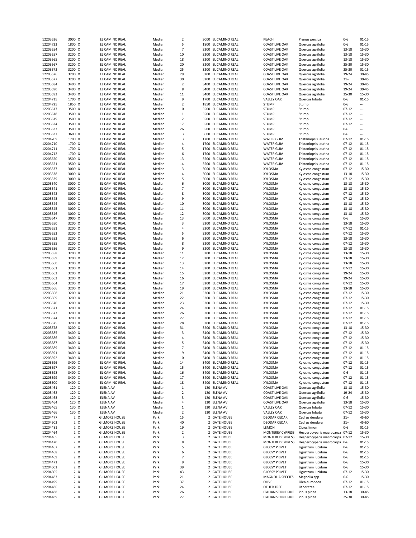| 12203536<br>12204722 | 3000 X                   | EL CAMINO REAL                               | Median       | 2              | 3000 | EL CAMINO REAL               | PEACH                                                  | Prunus persica                  | $0 - 6$        | $01 - 15$      |
|----------------------|--------------------------|----------------------------------------------|--------------|----------------|------|------------------------------|--------------------------------------------------------|---------------------------------|----------------|----------------|
|                      |                          |                                              |              |                |      |                              |                                                        |                                 |                |                |
|                      | 1800 X                   | EL CAMINO REAL                               | Median       | 5              |      | 1800 EL CAMINO REAL          | <b>COAST LIVE OAK</b>                                  | Quercus agrifolia               | $0 - 6$        | $01 - 15$      |
| 12203554             | 3200 X                   | EL CAMINO REAL                               | Median       | $\overline{7}$ |      | 3200 EL CAMINO REAL          | <b>COAST LIVE OAK</b>                                  | Quercus agrifolia               | 13-18          | 15-30          |
| 12203557             | 3200 X                   | EL CAMINO REAL                               | Median       | 10             | 3200 | EL CAMINO REAL               | <b>COAST LIVE OAK</b>                                  | Quercus agrifolia               | 13-18          | 15-30          |
|                      |                          |                                              |              |                |      |                              |                                                        |                                 |                |                |
| 12203565             | 3200 X                   | EL CAMINO REAL                               | Median       | 18             | 3200 | EL CAMINO REAL               | <b>COAST LIVE OAK</b>                                  | Quercus agrifolia               | 13-18          | 15-30          |
| 12203567             | 3200 X                   | EL CAMINO REAL                               | Median       | 20             | 3200 | EL CAMINO REAL               | <b>COAST LIVE OAK</b>                                  | Quercus agrifolia               | 25-30          | 15-30          |
| 12203572             | 3200 X                   | EL CAMINO REAL                               |              | 25             | 3200 | EL CAMINO REAL               | <b>COAST LIVE OAK</b>                                  | Quercus agrifolia               | 25-30          | $01 - 15$      |
|                      |                          |                                              | Median       |                |      |                              |                                                        |                                 |                |                |
| 12203576             | 3200 X                   | EL CAMINO REAL                               | Median       | 29             | 3200 | EL CAMINO REAL               | <b>COAST LIVE OAK</b>                                  | Quercus agrifolia               | 19-24          | $30 - 45$      |
| 12203577             | 3200 X                   | EL CAMINO REAL                               | Median       | 30             |      | 3200 EL CAMINO REAL          | <b>COAST LIVE OAK</b>                                  | Quercus agrifolia               | $31+$          | 30-45          |
| 12203584             |                          |                                              |              |                | 3400 | EL CAMINO REAL               |                                                        |                                 |                | $30 - 45$      |
|                      | 3400 X                   | EL CAMINO REAL                               | Median       | $\mathbf 2$    |      |                              | <b>COAST LIVE OAK</b>                                  | Quercus agrifolia               | 19-24          |                |
| 12203590             | 3400 X                   | EL CAMINO REAL                               | Median       | 8              | 3400 | EL CAMINO REAL               | <b>COAST LIVE OAK</b>                                  | Quercus agrifolia               | 19-24          | 30-45          |
| 12203593             | 3400 X                   | EL CAMINO REAL                               | Median       | 11             | 3400 | EL CAMINO REAL               | <b>COAST LIVE OAK</b>                                  | Quercus agrifolia               | 25-30          | 15-30          |
|                      |                          |                                              |              |                |      |                              |                                                        |                                 |                |                |
| 12204715             | 1700 X                   | EL CAMINO REAL                               | Median       | 9              | 1700 | EL CAMINO REAL               | <b>VALLEY OAK</b>                                      | Quercus lobata                  | $0 - 6$        | $01 - 15$      |
| 12204725             | 1850 X                   | EL CAMINO REAL                               | Median       | $\overline{2}$ | 1850 | EL CAMINO REAL               | <b>STUMP</b>                                           | Stump                           | $0 - 6$        |                |
| 12203617             | 3500 X                   | EL CAMINO REAL                               | Median       | 10             | 3500 | EL CAMINO REAL               | <b>STUMP</b>                                           | Stump                           | 07-12          |                |
|                      |                          |                                              |              |                |      |                              |                                                        |                                 |                |                |
| 12203618             | 3500 X                   | EL CAMINO REAL                               | Median       | 11             | 3500 | EL CAMINO REAL               | <b>STUMP</b>                                           | Stump                           | $07 - 12$      |                |
| 12203619             | 3500 X                   | EL CAMINO REAL                               | Median       | 12             | 3500 | EL CAMINO REAL               | <b>STUMP</b>                                           | Stump                           | $07 - 12$      |                |
| 12203624             | 3500 X                   | EL CAMINO REAL                               | Median       | 17             | 3500 | EL CAMINO REAL               | <b>STUMP</b>                                           | Stump                           | $07 - 12$      |                |
|                      |                          |                                              |              |                |      |                              |                                                        |                                 |                |                |
| 12203633             | 3500 X                   | EL CAMINO REAL                               | Median       | 26             | 3500 | EL CAMINO REAL               | <b>STUMP</b>                                           | Stump                           | $0 - 6$        |                |
| 12203637             | 3600 X                   | EL CAMINO REAL                               | Median       | 3              | 3600 | EL CAMINO REAL               | <b>STUMP</b>                                           | Stump                           | $0 - 6$        |                |
| 12204709             | 1700 X                   | EL CAMINO REAL                               | Median       | 3              | 1700 | EL CAMINO REAL               | <b>WATER GUM</b>                                       | Tristaniopsis laurina           | $07 - 12$      | $01 - 15$      |
|                      |                          |                                              |              |                |      |                              |                                                        |                                 |                |                |
| 12204710             | 1700 X                   | EL CAMINO REAL                               | Median       | 4              | 1700 | EL CAMINO REAL               | <b>WATER GUM</b>                                       | Tristaniopsis laurina           | $07 - 12$      | $01 - 15$      |
| 12204711             | 1700 X                   | EL CAMINO REAL                               | Median       | 5              | 1700 | EL CAMINO REAL               | <b>WATER GUM</b>                                       | Tristaniopsis laurina           | $07 - 12$      | $01 - 15$      |
|                      |                          |                                              |              |                |      |                              |                                                        |                                 |                |                |
| 12204712             | 1700 X                   | EL CAMINO REAL                               | Median       | 6              | 1700 | EL CAMINO REAL               | <b>WATER GUM</b>                                       | Tristaniopsis laurina           | $07 - 12$      | $01 - 15$      |
| 12203620             | 3500 X                   | EL CAMINO REAL                               | Median       | 13             |      | 3500 EL CAMINO REAL          | <b>WATER GUM</b>                                       | Tristaniopsis laurina           | $07 - 12$      | $01 - 15$      |
| 12203621             | 3500 X                   | EL CAMINO REAL                               | Median       | 14             | 3500 | EL CAMINO REAL               | <b>WATER GUM</b>                                       | Tristaniopsis laurina           | $07 - 12$      | $01 - 15$      |
|                      |                          |                                              |              |                |      |                              |                                                        |                                 |                |                |
| 12203537             | 3000 X                   | EL CAMINO REAL                               | Median       | 3              |      | 3000 EL CAMINO REAL          | XYLOSMA                                                | Xylosma congestum               | $07 - 12$      | 15-30          |
| 12203538             | 3000 X                   | EL CAMINO REAL                               | Median       | 4              | 3000 | EL CAMINO REAL               | XYLOSMA                                                | Xylosma congestum               | 13-18          | 15-30          |
| 12203539             | 3000 X                   | EL CAMINO REAL                               | Median       | 5              | 3000 | EL CAMINO REAL               | XYLOSMA                                                | Xylosma congestum               | $07 - 12$      | 15-30          |
|                      |                          |                                              |              |                |      |                              |                                                        |                                 |                |                |
| 12203540             | 3000 X                   | EL CAMINO REAL                               | Median       | 6              | 3000 | EL CAMINO REAL               | XYLOSMA                                                | Xylosma congestum               | 13-18          | 15-30          |
| 12203541             | 3000 X                   | EL CAMINO REAL                               | Median       | $\overline{7}$ | 3000 | EL CAMINO REAL               | XYLOSMA                                                | Xylosma congestum               | 13-18          | 15-30          |
|                      |                          |                                              |              | 8              |      |                              |                                                        |                                 |                |                |
| 12203542             | 3000 X                   | EL CAMINO REAL                               | Median       |                | 3000 | EL CAMINO REAL               | XYLOSMA                                                | Xylosma congestum               | $07 - 12$      | 15-30          |
| 12203543             | 3000 X                   | EL CAMINO REAL                               | Median       | 9              | 3000 | EL CAMINO REAL               | XYLOSMA                                                | Xylosma congestum               | $07 - 12$      | 15-30          |
| 12203544             | 3000 X                   | EL CAMINO REAL                               | Median       | 10             |      | 3000 EL CAMINO REAL          | XYLOSMA                                                | Xylosma congestum               | 13-18          | 15-30          |
|                      |                          |                                              |              |                |      |                              |                                                        |                                 |                |                |
| 12203545             | 3000 X                   | EL CAMINO REAL                               | Median       | 11             | 3000 | EL CAMINO REAL               | XYLOSMA                                                | Xylosma congestum               | 13-18          | 15-30          |
| 12203546             | 3000 X                   | EL CAMINO REAL                               | Median       | 12             | 3000 | EL CAMINO REAL               | XYLOSMA                                                | Xylosma congestum               | 13-18          | 15-30          |
| 12203547             | 3000 X                   | EL CAMINO REAL                               | Median       | 13             | 3000 | EL CAMINO REAL               | XYLOSMA                                                | Xylosma congestum               | $0 - 6$        | 15-30          |
|                      |                          |                                              |              |                |      |                              |                                                        |                                 |                |                |
| 12203550             | 3200 X                   | EL CAMINO REAL                               | Median       | 3              | 3200 | EL CAMINO REAL               | XYLOSMA                                                | Xylosma congestum               | 13-18          | $15 - 30$      |
| 12203551             | 3200 X                   | EL CAMINO REAL                               | Median       | 4              | 3200 | EL CAMINO REAL               | XYLOSMA                                                | Xylosma congestum               | $07 - 12$      | $01 - 15$      |
|                      |                          |                                              |              | 5              |      |                              |                                                        |                                 |                |                |
| 12203552             | 3200 X                   | EL CAMINO REAL                               | Median       |                | 3200 | EL CAMINO REAL               | XYLOSMA                                                | Xylosma congestum               | $07 - 12$      | 15-30          |
| 12203553             | 3200 X                   | EL CAMINO REAL                               | Median       | 6              | 3200 | EL CAMINO REAL               | XYLOSMA                                                | Xylosma congestum               | $13 - 18$      | 15-30          |
| 12203555             | 3200 X                   | EL CAMINO REAL                               | Median       | 8              | 3200 | EL CAMINO REAL               | XYLOSMA                                                | Xylosma congestum               | $07 - 12$      | 15-30          |
|                      |                          |                                              |              |                |      |                              |                                                        |                                 |                |                |
| 12203556             | 3200 X                   | EL CAMINO REAL                               | Median       | 9              |      | 3200 EL CAMINO REAL          | XYLOSMA                                                | Xylosma congestum               | 13-18          | 15-30          |
| 12203558             | 3200 X                   | EL CAMINO REAL                               | Median       | 11             | 3200 | EL CAMINO REAL               | XYLOSMA                                                | Xylosma congestum               | 13-18          | 15-30          |
| 12203559             | 3200 X                   | EL CAMINO REAL                               | Median       | 12             | 3200 | EL CAMINO REAL               | XYLOSMA                                                | Xylosma congestum               | 13-18          | 15-30          |
|                      |                          |                                              |              |                |      |                              |                                                        |                                 |                |                |
|                      |                          |                                              |              |                |      |                              |                                                        |                                 |                |                |
| 12203560             | 3200 X                   | EL CAMINO REAL                               | Median       | 13             | 3200 | EL CAMINO REAL               | XYLOSMA                                                | Xylosma congestum               | 13-18          | 15-30          |
|                      |                          |                                              |              |                |      |                              |                                                        |                                 |                |                |
| 12203561             | 3200 X                   | EL CAMINO REAL                               | Median       | 14             | 3200 | EL CAMINO REAL               | XYLOSMA                                                | Xylosma congestum               | $07 - 12$      | 15-30          |
| 12203562             | 3200 X                   | EL CAMINO REAL                               | Median       | 15             | 3200 | EL CAMINO REAL               | XYLOSMA                                                | Xylosma congestum               | 19-24          | 15-30          |
| 12203563             | 3200 X                   | EL CAMINO REAL                               | Median       | 16             | 3200 | EL CAMINO REAL               | XYLOSMA                                                |                                 | 19-24          | $15 - 30$      |
|                      |                          |                                              |              |                |      |                              |                                                        | Xylosma congestum               |                |                |
| 12203564             | 3200 X                   | EL CAMINO REAL                               | Median       | 17             | 3200 | EL CAMINO REAL               | XYLOSMA                                                | Xylosma congestum               | $07 - 12$      | 15-30          |
| 12203566             | 3200 X                   | EL CAMINO REAL                               | Median       | 19             | 3200 | EL CAMINO REAL               | XYLOSMA                                                | Xylosma congestum               | 13-18          | 15-30          |
|                      |                          |                                              |              |                | 3200 |                              |                                                        |                                 |                |                |
| 12203568             | 3200 X                   | EL CAMINO REAL                               | Median       | 21             |      | EL CAMINO REAL               | XYLOSMA                                                | Xylosma congestum               | $07 - 12$      | 15-30          |
| 12203569             | 3200 X                   | EL CAMINO REAL                               | Median       | 22             | 3200 | EL CAMINO REAL               | XYLOSMA                                                | Xylosma congestum               | $07 - 12$      | 15-30          |
| 12203570             | 3200 X                   | EL CAMINO REAL                               | Median       | 23             | 3200 | EL CAMINO REAL               | XYLOSMA                                                | Xylosma congestum               | $07 - 12$      | 15-30          |
|                      |                          |                                              |              |                |      |                              |                                                        |                                 |                |                |
| 12203571             | 3200 X                   | EL CAMINO REAL                               | Median       | 24             | 3200 | EL CAMINO REAL               | XYLOSMA                                                | Xylosma congestum               | $07 - 12$      | $01 - 15$      |
| 12203573             | 3200 X                   | EL CAMINO REAL                               | Median       | 26             | 3200 | EL CAMINO REAL               | XYLOSMA                                                | Xylosma congestum               | $07 - 12$      | $01 - 15$      |
| 12203574             | 3200 X                   | EL CAMINO REAL                               | Median       | 27             |      | 3200 EL CAMINO REAL          | XYLOSMA                                                | Xylosma congestum               | $07 - 12$      | $01 - 15$      |
|                      |                          |                                              |              |                |      |                              |                                                        |                                 |                |                |
| 12203575             | 3200 X                   | EL CAMINO REAL                               | Median       | 28             | 3200 | EL CAMINO REAL               | XYLOSMA                                                | Xylosma congestum               | $07 - 12$      | $01 - 15$      |
| 12203578             | 3200 X                   | EL CAMINO REAL                               | Median       | 31             | 3200 | EL CAMINO REAL               | XYLOSMA                                                | Xylosma congestum               | 13-18          | 15-30          |
|                      |                          |                                              |              | 3              |      |                              |                                                        |                                 |                |                |
| 12203585             | 3400 X                   | EL CAMINO REAL                               | Median       |                | 3400 | EL CAMINO REAL               | XYLOSMA                                                | Xylosma congestum               | $07 - 12$      | 15-30          |
| 12203586             | 3400 X                   | EL CAMINO REAL                               | Median       | 4              |      | 3400 EL CAMINO REAL          | XYLOSMA                                                | Xylosma congestum               | $07 - 12$      | 15-30          |
| 12203587             | 3400 >                   | EL CAMINO REAL                               | Mediar       |                |      | 3400 EL CAMINO REAL          | <b>XYLOSMA</b>                                         | Xylosma congestum               | $07 - 12$      | 15-30          |
|                      |                          |                                              |              |                |      |                              |                                                        |                                 |                |                |
| 12203589             | 3400 X                   | EL CAMINO REAL                               | Median       | $\overline{7}$ |      | 3400 EL CAMINO REAL          | XYLOSMA                                                | Xylosma congestum               | $07 - 12$      | $01 - 15$      |
| 12203591             | 3400 X                   | EL CAMINO REAL                               | Median       | 9              |      | 3400 EL CAMINO REAL          | XYLOSMA                                                | Xylosma congestum               | $07 - 12$      | $01 - 15$      |
| 12203592             | 3400 X                   | EL CAMINO REAL                               | Median       | 10             |      | 3400 EL CAMINO REAL          | XYLOSMA                                                | Xylosma congestum               | $07 - 12$      | 01-15          |
|                      | 3400 X                   |                                              |              |                |      | 3400 EL CAMINO REAL          |                                                        |                                 |                |                |
| 12203596             |                          | EL CAMINO REAL                               | Median       | 14             |      |                              | XYLOSMA                                                | Xylosma congestum               | $07 - 12$      | $01 - 15$      |
| 12203597             | 3400 X                   | EL CAMINO REAL                               | Median       | 15             | 3400 | EL CAMINO REAL               | XYLOSMA                                                | Xylosma congestum               | $07 - 12$      | $01 - 15$      |
| 12203598             | 3400 X                   | EL CAMINO REAL                               | Median       | 16             | 3400 | EL CAMINO REAL               | XYLOSMA                                                | Xylosma congestum               | 0-6            | $01 - 15$      |
|                      |                          |                                              |              |                | 3400 |                              |                                                        |                                 |                |                |
| 12203599             | 3400 X                   | EL CAMINO REAL                               | Median       | 17             |      | EL CAMINO REAL               | XYLOSMA                                                | Xylosma congestum               | $07 - 12$      | 01-15          |
| 12203600             | 3400 X                   | EL CAMINO REAL                               | Median       | 18             | 3400 | EL CAMINO REAL               | XYLOSMA                                                | Xylosma congestum               | $07 - 12$      | 01-15          |
| 12203461             | 120 X                    | <b>ELENA AV</b>                              | Median       | 1              | 120  | <b>ELENA AV</b>              | <b>COAST LIVE OAK</b>                                  | Quercus agrifolia               | 13-18          | 15-30          |
|                      |                          |                                              |              |                |      |                              |                                                        |                                 |                |                |
| 12203462             | 120 X                    | <b>ELENA AV</b>                              | Median       | $\mathbf 2$    | 120  | <b>ELENA AV</b>              | <b>COAST LIVE OAK</b>                                  | Quercus agrifolia               | 19-24          | 15-30          |
| 12203463             | 120 X                    | ELENA AV                                     | Median       | 3              |      | 120 ELENA AV                 | <b>COAST LIVE OAK</b>                                  | Quercus agrifolia               | $0 - 6$        | 15-30          |
| 12203464             | 120 X                    | ELENA AV                                     | Median       | 4              |      | 120 ELENA AV                 | <b>COAST LIVE OAK</b>                                  |                                 | 13-18          | 15-30          |
|                      |                          |                                              |              |                |      |                              |                                                        | Quercus agrifolia               |                |                |
| 12203465             | 130 X                    | ELENA AV                                     | Median       | 1              | 130  | <b>ELENA AV</b>              | <b>VALLEY OAK</b>                                      | Quercus lobata                  | $07 - 12$      | 15-30          |
| 12203466             | 130 X                    | <b>ELENA AV</b>                              | Median       | 2              | 130  | <b>ELENA AV</b>              | <b>VALLEY OAK</b>                                      | Quercus lobata                  | $07 - 12$      | 15-30          |
| 12204477             | $2 \times$               | <b>GILMORE HOUSE</b>                         | Park         | 15             |      | 2 GATE HOUSE                 | <b>DEODAR CEDAR</b>                                    | Cedrus deodara                  | $31+$          | 45-60          |
|                      |                          |                                              |              |                |      |                              |                                                        |                                 |                |                |
| 12204502             | $2 \times$               | <b>GILMORE HOUSE</b>                         | Park         | 40             |      | 2 GATE HOUSE                 | DEODAR CEDAR                                           | Cedrus deodara                  | $31+$          | 45-60          |
| 12204481             | 2 X                      | <b>GILMORE HOUSE</b>                         | Park         | 19             |      | 2 GATE HOUSE                 | LEMON                                                  | Citrus limon                    | $0 - 6$        | 01-15          |
|                      |                          |                                              |              |                |      |                              |                                                        |                                 |                |                |
| 12204464             | 2 X                      | <b>GILMORE HOUSE</b>                         | Park         | $\mathbf 2$    |      | 2 GATE HOUSE                 | <b>MONTEREY CYPRESS</b>                                | Hesperocyparis macrocarpa 07-12 |                | 15-30          |
| 12204465             | 2 X                      | <b>GILMORE HOUSE</b>                         | Park         | 3              |      | 2 GATE HOUSE                 | <b>MONTEREY CYPRESS</b>                                | Hesperocyparis macrocarpa 07-12 |                | 15-30          |
| 12204470             | $2 \times$               | <b>GILMORE HOUSE</b>                         | Park         | 8              |      | 2 GATE HOUSE                 | MONTEREY CYPRESS                                       | Hesperocyparis macrocarpa 0-6   |                | $01 - 15$      |
|                      |                          |                                              |              |                |      |                              |                                                        |                                 |                |                |
| 12204467             | $2 \times$               | <b>GILMORE HOUSE</b>                         | Park         | 5              |      | 2 GATE HOUSE                 | <b>GLOSSY PRIVET</b>                                   | Ligustrum lucidum               | $0 - 6$        | $01 - 15$      |
| 12204468             | $2 \times$               | <b>GILMORE HOUSE</b>                         | Park         | 6              |      | 2 GATE HOUSE                 | <b>GLOSSY PRIVET</b>                                   | Ligustrum lucidum               | $0 - 6$        | $01 - 15$      |
| 12204469             | $2 \times$               | <b>GILMORE HOUSE</b>                         | Park         | $\overline{7}$ | 2    | <b>GATE HOUSE</b>            | <b>GLOSSY PRIVET</b>                                   | Ligustrum lucidum               | $0 - 6$        | $01 - 15$      |
|                      |                          |                                              |              |                |      |                              |                                                        |                                 |                |                |
| 12204471             | $2 \times$               | <b>GILMORE HOUSE</b>                         | Park         | 9              |      | 2 GATE HOUSE                 | <b>GLOSSY PRIVET</b>                                   | Ligustrum lucidum               | $0 - 6$        | 15-30          |
| 12204501             | 2 X                      | <b>GILMORE HOUSE</b>                         | Park         | 39             |      | 2 GATE HOUSE                 | <b>GLOSSY PRIVET</b>                                   | Ligustrum lucidum               | $0 - 6$        | 15-30          |
|                      |                          |                                              |              |                |      |                              |                                                        |                                 |                |                |
| 12204505             | 2 X                      | <b>GILMORE HOUSE</b>                         | Park         | 43             |      | 2 GATE HOUSE                 | <b>GLOSSY PRIVET</b>                                   | Ligustrum lucidum               | $07 - 12$      | 15-30          |
| 12204483             | 2 X                      | <b>GILMORE HOUSE</b>                         | Park         | 21             |      | 2 GATE HOUSE                 | MAGNOLIA SPECIES                                       | Magnolia spp.                   | $0 - 6$        | 15-30          |
| 12204499             | $2 \times$               | <b>GILMORE HOUSE</b>                         | Park         | 37             |      | 2 GATE HOUSE                 | OLIVE                                                  | Olea europaea                   | $07 - 12$      | $01 - 15$      |
|                      |                          |                                              |              |                |      |                              |                                                        |                                 |                |                |
| 12204486             | $2 \times$               | <b>GILMORE HOUSE</b>                         | Park         | 24             |      | 2 GATE HOUSE                 | OTHER TREE                                             | Other tree                      | $07 - 12$      | $01 - 15$      |
| 12204488<br>12204489 | $2 \times$<br>$2 \times$ | <b>GILMORE HOUSE</b><br><b>GILMORE HOUSE</b> | Park<br>Park | 26<br>27       |      | 2 GATE HOUSE<br>2 GATE HOUSE | <b>ITALIAN STONE PINE</b><br><b>ITALIAN STONE PINE</b> | Pinus pinea<br>Pinus pinea      | 13-18<br>25-30 | 30-45<br>30-45 |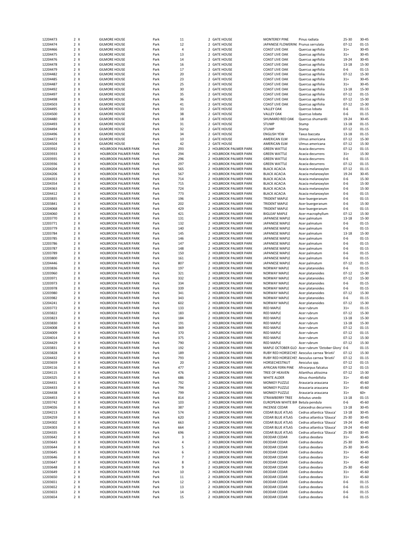| 12204473             | 2 X               | <b>GILMORE HOUSE</b>                         | Park         | 11             | 2 GATE HOUSE                                     | <b>MONTEREY PINE</b>                | Pinus radiata                                     | 25-30              | 30-45                  |
|----------------------|-------------------|----------------------------------------------|--------------|----------------|--------------------------------------------------|-------------------------------------|---------------------------------------------------|--------------------|------------------------|
| 12204474             | 2 X               | <b>GILMORE HOUSE</b>                         | Park         | 12             | 2 GATE HOUSE                                     | JAPANESE FLOWERINC Prunus serrulata |                                                   | $07 - 12$          | $01 - 15$              |
| 12204466             | 2 X               | <b>GILMORE HOUSE</b>                         | Park         | 4              | 2 GATE HOUSE                                     | <b>COAST LIVE OAK</b>               | Quercus agrifolia                                 | $31+$              | $30 - 45$              |
| 12204475             | 2 X               | <b>GILMORE HOUSE</b>                         | Park         | 13             | 2 GATE HOUSE                                     | <b>COAST LIVE OAK</b>               | Quercus agrifolia                                 | $31+$              | $30 - 45$              |
| 12204476             | 2 X               | <b>GILMORE HOUSE</b>                         | Park         | 14             | 2 GATE HOUSE                                     | <b>COAST LIVE OAK</b>               | Quercus agrifolia                                 | 19-24              | $30 - 45$              |
| 12204478             | 2 X               | <b>GILMORE HOUSE</b>                         | Park         | 16             | 2 GATE HOUSE                                     | <b>COAST LIVE OAK</b>               | Quercus agrifolia                                 | $13 - 18$          | 15-30                  |
| 12204479             | 2 X               | <b>GILMORE HOUSE</b>                         | Park         | 17             | 2 GATE HOUSE                                     | <b>COAST LIVE OAK</b>               | Quercus agrifolia                                 | $0 - 6$            | $01 - 15$              |
|                      | 2 X               |                                              |              | 20             | $\overline{2}$                                   |                                     |                                                   | $07 - 12$          | 15-30                  |
| 12204482             |                   | <b>GILMORE HOUSE</b>                         | Park         |                | <b>GATE HOUSE</b>                                | <b>COAST LIVE OAK</b>               | Quercus agrifolia                                 |                    |                        |
| 12204485             | 2 X               | <b>GILMORE HOUSE</b>                         | Park         | 23             | 2 GATE HOUSE                                     | <b>COAST LIVE OAK</b>               | Quercus agrifolia                                 | $31+$              | $30 - 45$              |
| 12204487             | 2 X               | <b>GILMORE HOUSE</b>                         | Park         | 25             | 2 GATE HOUSE                                     | <b>COAST LIVE OAK</b>               | Quercus agrifolia                                 | $31+$              | $30 - 45$              |
| 12204492             | 2 X               | <b>GILMORE HOUSE</b>                         | Park         | 30             | 2 GATE HOUSE                                     | <b>COAST LIVE OAK</b>               | Quercus agrifolia                                 | 13-18              | 15-30                  |
| 12204497             | 2 X               | <b>GILMORE HOUSE</b>                         | Park         | 35             | 2 GATE HOUSE                                     | <b>COAST LIVE OAK</b>               | Quercus agrifolia                                 | $07 - 12$          | $01 - 15$              |
| 12204498             | 2 X               | <b>GILMORE HOUSE</b>                         | Park         | 36             | 2 GATE HOUSE                                     | <b>COAST LIVE OAK</b>               | Quercus agrifolia                                 | $07 - 12$          | 15-30                  |
| 12204503             | 2 X               | <b>GILMORE HOUSE</b>                         | Park         | 41             | 2 GATE HOUSE                                     | <b>COAST LIVE OAK</b>               | Quercus agrifolia                                 | $07 - 12$          | 15-30                  |
| 12204495             | 2 X               | <b>GILMORE HOUSE</b>                         | Park         | 33             | 2 GATE HOUSE                                     | <b>VALLEY OAK</b>                   | Quercus Iobata                                    | $0 - 6$            | $01 - 15$              |
| 12204500             | 2 X               | <b>GILMORE HOUSE</b>                         | Park         | 38             | 2 GATE HOUSE                                     | <b>VALLEY OAK</b>                   | Quercus Iobata                                    | $0 - 6$            | $01 - 15$              |
| 12204480             | 2 X               | <b>GILMORE HOUSE</b>                         | Park         | 18             | 2 GATE HOUSE                                     | SHUMARD RED OAK                     | Quercus shumardii                                 | 19-24              | $30 - 45$              |
| 12204493             | 2 X               | <b>GILMORE HOUSE</b>                         | Park         | 31             | 2 GATE HOUSE                                     | <b>STUMP</b>                        | Stump                                             | 13-18              | $01 - 15$              |
|                      |                   |                                              |              |                |                                                  |                                     |                                                   |                    |                        |
| 12204494             | 2 X               | <b>GILMORE HOUSE</b>                         | Park         | 32             | 2 GATE HOUSE                                     | <b>STUMP</b>                        | Stump                                             | $07 - 12$          | $01 - 15$              |
| 12204496             | 2 X               | <b>GILMORE HOUSE</b>                         | Park         | 34             | 2 GATE HOUSE                                     | <b>ENGLISH YEW</b>                  | Taxus baccata                                     | 13-18              | $01 - 15$              |
| 12204472             | 2 X               | <b>GILMORE HOUSE</b>                         | Park         | 10             | 2 GATE HOUSE                                     | AMERICAN ELM                        | Ulmus americana                                   | $07 - 12$          | 15-30                  |
| 12204504             | 2 X               | <b>GILMORE HOUSE</b>                         | Park         | 42             | 2 GATE HOUSE                                     | AMERICAN ELM                        | Ulmus americana                                   | $07 - 12$          | 15-30                  |
| 12203932             | 2 X               | HOLBROOK PALMER PARK                         | Park         | 293            | 2 HOLBROOK PALMER PARK                           | <b>GREEN WATTLE</b>                 | Acacia decurrens                                  | $07 - 12$          | $01 - 15$              |
| 12203933             | 2 X               | <b>HOLBROOK PALMER PARK</b>                  | Park         | 294            | 2 HOLBROOK PALMER PARK                           | <b>GREEN WATTLE</b>                 | Acacia decurrens                                  | $31+$              | 15-30                  |
| 12203935             | 2 X               | HOLBROOK PALMER PARK                         | Park         | 296            | 2 HOLBROOK PALMER PARK                           | <b>GREEN WATTLE</b>                 | Acacia decurrens                                  | $0 - 6$            | $01 - 15$              |
| 12203936             | 2 X               | <b>HOLBROOK PALMER PARK</b>                  | Park         | 297            | $\overline{2}$<br><b>HOLBROOK PALMER PARK</b>    | <b>GREEN WATTLE</b>                 | Acacia decurrens                                  | $07 - 12$          | $01 - 15$              |
| 12204204             | 2 X               | <b>HOLBROOK PALMER PARK</b>                  | Park         | 565            | 2 HOLBROOK PALMER PARK                           | <b>BLACK ACACIA</b>                 | Acacia melanoxylon                                | $07 - 12$          | $01 - 15$              |
| 12204206             | 2 X               | <b>HOLBROOK PALMER PARK</b>                  | Park         | 567            | 2 HOLBROOK PALMER PARK                           | <b>BLACK ACACIA</b>                 | Acacia melanoxylon                                | 19-24              | 30-45                  |
|                      | 2 X               |                                              |              |                | 2 HOLBROOK PALMER PARK                           | <b>BLACK ACACIA</b>                 |                                                   |                    | 15-30                  |
| 12204353             |                   | HOLBROOK PALMER PARK                         | Park         | 714            |                                                  |                                     | Acacia melanoxylon                                | $0 - 6$            |                        |
| 12204354             | 2 X               | HOLBROOK PALMER PARK                         | Park         | 715            | 2 HOLBROOK PALMER PARK                           | <b>BLACK ACACIA</b>                 | Acacia melanoxylon                                | $0 - 6$            | 15-30                  |
| 12204363             | 2 X               | <b>HOLBROOK PALMER PARK</b>                  | Park         | 724            | 2 HOLBROOK PALMER PARK                           | <b>BLACK ACACIA</b>                 | Acacia melanoxylon                                | $0 - 6$            | 15-30                  |
| 12204412             | 2 X               | <b>HOLBROOK PALMER PARK</b>                  | Park         | 773            | 2 HOLBROOK PALMER PARK                           | <b>BLACK ACACIA</b>                 | Acacia melanoxylon                                | $0 - 6$            | $01 - 15$              |
| 12203835             | 2 X               | HOLBROOK PALMER PARK                         | Park         | 196            | 2 HOLBROOK PALMER PARK                           | <b>TRIDENT MAPLE</b>                | Acer buergeranum                                  | $0 - 6$            | $01 - 15$              |
| 12203841             | 2 X               | <b>HOLBROOK PALMER PARK</b>                  | Park         | 202            | 2 HOLBROOK PALMER PARK                           | <b>TRIDENT MAPLE</b>                | Acer buergeranum                                  | $0 - 6$            | 15-30                  |
| 12204068             | 2 X               | <b>HOLBROOK PALMER PARK</b>                  | Park         | 429            | 2 HOLBROOK PALMER PARK                           | <b>TRIDENT MAPLE</b>                | Acer buergeranum                                  | $0 - 6$            | $01 - 15$              |
| 12204060             | 2 X               | <b>HOLBROOK PALMER PARK</b>                  | Park         | 421            | 2 HOLBROOK PALMER PARK                           | <b>BIGLEAF MAPLE</b>                | Acer macrophyllum                                 | $07 - 12$          | 15-30                  |
| 12203770             | 2 X               | <b>HOLBROOK PALMER PARK</b>                  | Park         | 131            | 2 HOLBROOK PALMER PARK                           | JAPANESE MAPLE                      | Acer palmatum                                     | $13 - 18$          | 15-30                  |
| 12203771             | 2 X               | HOLBROOK PALMER PARK                         | Park         | 132            | 2 HOLBROOK PALMER PARK                           | JAPANESE MAPLE                      | Acer palmatum                                     | $0 - 6$            | $01 - 15$              |
|                      | 2 X               | <b>HOLBROOK PALMER PARK</b>                  |              | 140            | 2 HOLBROOK PALMER PARK                           | JAPANESE MAPLE                      |                                                   | $0 - 6$            | $01 - 15$              |
| 12203779             |                   |                                              | Park         |                |                                                  |                                     | Acer palmatum                                     |                    |                        |
| 12203784             | 2 X               | <b>HOLBROOK PALMER PARK</b>                  | Park         | 145            | 2 HOLBROOK PALMER PARK                           | JAPANESE MAPLE                      | Acer palmatum                                     | $13 - 18$          | 15-30                  |
| 12203785             | 2 X               | HOLBROOK PALMER PARK                         | Park         | 146            | 2 HOLBROOK PALMER PARK                           | JAPANESE MAPLE                      | Acer palmatum                                     | $0 - 6$            | $01 - 15$              |
| 12203786             | 2 X               | <b>HOLBROOK PALMER PARK</b>                  | Park         | 147            | 2 HOLBROOK PALMER PARK                           | JAPANESE MAPLE                      | Acer palmatum                                     | $0 - 6$            | $01 - 15$              |
| 12203787             | 2 X               | <b>HOLBROOK PALMER PARK</b>                  | Park         | 148            | 2 HOLBROOK PALMER PARK                           | JAPANESE MAPLE                      | Acer palmatum                                     | $0 - 6$            | $01 - 15$              |
| 12203789             | 2 X               | <b>HOLBROOK PALMER PARK</b>                  | Park         | 150            | 2 HOLBROOK PALMER PARK                           | JAPANESE MAPLE                      | Acer palmatum                                     | $0 - 6$            | $01 - 15$              |
| 12203800             | 2 X               | <b>HOLBROOK PALMER PARK</b>                  | Park         | 161            | 2 HOLBROOK PALMER PARK                           | JAPANESE MAPLE                      | Acer palmatum                                     | $0 - 6$            | $01 - 15$              |
| 12204446             | 2 X               | <b>HOLBROOK PALMER PARK</b>                  | Park         | 807            | 2 HOLBROOK PALMER PARK                           | JAPANESE MAPLE                      | Acer palmatum                                     | $07 - 12$          | $01 - 15$              |
| 12203836             | 2 X               | HOLBROOK PALMER PARK                         | Park         | 197            | 2 HOLBROOK PALMER PARK                           | NORWAY MAPLE                        | Acer platanoides                                  | $0 - 6$            | $01 - 15$              |
| 12203960             | 2 X               | <b>HOLBROOK PALMER PARK</b>                  | Park         | 321            | 2 HOLBROOK PALMER PARK                           | NORWAY MAPLE                        | Acer platanoides                                  | $07 - 12$          | 15-30                  |
| 12203971             | 2 X               |                                              |              | 332            | 2 HOLBROOK PALMER PARK                           |                                     |                                                   | $07 - 12$          | 15-30                  |
|                      |                   | <b>HOLBROOK PALMER PARK</b>                  | Park         |                |                                                  | NORWAY MAPLE                        | Acer platanoides                                  |                    |                        |
| 12203973             | 2 X               | <b>HOLBROOK PALMER PARK</b>                  | Park         | 334            | 2 HOLBROOK PALMER PARK                           | NORWAY MAPLE                        | Acer platanoides                                  | $0 - 6$            | $01 - 15$              |
| 12203978             | 2 X               | <b>HOLBROOK PALMER PARK</b>                  | Park         | 339            | 2 HOLBROOK PALMER PARK                           | NORWAY MAPLE                        | Acer platanoides                                  | $0 - 6$            | $01 - 15$              |
| 12203980             | 2 X               | <b>HOLBROOK PALMER PARK</b>                  | Park         | 341            | 2 HOLBROOK PALMER PARK                           | NORWAY MAPLE                        | Acer platanoides                                  | $07 - 12$          | 15-30                  |
| 12203982             | 2 X               | HOLBROOK PALMER PARK                         | Park         | 343            | 2 HOLBROOK PALMER PARK                           | NORWAY MAPLE                        | Acer platanoides                                  | $0 - 6$            | $01 - 15$              |
| 12204241             | 2 X               | HOLBROOK PALMER PARK                         | Park         | 602            | 2 HOLBROOK PALMER PARK                           | NORWAY MAPLE                        | Acer platanoides                                  | $07 - 12$          | 15-30                  |
| 12203772             | 2 X               | HOLBROOK PALMER PARK                         | Park         | 133            | 2 HOLBROOK PALMER PARK                           | <b>RED MAPLE</b>                    | Acer rubrum                                       | $31+$              | $01 - 15$              |
| 12203822             | 2 X               | HOLBROOK PALMER PARK                         | Park         | 183            | 2 HOLBROOK PALMER PARK                           | <b>RED MAPLE</b>                    | Acer rubrum                                       | $07 - 12$          | 15-30                  |
| 12203823             | 2 X               | <b>HOLBROOK PALMER PARK</b>                  | Park         | 184            | 2 HOLBROOK PALMER PARK                           | <b>RED MAPLE</b>                    | Acer rubrum                                       | 13-18              | 15-30                  |
| 12203830             | 2 X               | <b>HOLBROOK PALMER PARK</b>                  | Park         | 191            | <b>HOLBROOK PALMER PARK</b><br>$\overline{2}$    | <b>RED MAPLE</b>                    | Acer rubrum                                       | $13 - 18$          | 15-30                  |
| 12204008             | 2 X               | HOLBROOK PALMER PARK                         | Park         | 369            | 2 HOLBROOK PALMER PARK                           | <b>RED MAPLE</b>                    | Acer rubrum                                       | $07 - 12$          | $01 - 15$              |
|                      |                   |                                              |              |                |                                                  |                                     |                                                   |                    |                        |
| 12204009             | 2 X               | HOLBROOK PALMER PARK                         | Park         | 370            | 2<br>HOLBROOK PALMER PARK                        | <b>RED MAPLE</b>                    | Acer rubrum                                       | $07 - 12$          | $01 - 15$              |
| 12204014             | $2 \times$        | HOLBROOK PALMER PARK                         | Park         | 375            | 2 HOLBROOK PALMER PARK                           | <b>RED MAPLE</b>                    | Acer rubrum                                       | $07 - 12$          | 15-30                  |
| 12204429             | $2 \times$        | HOLBROOK PALMER PARK                         | Park         | 790            | HOLBROOK PALMER PARK                             | RED MAPLE                           | Acer rubrum                                       | $07 - 12$          | 15-30                  |
| 12203831             | $2 \times$        | HOLBROOK PALMER PARK                         | Park         | 192            | 2 HOLBROOK PALMER PARK                           |                                     | MAPLE OCTOBER GLO Acer rubrum 'October Glory' 0-6 |                    | $01 - 15$              |
| 12203828             | 2 X               | HOLBROOK PALMER PARK                         | Park         | 189            | 2 HOLBROOK PALMER PARK                           |                                     | RUBY RED HORSECHES Aesculus carnea 'Briotii'      | $07 - 12$          | 15-30                  |
| 12204432             | 2 X               | HOLBROOK PALMER PARK                         | Park         | 793            | 2 HOLBROOK PALMER PARK                           |                                     | RUBY RED HORSECHES Aesculus carnea 'Briotii'      | $07 - 12$          | $01 - 15$              |
| 12203659             | 2 X               | HOLBROOK PALMER PARK                         | Park         | 20             | 2 HOLBROOK PALMER PARK                           | HORSECHESTNUT                       | Aesculus spp.                                     | $07 - 12$          | $01 - 15$              |
| 12204116             | 2 X               | HOLBROOK PALMER PARK                         | Park         | 477            | 2 HOLBROOK PALMER PARK                           | AFRICAN FERN PINE                   | Afrocarpus falcatus                               | $07 - 12$          | $01 - 15$              |
| 12204115             | 2 X               | HOLBROOK PALMER PARK                         | Park         | 476            | 2 HOLBROOK PALMER PARK                           | TREE OF HEAVEN                      | Ailanthus altissima                               | $07 - 12$          | 15-30                  |
| 12204325             | 2 X               | HOLBROOK PALMER PARK                         | Park         | 686            | 2 HOLBROOK PALMER PARK                           | WHITE ALDER                         | Alnus rhombifolia                                 | $31+$              | 45-60                  |
| 12204431             | 2 X               | HOLBROOK PALMER PARK                         | Park         | 792            | 2 HOLBROOK PALMER PARK                           | <b>MONKEY PUZZLE</b>                | Araucaria araucana                                | $31+$              | 45-60                  |
| 12204433             | 2 X               | HOLBROOK PALMER PARK                         | Park         | 794            | 2 HOLBROOK PALMER PARK                           | <b>MONKEY PUZZLE</b>                | Araucaria araucana                                | $31+$              | 45-60                  |
|                      |                   |                                              |              |                |                                                  |                                     |                                                   |                    |                        |
| 12204438             | 2 X               | HOLBROOK PALMER PARK                         | Park         | 799            | 2 HOLBROOK PALMER PARK                           | MONKEY PUZZLE                       | Araucaria araucana                                | $31+$              | $60+$                  |
| 12204453             | 2 X               | HOLBROOK PALMER PARK                         | Park         | 814            | 2 HOLBROOK PALMER PARK                           | STRAWBERRY TREE                     | Arbutus unedo                                     | 13-18              | $01 - 15$              |
| 12203742             | 2 X               | HOLBROOK PALMER PARK                         | Park         | 103            | 2 HOLBROOK PALMER PARK                           | EUROPEAN WHITE BIR Betula pendula   |                                                   | $0 - 6$            | 45-60                  |
| 12204026             | 2 X               | HOLBROOK PALMER PARK                         | Park         | 387            | 2 HOLBROOK PALMER PARK                           | <b>INCENSE CEDAR</b>                | Calocedrus decurrens                              | 13-18              | 30-45                  |
| 12204213             | 2 X               | HOLBROOK PALMER PARK                         | Park         | 574            | 2 HOLBROOK PALMER PARK                           | <b>CEDAR BLUE ATLAS</b>             | Cedrus atlantica 'Glauca'                         | 13-18              | 30-45                  |
| 12204259             | 2 X               | HOLBROOK PALMER PARK                         | Park         | 620            | 2 HOLBROOK PALMER PARK                           | <b>CEDAR BLUE ATLAS</b>             | Cedrus atlantica 'Glauca'                         | 25-30              | 30-45                  |
| 12204302             | 2 X               | HOLBROOK PALMER PARK                         | Park         | 663            | 2 HOLBROOK PALMER PARK                           | <b>CEDAR BLUE ATLAS</b>             | Cedrus atlantica 'Glauca'                         | 19-24              | 45-60                  |
| 12204303             | 2 X               | HOLBROOK PALMER PARK                         | Park         | 664            | 2 HOLBROOK PALMER PARK                           | <b>CEDAR BLUE ATLAS</b>             | Cedrus atlantica 'Glauca'                         | 19-24              | 45-60                  |
| 12204335             | 2 X               | HOLBROOK PALMER PARK                         | Park         | 696            | 2 HOLBROOK PALMER PARK                           | CEDAR BLUE ATLAS                    | Cedrus atlantica 'Glauca'                         | 25-30              | 30-45                  |
| 12203642             | 2 X               | HOLBROOK PALMER PARK                         |              | 3              | 2 HOLBROOK PALMER PARK                           | DEODAR CEDAR                        |                                                   |                    | 30-45                  |
|                      |                   |                                              | Park         |                |                                                  |                                     | Cedrus deodara                                    | $31+$              |                        |
| 12203643             | 2 X               | HOLBROOK PALMER PARK                         | Park         | 4              | 2 HOLBROOK PALMER PARK                           | DEODAR CEDAR                        | Cedrus deodara                                    | 25-30              | 30-45                  |
| 12203644             | 2 X               | HOLBROOK PALMER PARK                         | Park         | 5              | 2 HOLBROOK PALMER PARK                           | DEODAR CEDAR                        | Cedrus deodara                                    | 25-30              | 30-45                  |
| 12203645             | 2 X               | HOLBROOK PALMER PARK                         | Park         | 6              | 2 HOLBROOK PALMER PARK                           | DEODAR CEDAR                        | Cedrus deodara                                    | $31+$              | 45-60                  |
| 12203646             |                   | HOLBROOK PALMER PARK                         | Park         | $\overline{7}$ | 2 HOLBROOK PALMER PARK                           | DEODAR CEDAR                        | Cedrus deodara                                    | $31+$              | 45-60                  |
|                      | 2 X               |                                              | Park         | 8              | 2 HOLBROOK PALMER PARK                           | DEODAR CEDAR                        | Cedrus deodara                                    | $31+$              | 45-60                  |
| 12203647             | 2 X               | HOLBROOK PALMER PARK                         |              |                |                                                  |                                     |                                                   |                    |                        |
| 12203648             | 2 X               | HOLBROOK PALMER PARK                         | Park         | 9              | 2 HOLBROOK PALMER PARK                           | DEODAR CEDAR                        | Cedrus deodara                                    | 25-30              | 45-60                  |
| 12203649             | 2 X               | HOLBROOK PALMER PARK                         | Park         | 10             | 2 HOLBROOK PALMER PARK                           | DEODAR CEDAR                        | Cedrus deodara                                    | $31+$              | 45-60                  |
|                      |                   | HOLBROOK PALMER PARK                         |              |                | 2 HOLBROOK PALMER PARK                           | DEODAR CEDAR                        | Cedrus deodara                                    | $31+$              | 45-60                  |
| 12203650<br>12203651 | 2 X               | HOLBROOK PALMER PARK                         | Park         | 11<br>12       | 2 HOLBROOK PALMER PARK                           | DEODAR CEDAR                        | Cedrus deodara                                    | $0 - 6$            | $01 - 15$              |
|                      | 2 X               |                                              | Park         |                |                                                  |                                     |                                                   |                    |                        |
| 12203652             | 2 X               | HOLBROOK PALMER PARK                         | Park         | 13             | 2 HOLBROOK PALMER PARK                           | DEODAR CEDAR                        | Cedrus deodara                                    | $0 - 6$            | $01 - 15$              |
| 12203653<br>12203654 | 2 X<br>$2 \times$ | HOLBROOK PALMER PARK<br>HOLBROOK PALMER PARK | Park<br>Park | 14<br>15       | 2 HOLBROOK PALMER PARK<br>2 HOLBROOK PALMER PARK | DEODAR CEDAR<br>DEODAR CEDAR        | Cedrus deodara<br>Cedrus deodara                  | $0 - 6$<br>$0 - 6$ | $01 - 15$<br>$01 - 15$ |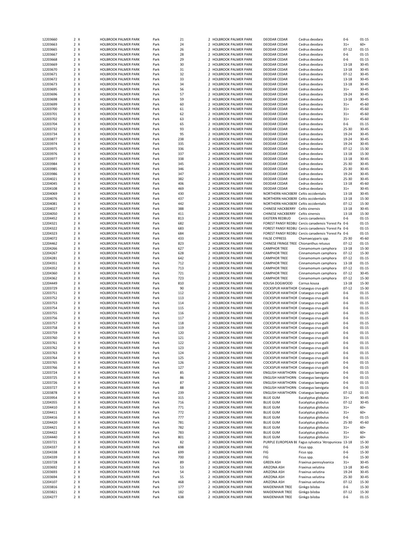|                      | 2 X        | <b>HOLBROOK PALMER PARK</b>                  | Park         | 21         |               | 2 HOLBROOK PALMER PARK                           | DEODAR CEDAR                                                                   | Cedrus deodara                                        | $0 - 6$              | $01 - 15$          |
|----------------------|------------|----------------------------------------------|--------------|------------|---------------|--------------------------------------------------|--------------------------------------------------------------------------------|-------------------------------------------------------|----------------------|--------------------|
| 12203663             | 2 X        | <b>HOLBROOK PALMER PARK</b>                  | Park         | 24         |               | 2 HOLBROOK PALMER PARK                           | DEODAR CEDAR                                                                   | Cedrus deodara                                        | $31+$                | $60+$              |
| 12203665             | 2 X        | HOLBROOK PALMER PARK                         | Park         | 26         |               | 2 HOLBROOK PALMER PARK                           | DEODAR CEDAR                                                                   | Cedrus deodara                                        | $07 - 12$            | $01 - 15$          |
| 12203667             | 2 X        | <b>HOLBROOK PALMER PARK</b>                  | Park         | 28         |               | 2 HOLBROOK PALMER PARK                           | <b>DEODAR CEDAR</b>                                                            | Cedrus deodara                                        | $0 - 6$              | $01 - 15$          |
|                      |            |                                              |              |            |               |                                                  |                                                                                |                                                       |                      |                    |
| 12203668             | 2 X        | <b>HOLBROOK PALMER PARK</b>                  | Park         | 29         |               | 2 HOLBROOK PALMER PARK                           | DEODAR CEDAR                                                                   | Cedrus deodara                                        | $0 - 6$              | $01 - 15$          |
| 12203669             | 2 X        | HOLBROOK PALMER PARK                         | Park         | 30         |               | 2 HOLBROOK PALMER PARK                           | DEODAR CEDAR                                                                   | Cedrus deodara                                        | $13 - 18$            | $30 - 45$          |
| 12203670             | 2 X        | HOLBROOK PALMER PARK                         | Park         | 31         |               | 2 HOLBROOK PALMER PARK                           | <b>DEODAR CEDAR</b>                                                            | Cedrus deodara                                        | $13 - 18$            | 30-45              |
| 12203671             | 2 X        | HOLBROOK PALMER PARK                         | Park         | 32         | 2             | HOLBROOK PALMER PARK                             | <b>DEODAR CEDAR</b>                                                            | Cedrus deodara                                        | $07 - 12$            | 30-45              |
| 12203672             | 2 X        | <b>HOLBROOK PALMER PARK</b>                  | Park         | 33         |               | 2 HOLBROOK PALMER PARK                           | <b>DEODAR CEDAR</b>                                                            | Cedrus deodara                                        | 13-18                | 30-45              |
| 12203673             | 2 X        | HOLBROOK PALMER PARK                         | Park         | 34         |               | 2 HOLBROOK PALMER PARK                           | DEODAR CEDAR                                                                   | Cedrus deodara                                        | 13-18                | 30-45              |
|                      |            |                                              |              |            |               |                                                  |                                                                                |                                                       |                      |                    |
| 12203695             | 2 X        | HOLBROOK PALMER PARK                         | Park         | 56         |               | 2 HOLBROOK PALMER PARK                           | DEODAR CEDAR                                                                   | Cedrus deodara                                        | $31+$                | 30-45              |
| 12203696             | 2 X        | HOLBROOK PALMER PARK                         | Park         | 57         |               | 2 HOLBROOK PALMER PARK                           | DEODAR CEDAR                                                                   | Cedrus deodara                                        | 19-24                | 30-45              |
| 12203698             | 2 X        | HOLBROOK PALMER PARK                         | Park         | 59         |               | 2 HOLBROOK PALMER PARK                           | <b>DEODAR CEDAR</b>                                                            | Cedrus deodara                                        | $13 - 18$            | 30-45              |
| 12203699             | 2 X        | <b>HOLBROOK PALMER PARK</b>                  | Park         | 60         |               | 2 HOLBROOK PALMER PARK                           | <b>DEODAR CEDAR</b>                                                            | Cedrus deodara                                        | $31+$                | 45-60              |
| 12203700             | 2 X        | <b>HOLBROOK PALMER PARK</b>                  | Park         | 61         |               | 2 HOLBROOK PALMER PARK                           | <b>DEODAR CEDAR</b>                                                            | Cedrus deodara                                        | $31+$                | 45-60              |
| 12203701             | 2 X        |                                              |              |            |               |                                                  |                                                                                |                                                       | $31+$                | 45-60              |
|                      |            | HOLBROOK PALMER PARK                         | Park         | 62         |               | 2 HOLBROOK PALMER PARK                           | DEODAR CEDAR                                                                   | Cedrus deodara                                        |                      |                    |
| 12203702             | 2 X        | HOLBROOK PALMER PARK                         | Park         | 63         | 2             | <b>HOLBROOK PALMER PARK</b>                      | <b>DEODAR CEDAR</b>                                                            | Cedrus deodara                                        | $31+$                | 45-60              |
| 12203704             | 2 X        | HOLBROOK PALMER PARK                         | Park         | 65         |               | 2 HOLBROOK PALMER PARK                           | DEODAR CEDAR                                                                   | Cedrus deodara                                        | $0 - 6$              | $01 - 15$          |
| 12203732             | 2 X        | HOLBROOK PALMER PARK                         | Park         | 93         |               | 2 HOLBROOK PALMER PARK                           | DEODAR CEDAR                                                                   | Cedrus deodara                                        | $25 - 30$            | 30-45              |
| 12203734             | 2 X        | HOLBROOK PALMER PARK                         | Park         | 95         |               | 2 HOLBROOK PALMER PARK                           | DEODAR CEDAR                                                                   | Cedrus deodara                                        | 19-24                | 30-45              |
| 12203877             | 2 X        | HOLBROOK PALMER PARK                         | Park         | 238        |               | 2 HOLBROOK PALMER PARK                           | <b>DEODAR CEDAR</b>                                                            | Cedrus deodara                                        | 19-24                | 30-45              |
|                      | 2 X        |                                              |              | 335        |               | 2 HOLBROOK PALMER PARK                           |                                                                                |                                                       | 19-24                | 30-45              |
| 12203974             |            | HOLBROOK PALMER PARK                         | Park         |            |               |                                                  | <b>DEODAR CEDAR</b>                                                            | Cedrus deodara                                        |                      |                    |
| 12203975             | 2 X        | <b>HOLBROOK PALMER PARK</b>                  | Park         | 336        |               | 2 HOLBROOK PALMER PARK                           | <b>DEODAR CEDAR</b>                                                            | Cedrus deodara                                        | $07 - 12$            | 15-30              |
| 12203976             | 2 X        | HOLBROOK PALMER PARK                         | Park         | 337        |               | 2 HOLBROOK PALMER PARK                           | DEODAR CEDAR                                                                   | Cedrus deodara                                        | $13 - 18$            | 15-30              |
| 12203977             | 2 X        | HOLBROOK PALMER PARK                         | Park         | 338        |               | 2 HOLBROOK PALMER PARK                           | DEODAR CEDAR                                                                   | Cedrus deodara                                        | 13-18                | 30-45              |
| 12203984             | 2 X        | HOLBROOK PALMER PARK                         | Park         | 345        | $\mathcal{P}$ | <b>HOLBROOK PALMER PARK</b>                      | <b>DEODAR CEDAR</b>                                                            | Cedrus deodara                                        | 25-30                | 30-45              |
| 12203985             | 2 X        | HOLBROOK PALMER PARK                         | Park         | 346        |               | 2 HOLBROOK PALMER PARK                           | DEODAR CEDAR                                                                   | Cedrus deodara                                        | 25-30                | 30-45              |
|                      |            |                                              |              |            |               |                                                  |                                                                                |                                                       |                      |                    |
| 12203986             | 2 X        | HOLBROOK PALMER PARK                         | Park         | 347        |               | 2 HOLBROOK PALMER PARK                           | DEODAR CEDAR                                                                   | Cedrus deodara                                        | 19-24                | 30-45              |
| 12204021             | 2 X        | HOLBROOK PALMER PARK                         | Park         | 382        |               | 2 HOLBROOK PALMER PARK                           | DEODAR CEDAR                                                                   | Cedrus deodara                                        | $25 - 30$            | 30-45              |
| 12204045             | 2 X        | HOLBROOK PALMER PARK                         | Park         | 406        |               | 2 HOLBROOK PALMER PARK                           | DEODAR CEDAR                                                                   | Cedrus deodara                                        | $13 - 18$            | 45-60              |
| 12204108             | 2 X        | HOLBROOK PALMER PARK                         | Park         | 469        |               | 2 HOLBROOK PALMER PARK                           | <b>DEODAR CEDAR</b>                                                            | Cedrus deodara                                        | $31+$                | 30-45              |
| 12204069             | 2 X        | <b>HOLBROOK PALMER PARK</b>                  | Park         | 430        |               | 2 HOLBROOK PALMER PARK                           | NORTHERN HACKBERF Celtis occidentalis                                          |                                                       | $13 - 18$            | 30-45              |
|                      | 2 X        |                                              |              |            |               |                                                  |                                                                                |                                                       |                      |                    |
| 12204076             |            | HOLBROOK PALMER PARK                         | Park         | 437        |               | 2 HOLBROOK PALMER PARK                           | NORTHERN HACKBERF Celtis occidentalis                                          |                                                       | 13-18                | 15-30              |
| 12204081             | 2 X        | HOLBROOK PALMER PARK                         | Park         | 442        |               | 2 HOLBROOK PALMER PARK                           | NORTHERN HACKBERF Celtis occidentalis                                          |                                                       | $07 - 12$            | 15-30              |
| 12204027             | 2 X        | HOLBROOK PALMER PARK                         | Park         | 388        |               | 2 HOLBROOK PALMER PARK                           | CHINESE HACKBERRY Celtis sinensis                                              |                                                       | 13-18                | 30-45              |
| 12204050             | 2 X        | HOLBROOK PALMER PARK                         | Park         | 411        |               | 2 HOLBROOK PALMER PARK                           | CHINESE HACKBERRY Celtis sinensis                                              |                                                       | $13 - 18$            | 15-30              |
| 12204452             | 2 X        | HOLBROOK PALMER PARK                         | Park         | 813        |               | 2 HOLBROOK PALMER PARK                           | <b>EASTERN REDBUD</b>                                                          | Cercis canadensis                                     | $0 - 6$              | $01 - 15$          |
| 12204321             | 2 X        | HOLBROOK PALMER PARK                         | Park         | 682        |               | 2 HOLBROOK PALMER PARK                           |                                                                                | FOREST PANSY REDBU Cercis canadensis 'Forest Pai 0-6  |                      | $01 - 15$          |
|                      |            |                                              |              |            |               |                                                  |                                                                                | FOREST PANSY REDBU Cercis canadensis 'Forest Pai 0-6  |                      |                    |
| 12204322             | 2 X        | HOLBROOK PALMER PARK                         | Park         | 683        |               | 2 HOLBROOK PALMER PARK                           |                                                                                |                                                       |                      | $01 - 15$          |
| 12204323             | 2 X        | HOLBROOK PALMER PARK                         | Park         | 684        |               | 2 HOLBROOK PALMER PARK                           |                                                                                | FOREST PANSY REDBU Cercis canadensis 'Forest Pai 0-6  |                      | $01 - 15$          |
| 12204072             | 2 X        | <b>HOLBROOK PALMER PARK</b>                  | Park         | 433        |               | 2 HOLBROOK PALMER PARK                           | <b>FALSE CYPRESS</b>                                                           | Chamaecyparis spp.                                    | 25-30                | 45-60              |
| 12204462             | 2 X        | HOLBROOK PALMER PARK                         | Park         | 823        |               | 2 HOLBROOK PALMER PARK                           | CHINESE FRINGE TREE Chionanthus retusus                                        |                                                       | $07 - 12$            | $01 - 15$          |
| 12204266             | 2 X        | HOLBROOK PALMER PARK                         | Park         | 627        |               | 2 HOLBROOK PALMER PARK                           | <b>CAMPHOR TREE</b>                                                            | Cinnamomum camphora                                   | 13-18                | 15-30              |
| 12204267             | 2 X        |                                              |              | 628        |               |                                                  |                                                                                |                                                       | $07 - 12$            | 15-30              |
|                      |            | HOLBROOK PALMER PARK                         | Park         |            |               | 2 HOLBROOK PALMER PARK                           | <b>CAMPHOR TREE</b>                                                            | Cinnamomum camphora                                   |                      |                    |
| 12204281             | 2 X        | HOLBROOK PALMER PARK                         | Park         | 642        |               | 2 HOLBROOK PALMER PARK                           | <b>CAMPHOR TREE</b>                                                            | Cinnamomum camphora                                   | $07 - 12$            | $01 - 15$          |
| 12204351             | 2 X        | HOLBROOK PALMER PARK                         | Park         | 712        |               | 2 HOLBROOK PALMER PARK                           | <b>CAMPHOR TREE</b>                                                            | Cinnamomum camphora                                   | 13-18                | $01 - 15$          |
|                      |            |                                              |              |            |               |                                                  |                                                                                |                                                       |                      |                    |
|                      | 2 X        |                                              |              | 713        |               | 2 HOLBROOK PALMER PARK                           |                                                                                |                                                       |                      | $01 - 15$          |
| 12204352             |            | HOLBROOK PALMER PARK                         | Park         |            |               |                                                  | <b>CAMPHOR TREE</b>                                                            | Cinnamomum camphora                                   | $07 - 12$            |                    |
| 12204360             | 2 X        | HOLBROOK PALMER PARK                         | Park         | 721        |               | 2 HOLBROOK PALMER PARK                           | <b>CAMPHOR TREE</b>                                                            | Cinnamomum camphora                                   | $07 - 12$            | 30-45              |
| 12204362             | 2 X        | <b>HOLBROOK PALMER PARK</b>                  | Park         | 723        | $\mathcal{P}$ | <b>HOLBROOK PALMER PARK</b>                      | <b>CAMPHOR TREE</b>                                                            | Cinnamomum camphora                                   | $07 - 12$            | 15-30              |
| 12204449             | 2 X        | HOLBROOK PALMER PARK                         | Park         | 810        |               | 2 HOLBROOK PALMER PARK                           | KOUSA DOGWOOD                                                                  | Cornus kousa                                          | 13-18                | 15-30              |
| 12203729             | 2 X        | HOLBROOK PALMER PARK                         | Park         | 90         |               | 2 HOLBROOK PALMER PARK                           | COCKSPUR HAWTHOR Crataegus crus-galli                                          |                                                       | $07 - 12$            | 15-30              |
| 12203751             | 2 X        | HOLBROOK PALMER PARK                         | Park         | 112        |               | 2 HOLBROOK PALMER PARK                           | COCKSPUR HAWTHOR Crataegus crus-galli                                          |                                                       | $0 - 6$              | $01 - 15$          |
|                      |            |                                              |              |            |               |                                                  |                                                                                |                                                       |                      |                    |
| 12203752             | 2 X        | HOLBROOK PALMER PARK                         | Park         | 113        |               | 2 HOLBROOK PALMER PARK                           | COCKSPUR HAWTHOR Crataegus crus-galli                                          |                                                       | $0 - 6$              | $01 - 15$          |
| 12203753             | 2 X        | HOLBROOK PALMER PARK                         | Park         | 114        |               | 2 HOLBROOK PALMER PARK                           | COCKSPUR HAWTHOR Crataegus crus-galli                                          |                                                       | $0 - 6$              | $01 - 15$          |
| 12203754             | 2 X        | HOLBROOK PALMER PARK                         | Park         | 115        |               | 2 HOLBROOK PALMER PARK                           | COCKSPUR HAWTHOR Crataegus crus-galli                                          |                                                       | $0 - 6$              | $01 - 15$          |
| 12203755             | 2 X        | <b>HOLBROOK PALMER PARK</b>                  | Park         | 116        |               | 2 HOLBROOK PALMER PARK                           | COCKSPUR HAWTHOR Crataegus crus-galli                                          |                                                       | $0 - 6$              | $01 - 15$          |
| 12203756             | 2 X        | HOLBROOK PALMER PARK                         | Park         | 117        |               | 2 HOLBROOK PALMER PARK                           | COCKSPUR HAWTHOR Crataegus crus-galli                                          |                                                       | $0 - 6$              | $01 - 15$          |
|                      |            |                                              |              |            | $\mathcal{P}$ |                                                  |                                                                                |                                                       |                      |                    |
| 12203757             | 2 X        | <b>HOLBROOK PALMER PARK</b>                  | Park         | 118        |               | <b>HOLBROOK PALMER PARK</b>                      | COCKSPUR HAWTHOR Crataegus crus-galli                                          |                                                       | $0 - 6$              | $01 - 15$          |
| 12203758             | 2 X        | HOLBROOK PALMER PARK                         | Park         | 119        |               | 2 HOLBROOK PALMER PARK                           | COCKSPUR HAWTHOR Crataegus crus-galli                                          |                                                       | $0 - 6$              | $01 - 15$          |
| 12203759             | 2 X        | HOLBROOK PALMER PARK                         | Park         | 120        |               | 2 HOLBROOK PALMER PARK                           | COCKSPUR HAWTHOR Crataegus crus-galli                                          |                                                       | $0 - 6$              | $01 - 15$          |
| 12203760             | 2 X        | HOLBROOK PALMER PARK                         | Park         | 121        |               | 2 HOLBROOK PALMER PARK                           | COCKSPUR HAWTHOR Crataegus crus-galli                                          |                                                       | $0 - 6$              | $01 - 15$          |
| 12203761             | 2 x        | <b>HOLBROOK PALMER PARK</b>                  | Park         | 122        |               | <b>HOLBROOK PALMER PARK</b>                      | COCKSPUR HAWTHOR Crataegus crus-galli                                          |                                                       | $0 - 6$              | $01 - 15$          |
| 12203762             | 2 X        | HOLBROOK PALMER PARK                         | Park         | 123        |               | 2 HOLBROOK PALMER PARK                           | COCKSPUR HAWTHOR Crataegus crus-galli                                          |                                                       | $0 - 6$              | $01 - 15$          |
| 12203763             | 2 X        | HOLBROOK PALMER PARK                         | Park         | 124        |               | 2 HOLBROOK PALMER PARK                           |                                                                                |                                                       | $0 - 6$              | $01 - 15$          |
| 12203764             | 2 X        | HOLBROOK PALMER PARK                         | Park         | 125        |               | 2 HOLBROOK PALMER PARK                           | COCKSPUR HAWTHOR Crataegus crus-galli<br>COCKSPUR HAWTHOR Crataegus crus-galli |                                                       | $0 - 6$              | $01 - 15$          |
|                      |            |                                              |              |            |               |                                                  |                                                                                |                                                       |                      |                    |
| 12203765             | 2 X        | HOLBROOK PALMER PARK                         | Park         | 126        |               | 2 HOLBROOK PALMER PARK                           | COCKSPUR HAWTHOR Crataegus crus-galli                                          |                                                       | $0 - 6$              | $01 - 15$          |
| 12203766             | $2 \times$ | HOLBROOK PALMER PARK                         | Park         | 127        |               | <b>HOLBROOK PALMER PARK</b>                      | COCKSPUR HAWTHOR Crataegus crus-galli                                          |                                                       | $0 - 6$              | $01 - 15$          |
| 12203724             | $2 \times$ | HOLBROOK PALMER PARK                         | Park         | 85         |               | 2 HOLBROOK PALMER PARK                           | ENGLISH HAWTHORN Crataegus laevigata                                           |                                                       | $0 - 6$              | $01 - 15$          |
| 12203725             | 2 X        | HOLBROOK PALMER PARK                         | Park         | 86         |               | 2 HOLBROOK PALMER PARK                           | <b>ENGLISH HAWTHORN</b> Crataegus laevigata                                    |                                                       | $0 - 6$              | $01 - 15$          |
| 12203726             | 2 X        | HOLBROOK PALMER PARK                         | Park         | 87         |               | 2 HOLBROOK PALMER PARK                           | ENGLISH HAWTHORN Crataegus laevigata                                           |                                                       | $0 - 6$              | $01 - 15$          |
|                      |            |                                              |              |            |               |                                                  |                                                                                |                                                       |                      |                    |
| 12203727             | 2 X        | HOLBROOK PALMER PARK                         | Park         | 88         |               | 2 HOLBROOK PALMER PARK                           | ENGLISH HAWTHORN Crataegus laevigata                                           |                                                       | $0 - 6$              | $01 - 15$          |
| 12203878             | 2 X        | HOLBROOK PALMER PARK                         | Park         | 239        |               | 2 HOLBROOK PALMER PARK                           | ENGLISH HAWTHORN Crataegus laevigata                                           |                                                       | $07 - 12$            | $01 - 15$          |
| 12203954             | 2 X        | HOLBROOK PALMER PARK                         | Park         | 315        |               | 2 HOLBROOK PALMER PARK                           | <b>BLUE GUM</b>                                                                | Eucalyptus globulus                                   | $31+$                | 30-45              |
| 12204355             | 2 X        | HOLBROOK PALMER PARK                         | Park         | 716        |               | 2 HOLBROOK PALMER PARK                           | <b>BLUE GUM</b>                                                                | Eucalyptus globulus                                   | $07 - 12$            | $30 - 45$          |
| 12204410             | 2 X        | HOLBROOK PALMER PARK                         | Park         | 771        |               | 2 HOLBROOK PALMER PARK                           | <b>BLUE GUM</b>                                                                | Eucalyptus globulus                                   | $31+$                | $60+$              |
| 12204411             | $2 \times$ | HOLBROOK PALMER PARK                         | Park         | 772        | 2             | HOLBROOK PALMER PARK                             | <b>BLUE GUM</b>                                                                | Eucalyptus globulus                                   | $31+$                | $60+$              |
| 12204416             | $2 \times$ | HOLBROOK PALMER PARK                         | Park         | 777        |               | 2 HOLBROOK PALMER PARK                           | <b>BLUE GUM</b>                                                                | Eucalyptus globulus                                   | $0 - 6$              | $01 - 15$          |
|                      |            |                                              |              |            |               |                                                  |                                                                                |                                                       |                      |                    |
| 12204420             | $2 \times$ | HOLBROOK PALMER PARK                         | Park         | 781        |               | 2 HOLBROOK PALMER PARK                           | <b>BLUE GUM</b>                                                                | Eucalyptus globulus                                   | 25-30                | 45-60              |
| 12204421             | 2 X        | HOLBROOK PALMER PARK                         | Park         | 782        |               | 2 HOLBROOK PALMER PARK                           | <b>BLUE GUM</b>                                                                | Eucalyptus globulus                                   | $31+$                | $60+$              |
| 12204422             | 2 X        | HOLBROOK PALMER PARK                         | Park         | 783        |               | 2 HOLBROOK PALMER PARK                           | <b>BLUE GUM</b>                                                                | Eucalyptus globulus                                   | $31+$                | $60+$              |
| 12204440             | 2 X        | HOLBROOK PALMER PARK                         | Park         | 801        |               | 2 HOLBROOK PALMER PARK                           | <b>BLUE GUM</b>                                                                | Eucalyptus globulus                                   | $31+$                | $60+$              |
| 12203721             | 2 X        | HOLBROOK PALMER PARK                         | Park         | 82         |               | 2 HOLBROOK PALMER PARK                           |                                                                                | PURPLE EUROPEAN BE Fagus sylvatica 'Atropunicea 13-18 |                      | 15-30              |
|                      |            |                                              |              |            |               |                                                  |                                                                                |                                                       |                      |                    |
| 12204337             | 2 X        | HOLBROOK PALMER PARK                         | Park         | 698        |               | 2 HOLBROOK PALMER PARK                           | FIG                                                                            | Ficus spp.                                            | $0 - 6$              | 15-30              |
| 12204338             | 2 X        | HOLBROOK PALMER PARK                         | Park         | 699        |               | 2 HOLBROOK PALMER PARK                           | FIG                                                                            | Ficus spp.                                            | $0 - 6$              | 15-30              |
| 12204339             | 2 X        | HOLBROOK PALMER PARK                         | Park         | 700        |               | 2 HOLBROOK PALMER PARK                           | FIG                                                                            | Ficus spp.                                            | $0 - 6$              | 15-30              |
| 12203728             | 2 X        | HOLBROOK PALMER PARK                         | Park         | 89         |               | 2 HOLBROOK PALMER PARK                           | <b>GREEN ASH</b>                                                               | Fraxinus pennsylvanica                                | $31+$                | 30-45              |
| 12203692             | 2 X        | HOLBROOK PALMER PARK                         | Park         | 53         |               | 2 HOLBROOK PALMER PARK                           | ARIZONA ASH                                                                    | Fraxinus velutina                                     | 13-18                | 30-45              |
| 12203693             | 2 X        | HOLBROOK PALMER PARK                         | Park         | 54         |               | 2 HOLBROOK PALMER PARK                           | ARIZONA ASH                                                                    | Fraxinus velutina                                     | 19-24                | 30-45              |
|                      |            |                                              |              |            |               |                                                  |                                                                                |                                                       |                      |                    |
| 12203694             | 2 X        | HOLBROOK PALMER PARK                         | Park         | 55         |               | 2 HOLBROOK PALMER PARK                           | ARIZONA ASH                                                                    | Fraxinus velutina                                     | 25-30                | 30-45              |
| 12204107             | 2 X        | HOLBROOK PALMER PARK                         | Park         | 468        |               | 2 HOLBROOK PALMER PARK                           | ARIZONA ASH                                                                    | Fraxinus velutina                                     | $07 - 12$            | 15-30              |
| 12203816             | 2 X        | HOLBROOK PALMER PARK                         | Park         | 177        |               | 2 HOLBROOK PALMER PARK                           | MAIDENHAIR TREE                                                                | Ginkgo biloba                                         | $0 - 6$              | 15-30              |
| 12203821<br>12204277 | 2 X<br>2 X | HOLBROOK PALMER PARK<br>HOLBROOK PALMER PARK | Park<br>Park | 182<br>638 |               | 2 HOLBROOK PALMER PARK<br>2 HOLBROOK PALMER PARK | MAIDENHAIR TREE<br>MAIDENHAIR TREE                                             | Ginkgo biloba<br>Ginkgo biloba                        | $07 - 12$<br>$0 - 6$ | 15-30<br>$01 - 15$ |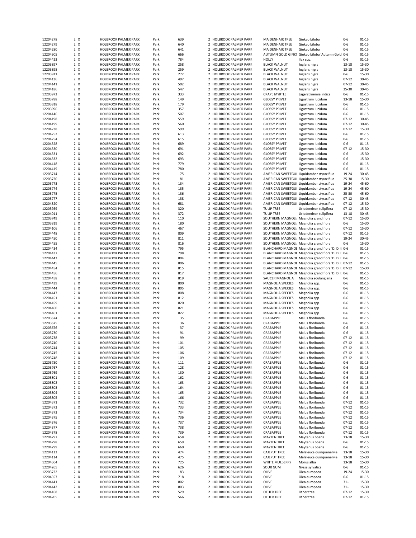| 12204278             | 2 X        | <b>HOLBROOK PALMER PARK</b>                  | Park         | 639        |                          | 2 HOLBROOK PALMER PARK                           | MAIDENHAIR TREE                                    | Ginkgo biloba                                        | $0 - 6$                | $01 - 15$          |
|----------------------|------------|----------------------------------------------|--------------|------------|--------------------------|--------------------------------------------------|----------------------------------------------------|------------------------------------------------------|------------------------|--------------------|
| 12204279             | 2 X        | <b>HOLBROOK PALMER PARK</b>                  | Park         | 640        |                          | 2 HOLBROOK PALMER PARK                           | <b>MAIDENHAIR TREE</b>                             | Ginkgo biloba                                        | $0 - 6$                | $01 - 15$          |
| 12204280             | 2 X        | <b>HOLBROOK PALMER PARK</b>                  | Park         | 641        | $\overline{2}$           | <b>HOLBROOK PALMER PARK</b>                      | <b>MAIDENHAIR TREE</b>                             | Ginkgo biloba                                        | $0-6$                  | $01 - 15$          |
|                      |            |                                              |              |            |                          |                                                  |                                                    |                                                      |                        |                    |
| 12204305             | 2 X        | <b>HOLBROOK PALMER PARK</b>                  | Park         | 666        |                          | 2 HOLBROOK PALMER PARK                           | AUTUMN GOLD GINK(                                  | Ginkgo biloba 'Autumn Gold 0-6                       |                        | $01 - 15$          |
| 12204423             | 2 X        | <b>HOLBROOK PALMER PARK</b>                  | Park         | 784        |                          | 2 HOLBROOK PALMER PARK                           | <b>HOLLY</b>                                       | Ilex spp.                                            | $0 - 6$                | $01 - 15$          |
| 12203897             | 2 X        | HOLBROOK PALMER PARK                         | Park         | 258        |                          | 2 HOLBROOK PALMER PARK                           | <b>BLACK WALNUT</b>                                | Juglans nigra                                        | $13 - 18$              | 15-30              |
| 12203898             | 2 X        | <b>HOLBROOK PALMER PARK</b>                  | Park         | 259        |                          | 2 HOLBROOK PALMER PARK                           | <b>BLACK WALNUT</b>                                | Juglans nigra                                        | $13 - 18$              | 15-30              |
| 12203911             | 2 X        | <b>HOLBROOK PALMER PARK</b>                  | Park         | 272        |                          | 2 HOLBROOK PALMER PARK                           | <b>BLACK WALNUT</b>                                | Juglans nigra                                        | $0-6$                  | $15 - 30$          |
|                      |            | <b>HOLBROOK PALMER PARK</b>                  |              |            |                          | 2 HOLBROOK PALMER PARK                           |                                                    |                                                      |                        |                    |
| 12204136             | 2 X        |                                              | Park         | 497        |                          |                                                  | <b>BLACK WALNUT</b>                                | Juglans nigra                                        | $07 - 12$              | $30 - 45$          |
| 12204141             | 2 X        | <b>HOLBROOK PALMER PARK</b>                  | Park         | 502        |                          | 2 HOLBROOK PALMER PARK                           | <b>BLACK WALNUT</b>                                | Juglans nigra                                        | $07 - 12$              | $30 - 45$          |
| 12204186             | 2 X        | <b>HOLBROOK PALMER PARK</b>                  | Park         | 547        |                          | 2 HOLBROOK PALMER PARK                           | <b>BLACK WALNUT</b>                                | Juglans nigra                                        | 25-30                  | $30 - 45$          |
| 12203972             | 2 X        | <b>HOLBROOK PALMER PARK</b>                  | Park         | 333        | $\overline{2}$           | HOLBROOK PALMER PARK                             | <b>CRAPE MYRTLE</b>                                | Lagerstroemia indica                                 | 0-6                    | $01 - 15$          |
| 12203788             | 2 X        | <b>HOLBROOK PALMER PARK</b>                  | Park         | 149        |                          | 2 HOLBROOK PALMER PARK                           | <b>GLOSSY PRIVET</b>                               | Ligustrum lucidum                                    | $13 - 18$              | 15-30              |
|                      |            |                                              |              |            |                          |                                                  |                                                    |                                                      |                        |                    |
| 12203818             | 2 X        | <b>HOLBROOK PALMER PARK</b>                  | Park         | 179        |                          | 2 HOLBROOK PALMER PARK                           | <b>GLOSSY PRIVET</b>                               | Ligustrum lucidum                                    | $0 - 6$                | $01 - 15$          |
| 12203996             | 2 X        | HOLBROOK PALMER PARK                         | Park         | 357        |                          | 2 HOLBROOK PALMER PARK                           | <b>GLOSSY PRIVET</b>                               | Ligustrum lucidum                                    | $0 - 6$                | $01 - 15$          |
| 12204146             | 2 X        | HOLBROOK PALMER PARK                         | Park         | 507        |                          | 2 HOLBROOK PALMER PARK                           | <b>GLOSSY PRIVET</b>                               | Ligustrum lucidum                                    | $0-6$                  | $01 - 15$          |
| 12204198             | 2 X        | <b>HOLBROOK PALMER PARK</b>                  | Park         | 559        |                          | 2 HOLBROOK PALMER PARK                           | <b>GLOSSY PRIVET</b>                               | Ligustrum lucidum                                    | $07 - 12$              | $30 - 45$          |
| 12204199             | 2 X        | <b>HOLBROOK PALMER PARK</b>                  | Park         | 560        |                          | 2 HOLBROOK PALMER PARK                           | <b>GLOSSY PRIVET</b>                               | Ligustrum lucidum                                    | $07 - 12$              | $30 - 45$          |
|                      |            |                                              |              |            |                          |                                                  |                                                    |                                                      |                        |                    |
| 12204238             | 2 X        | <b>HOLBROOK PALMER PARK</b>                  | Park         | 599        |                          | 2 HOLBROOK PALMER PARK                           | <b>GLOSSY PRIVET</b>                               | Ligustrum lucidum                                    | $07 - 12$              | 15-30              |
| 12204252             | 2 X        | <b>HOLBROOK PALMER PARK</b>                  | Park         | 613        |                          | 2 HOLBROOK PALMER PARK                           | <b>GLOSSY PRIVET</b>                               | Ligustrum lucidum                                    | $0 - 6$                | $01 - 15$          |
| 12204254             | 2 X        | <b>HOLBROOK PALMER PARK</b>                  | Park         | 615        |                          | 2 HOLBROOK PALMER PARK                           | <b>GLOSSY PRIVET</b>                               | Ligustrum lucidum                                    | $0 - 6$                | $01 - 15$          |
| 12204328             | 2 X        | <b>HOLBROOK PALMER PARK</b>                  | Park         | 689        |                          | 2 HOLBROOK PALMER PARK                           | <b>GLOSSY PRIVET</b>                               | Ligustrum lucidum                                    | $0 - 6$                | $01 - 15$          |
| 12204330             | 2 X        | <b>HOLBROOK PALMER PARK</b>                  | Park         | 691        |                          | 2 HOLBROOK PALMER PARK                           | <b>GLOSSY PRIVET</b>                               | Ligustrum lucidum                                    | $07 - 12$              | 15-30              |
|                      |            |                                              |              |            |                          |                                                  |                                                    |                                                      |                        |                    |
| 12204331             | 2 X        | HOLBROOK PALMER PARK                         | Park         | 692        |                          | 2 HOLBROOK PALMER PARK                           | <b>GLOSSY PRIVET</b>                               | Ligustrum lucidum                                    | $0 - 6$                | 15-30              |
| 12204332             | 2 X        | HOLBROOK PALMER PARK                         | Park         | 693        |                          | 2 HOLBROOK PALMER PARK                           | <b>GLOSSY PRIVET</b>                               | Ligustrum lucidum                                    | $0 - 6$                | 15-30              |
| 12204418             | 2 X        | <b>HOLBROOK PALMER PARK</b>                  | Park         | 779        |                          | 2 HOLBROOK PALMER PARK                           | <b>GLOSSY PRIVET</b>                               | Ligustrum lucidum                                    | $0 - 6$                | $01 - 15$          |
| 12204419             | 2 X        | <b>HOLBROOK PALMER PARK</b>                  | Park         | 780        |                          | 2 HOLBROOK PALMER PARK                           | <b>GLOSSY PRIVET</b>                               | Ligustrum lucidum                                    | $0 - 6$                | $01 - 15$          |
| 12203714             | 2 X        | <b>HOLBROOK PALMER PARK</b>                  | Park         | 75         | $\overline{\phantom{a}}$ | <b>HOLBROOK PALMER PARK</b>                      |                                                    | AMERICAN SWEETGUI Liquidambar styraciflua            | 19-24                  | $30 - 45$          |
|                      |            |                                              |              |            |                          |                                                  |                                                    |                                                      |                        |                    |
| 12203720             | 2 X        | <b>HOLBROOK PALMER PARK</b>                  | Park         | 81         |                          | 2 HOLBROOK PALMER PARK                           |                                                    | AMERICAN SWEETGUI Liquidambar styraciflua            | 25-30                  | 15-30              |
| 12203773             | 2 X        | <b>HOLBROOK PALMER PARK</b>                  | Park         | 134        |                          | 2 HOLBROOK PALMER PARK                           |                                                    | AMERICAN SWEETGUI Liquidambar styraciflua            | 19-24                  | 45-60              |
| 12203774             | 2 X        | <b>HOLBROOK PALMER PARK</b>                  | Park         | 135        |                          | 2 HOLBROOK PALMER PARK                           |                                                    | AMERICAN SWEETGUI Liquidambar styraciflua            | 19-24                  | 45-60              |
| 12203775             | 2 X        | <b>HOLBROOK PALMER PARK</b>                  | Park         | 136        |                          | 2 HOLBROOK PALMER PARK                           |                                                    | AMERICAN SWEETGUI Liquidambar styraciflua            | 25-30                  | 45-60              |
| 12203777             | 2 X        | HOLBROOK PALMER PARK                         | Park         | 138        |                          | 2 HOLBROOK PALMER PARK                           |                                                    | AMERICAN SWEETGUI Liquidambar styraciflua            | $07 - 12$              | $30 - 45$          |
|                      |            |                                              |              |            |                          |                                                  |                                                    |                                                      |                        |                    |
| 12204320             | 2 X        | <b>HOLBROOK PALMER PARK</b>                  | Park         | 681        |                          | 2 HOLBROOK PALMER PARK                           |                                                    | AMERICAN SWEETGUI Liquidambar styraciflua            | $07 - 12$              | 15-30              |
| 12203959             | 2 X        | <b>HOLBROOK PALMER PARK</b>                  | Park         | 320        |                          | 2 HOLBROOK PALMER PARK                           | <b>TULIP TREE</b>                                  | Liriodendron tulipifera                              | $07 - 12$              | 15-30              |
| 12204011             | 2 X        | <b>HOLBROOK PALMER PARK</b>                  | Park         | 372        |                          | 2 HOLBROOK PALMER PARK                           | <b>TULIP TREE</b>                                  | Liriodendron tulipifera                              | $13 - 18$              | $30 - 45$          |
| 12203749             | 2 X        | HOLBROOK PALMER PARK                         | Park         | 110        |                          | 2 HOLBROOK PALMER PARK                           | SOUTHERN MAGNOLI <sup>,</sup> Magnolia grandiflora |                                                      | $07 - 12$              | 15-30              |
|                      |            |                                              |              |            |                          |                                                  |                                                    |                                                      |                        |                    |
| 12203819             | 2 X        | <b>HOLBROOK PALMER PARK</b>                  | Park         | 180        |                          | 2 HOLBROOK PALMER PARK                           | SOUTHERN MAGNOLI, Magnolia grandiflora             |                                                      | $0-6$                  | 15-30              |
| 12204106             | 2 X        | <b>HOLBROOK PALMER PARK</b>                  | Park         | 467        |                          | 2 HOLBROOK PALMER PARK                           | SOUTHERN MAGNOLI, Magnolia grandiflora             |                                                      | $07 - 12$              | 15-30              |
| 12204448             | 2 X        | <b>HOLBROOK PALMER PARK</b>                  | Park         | 809        |                          | 2 HOLBROOK PALMER PARK                           | SOUTHERN MAGNOLI, Magnolia grandiflora             |                                                      | $07 - 12$              | $01 - 15$          |
| 12204450             | 2 X        | <b>HOLBROOK PALMER PARK</b>                  | Park         | 811        |                          | 2 HOLBROOK PALMER PARK                           | SOUTHERN MAGNOLI, Magnolia grandiflora             |                                                      | 19-24                  | $30 - 45$          |
| 12204455             | 2 X        | HOLBROOK PALMER PARK                         | Park         | 816        |                          | 2 HOLBROOK PALMER PARK                           | SOUTHERN MAGNOLI, Magnolia grandiflora             |                                                      | $0 - 6$                | 15-30              |
|                      |            |                                              |              |            |                          |                                                  |                                                    |                                                      |                        |                    |
| 12204434             | 2 X        | <b>HOLBROOK PALMER PARK</b>                  | Park         | 795        |                          | 2 HOLBROOK PALMER PARK                           |                                                    | BLANCHARD MAGNOL Magnolia grandiflora 'D. D. E 0-6   |                        | $01 - 15$          |
| 12204437             | 2 X        | <b>HOLBROOK PALMER PARK</b>                  | Park         | 798        |                          | 2 HOLBROOK PALMER PARK                           |                                                    | BLANCHARD MAGNOL Magnolia grandiflora 'D. D. E 0-6   |                        | $01 - 15$          |
|                      | 2 X        |                                              |              |            |                          |                                                  |                                                    | BLANCHARD MAGNOL Magnolia grandiflora 'D. D. E 0-6   |                        |                    |
| 12204443             |            | <b>HOLBROOK PALMER PARK</b>                  | Park         | 804        |                          | 2 HOLBROOK PALMER PARK                           |                                                    |                                                      |                        | $01 - 15$          |
|                      |            |                                              |              |            |                          |                                                  |                                                    |                                                      |                        |                    |
| 12204445             | 2 X        | HOLBROOK PALMER PARK                         | Park         | 806        |                          | 2 HOLBROOK PALMER PARK                           |                                                    | BLANCHARD MAGNOL Magnolia grandiflora 'D. D. E 07-12 |                        | $01 - 15$          |
| 12204454             | 2 X        | <b>HOLBROOK PALMER PARK</b>                  | Park         | 815        |                          | 2 HOLBROOK PALMER PARK                           |                                                    | BLANCHARD MAGNOL Magnolia grandiflora 'D. D. E 07-12 |                        | 15-30              |
| 12204456             | 2 X        | <b>HOLBROOK PALMER PARK</b>                  | Park         | 817        |                          | 2 HOLBROOK PALMER PARK                           |                                                    | BLANCHARD MAGNOL Magnolia grandiflora 'D. D. E 0-6   |                        | $01 - 15$          |
| 12204458             | 2 X        | <b>HOLBROOK PALMER PARK</b>                  | Park         | 819        |                          | 2 HOLBROOK PALMER PARK                           | SAUCER MAGNOLIA                                    | Magnolia soulangiana                                 | $0 - 6$                | $01 - 15$          |
| 12204439             | 2 X        | <b>HOLBROOK PALMER PARK</b>                  | Park         | 800        |                          | 2 HOLBROOK PALMER PARK                           | MAGNOLIA SPECIES                                   | Magnolia spp.                                        | $0 - 6$                | $01 - 15$          |
|                      |            |                                              |              |            |                          |                                                  |                                                    |                                                      |                        |                    |
| 12204444             | 2 X        | <b>HOLBROOK PALMER PARK</b>                  | Park         | 805        |                          | 2 HOLBROOK PALMER PARK                           | MAGNOLIA SPECIES                                   | Magnolia spp.                                        | $0 - 6$                | $01 - 15$          |
| 12204447             | 2 X        | <b>HOLBROOK PALMER PARK</b>                  | Park         | 808        |                          | 2 HOLBROOK PALMER PARK                           | MAGNOLIA SPECIES                                   | Magnolia spp.                                        | $0 - 6$                | $01 - 15$          |
| 12204451             | 2 X        | <b>HOLBROOK PALMER PARK</b>                  | Park         | 812        | $\mathcal{P}$            | HOLBROOK PALMER PARK                             | MAGNOLIA SPECIES                                   | Magnolia spp.                                        | $0 - 6$                | $01 - 15$          |
| 12204459             | 2 X        | <b>HOLBROOK PALMER PARK</b>                  | Park         | 820        |                          | 2 HOLBROOK PALMER PARK                           | MAGNOLIA SPECIES                                   | Magnolia spp.                                        | $0 - 6$                | $01 - 15$          |
| 12204460             | 2 X        | <b>HOLBROOK PALMER PARK</b>                  | Park         | 821        |                          | 2 HOLBROOK PALMER PARK                           | MAGNOLIA SPECIES                                   | Magnolia spp.                                        | $0 - 6$                | $01 - 15$          |
|                      |            |                                              |              |            |                          |                                                  |                                                    |                                                      |                        |                    |
| 12204461             | 2 X        | <b>HOLBROOK PALMER PARK</b>                  | Park         | 822        |                          | 2 HOLBROOK PALMER PARK                           | MAGNOLIA SPECIES                                   | Magnolia spp.                                        | $0 - 6$                | $01 - 15$          |
| 12203674             | 2 X        | <b>HOLBROOK PALMER PARK</b>                  | Park         | 35         |                          | 2 HOLBROOK PALMER PARK                           | CRABAPPLE                                          | Malus floribunda                                     | $0 - 6$                | $01 - 15$          |
| 12203675             | 2 X        | <b>HOLBROOK PALMER PARK</b>                  | Park         | 36         |                          | 2 HOLBROOK PALMER PARK                           | CRABAPPLE                                          | Malus floribunda                                     | $0 - 6$                | $01 - 15$          |
| 12203676             | 2 X        | HOLBROOK PALMER PARK                         | Park         | 37         |                          | 2 HOLBROOK PALMER PARK                           | CRABAPPLE                                          | Malus floribunda                                     | $0 - 6$                | $01 - 15$          |
| 12203730             | 2 X        | <b>HOLBROOK PALMER PARK</b>                  | Park         | 91         |                          | 2 HOLBROOK PALMER PARK                           | CRABAPPLE                                          | Malus floribunda                                     | $0 - 6$                | $01 - 15$          |
|                      |            |                                              |              |            |                          |                                                  |                                                    |                                                      |                        |                    |
| 12203738             | 2 X        | <b>HOLBROOK PALMER PARK</b>                  | Park         | 99         |                          | 2 HOLBROOK PALMER PARK                           | CRABAPPLE                                          | Malus floribunda                                     | $07 - 12$              | $01 - 15$          |
| 12203740             | 2 X        | <b>HOLBROOK PALMER PARK</b>                  | Park         | 101        | z                        | <b>HOLBROOK PALMER PARK</b>                      | <b>CRABAPPLE</b>                                   | Malus floribunda                                     | $07 - 12$              | $01 - 15$          |
| 12203744             | 2 X        | <b>HOLBROOK PALMER PARK</b>                  | Park         | 105        |                          | 2 HOLBROOK PALMER PARK                           | CRABAPPLE                                          | Malus floribunda                                     | $07 - 12$              | $01 - 15$          |
| 12203745             | 2 X        | HOLBROOK PALMER PARK                         | Park         | 106        |                          | 2 HOLBROOK PALMER PARK                           | CRABAPPLE                                          | Malus floribunda                                     | $07 - 12$              | 01-15              |
| 12203748             | 2 X        | HOLBROOK PALMER PARK                         | Park         | 109        |                          | 2 HOLBROOK PALMER PARK                           | CRABAPPLE                                          | Malus floribunda                                     | $07 - 12$              | 01-15              |
| 12203750             | 2 X        | HOLBROOK PALMER PARK                         | Park         | 111        |                          | 2 HOLBROOK PALMER PARK                           | CRABAPPLE                                          | Malus floribunda                                     | $0 - 6$                | $01 - 15$          |
|                      |            |                                              |              |            |                          |                                                  |                                                    |                                                      |                        |                    |
| 12203767             | 2 X        | HOLBROOK PALMER PARK                         | Park         | 128        |                          | 2 HOLBROOK PALMER PARK                           | CRABAPPLE                                          | Malus floribunda                                     | $0 - 6$                | $01 - 15$          |
| 12203769             | 2 X        | HOLBROOK PALMER PARK                         | Park         | 130        |                          | 2 HOLBROOK PALMER PARK                           | CRABAPPLE                                          | Malus floribunda                                     | $0 - 6$                | $01 - 15$          |
| 12203801             | 2 X        | HOLBROOK PALMER PARK                         | Park         | 162        |                          | 2 HOLBROOK PALMER PARK                           | CRABAPPLE                                          | Malus floribunda                                     | $0 - 6$                | 01-15              |
| 12203802             | 2 X        | HOLBROOK PALMER PARK                         | Park         | 163        |                          | 2 HOLBROOK PALMER PARK                           | CRABAPPLE                                          | Malus floribunda                                     | $0 - 6$                | $01 - 15$          |
|                      |            |                                              |              |            | 2                        |                                                  |                                                    |                                                      |                        |                    |
| 12203803             | 2 X        | HOLBROOK PALMER PARK                         | Park         | 164        |                          | HOLBROOK PALMER PARK                             | CRABAPPLE                                          | Malus floribunda                                     | $0 - 6$                | $01 - 15$          |
| 12203804             | 2 X        | HOLBROOK PALMER PARK                         | Park         | 165        |                          | 2 HOLBROOK PALMER PARK                           | CRABAPPLE                                          | Malus floribunda                                     | $0 - 6$                | 01-15              |
| 12203805             | 2 X        | HOLBROOK PALMER PARK                         | Park         | 166        |                          | 2 HOLBROOK PALMER PARK                           | CRABAPPLE                                          | Malus floribunda                                     | 0-6                    | 01-15              |
| 12204371             | 2 X        | HOLBROOK PALMER PARK                         | Park         | 732        |                          | 2 HOLBROOK PALMER PARK                           | CRABAPPLE                                          | Malus floribunda                                     | $07 - 12$              | 01-15              |
| 12204372             | 2 X        | HOLBROOK PALMER PARK                         | Park         | 733        |                          | 2 HOLBROOK PALMER PARK                           | CRABAPPLE                                          | Malus floribunda                                     | $07 - 12$              | $01 - 15$          |
|                      |            |                                              |              |            |                          |                                                  |                                                    | Malus floribunda                                     |                        |                    |
| 12204373             | 2 X        | HOLBROOK PALMER PARK                         | Park         | 734        |                          | 2 HOLBROOK PALMER PARK                           | CRABAPPLE                                          |                                                      | $07 - 12$              | $01 - 15$          |
| 12204375             | 2 X        | HOLBROOK PALMER PARK                         | Park         | 736        |                          | 2 HOLBROOK PALMER PARK                           | CRABAPPLE                                          | Malus floribunda                                     | $07 - 12$              | 01-15              |
| 12204376             | 2 X        | HOLBROOK PALMER PARK                         | Park         | 737        |                          | 2 HOLBROOK PALMER PARK                           | CRABAPPLE                                          | Malus floribunda                                     | $07 - 12$              | 01-15              |
| 12204377             | 2 X        | <b>HOLBROOK PALMER PARK</b>                  | Park         | 738        |                          | 2 HOLBROOK PALMER PARK                           | CRABAPPLE                                          | Malus floribunda                                     | $07 - 12$              | $01 - 15$          |
| 12204378             | 2 X        | HOLBROOK PALMER PARK                         | Park         | 739        | 2                        | <b>HOLBROOK PALMER PARK</b>                      | CRABAPPLE                                          | Malus floribunda                                     | $07 - 12$              | $01 - 15$          |
|                      |            |                                              |              |            |                          |                                                  |                                                    |                                                      |                        |                    |
| 12204297             | 2 X        | HOLBROOK PALMER PARK                         | Park         | 658        |                          | 2 HOLBROOK PALMER PARK                           | <b>MAYTEN TREE</b>                                 | Maytenus boaria                                      | 13-18                  | 15-30              |
| 12204298             | 2 X        | HOLBROOK PALMER PARK                         | Park         | 659        |                          | 2 HOLBROOK PALMER PARK                           | <b>MAYTEN TREE</b>                                 | Maytenus boaria                                      | 0-6                    | 01-15              |
| 12204299             | 2 X        | HOLBROOK PALMER PARK                         | Park         | 660        |                          | 2 HOLBROOK PALMER PARK                           | <b>MAYTEN TREE</b>                                 | Maytenus boaria                                      | 0-6                    | 01-15              |
| 12204113             | 2 X        | HOLBROOK PALMER PARK                         | Park         | 474        |                          | 2 HOLBROOK PALMER PARK                           | <b>CAJEPUT TREE</b>                                | Melaleuca quinquenervia                              | 13-18                  | 15-30              |
| 12204114             | 2 X        | HOLBROOK PALMER PARK                         | Park         | 475        |                          | 2 HOLBROOK PALMER PARK                           | <b>CAJEPUT TREE</b>                                | Melaleuca quinquenervia                              | 13-18                  | 15-30              |
|                      |            |                                              |              |            |                          |                                                  |                                                    |                                                      |                        |                    |
| 12204364             | 2 X        | HOLBROOK PALMER PARK                         | Park         | 725        |                          | 2 HOLBROOK PALMER PARK                           | WHITE MULBERRY                                     | Morus alba                                           | 13-18                  | 15-30              |
| 12204265             | 2 X        | HOLBROOK PALMER PARK                         | Park         | 626        |                          | 2 HOLBROOK PALMER PARK                           | <b>SOUR GUM</b>                                    | Nyssa sylvatica                                      | 0-6                    | 01-15              |
| 12203722             | 2 X        | HOLBROOK PALMER PARK                         | Park         | 83         |                          | 2 HOLBROOK PALMER PARK                           | OLIVE                                              | Olea europaea                                        | 19-24                  | 15-30              |
| 12204357             | 2 X        | HOLBROOK PALMER PARK                         | Park         | 718        |                          | 2 HOLBROOK PALMER PARK                           | OLIVE                                              | Olea europaea                                        | 0-6                    | $01 - 15$          |
| 12204441             | 2 X        | HOLBROOK PALMER PARK                         | Park         | 802        |                          | 2 HOLBROOK PALMER PARK                           | OLIVE                                              | Olea europaea                                        | $31+$                  | 15-30              |
|                      |            |                                              |              |            |                          |                                                  |                                                    |                                                      |                        |                    |
| 12204442             | 2 X        | HOLBROOK PALMER PARK                         | Park         | 803        |                          | 2 HOLBROOK PALMER PARK                           | OLIVE                                              | Olea europaea                                        | $31+$                  | 15-30              |
| 12204168<br>12204205 | 2 X<br>2 X | HOLBROOK PALMER PARK<br>HOLBROOK PALMER PARK | Park<br>Park | 529<br>566 |                          | 2 HOLBROOK PALMER PARK<br>2 HOLBROOK PALMER PARK | OTHER TREE<br><b>OTHER TREE</b>                    | Other tree<br>Other tree                             | $07 - 12$<br>$07 - 12$ | 15-30<br>$01 - 15$ |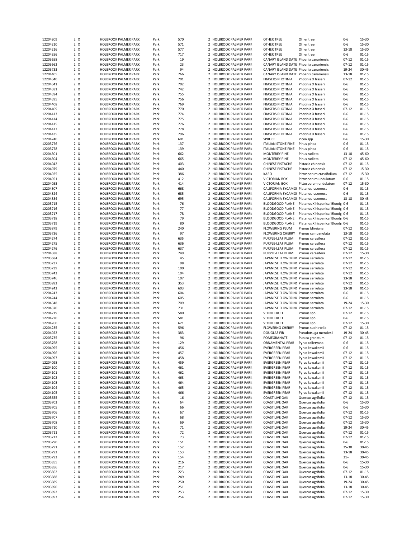| 12204209             | 2 X        | <b>HOLBROOK PALMER PARK</b>                  | Park         | 570        |                | 2 HOLBROOK PALMER PARK                           | OTHER TREE                              | Other tree                             | 0-6                    | 15-30          |
|----------------------|------------|----------------------------------------------|--------------|------------|----------------|--------------------------------------------------|-----------------------------------------|----------------------------------------|------------------------|----------------|
| 12204210             | 2 X        | <b>HOLBROOK PALMER PARK</b>                  | Park         | 571        |                | 2 HOLBROOK PALMER PARK                           | OTHER TREE                              | Other tree                             | $0 - 6$                | 15-30          |
| 12204216             | 2 X        | HOLBROOK PALMER PARK                         | Park         | 577        |                | $\overline{2}$<br><b>HOLBROOK PALMER PARK</b>    | OTHER TREE                              | Other tree                             | 13-18                  | 15-30          |
|                      |            |                                              |              |            |                |                                                  |                                         |                                        |                        |                |
| 12204356             | 2 X        | <b>HOLBROOK PALMER PARK</b>                  | Park         | 717        |                | 2 HOLBROOK PALMER PARK                           | OTHER TREE                              | Other tree                             | 0-6                    | $01 - 15$      |
| 12203658             | 2 X        | <b>HOLBROOK PALMER PARK</b>                  | Park         | 19         |                | 2 HOLBROOK PALMER PARK                           | CANARY ISLAND DATE Phoenix canariensis  |                                        | $07 - 12$              | $01 - 15$      |
| 12203662             | 2 X        | HOLBROOK PALMER PARK                         | Park         | 23         |                | 2 HOLBROOK PALMER PARK                           | CANARY ISLAND DATE Phoenix canariensis  |                                        | $07 - 12$              | $01 - 15$      |
| 12203733             | 2 X        | <b>HOLBROOK PALMER PARK</b>                  | Park         | 94         |                | 2 HOLBROOK PALMER PARK                           | CANARY ISLAND DATE Phoenix canariensis  |                                        | 19-24                  | $30 - 45$      |
| 12204405             | 2 X        | HOLBROOK PALMER PARK                         | Park         | 766        |                | 2 HOLBROOK PALMER PARK                           | CANARY ISLAND DATE Phoenix canariensis  |                                        | 13-18                  | $01 - 15$      |
|                      |            |                                              |              |            |                | 2 HOLBROOK PALMER PARK                           |                                         |                                        |                        |                |
| 12204340             | 2 X        | HOLBROOK PALMER PARK                         | Park         | 701        |                |                                                  | <b>FRASERS PHOTINIA</b>                 | Photinia X fraseri                     | $07 - 12$              | $01 - 15$      |
| 12204341             | 2 X        | HOLBROOK PALMER PARK                         | Park         | 702        |                | 2 HOLBROOK PALMER PARK                           | <b>FRASERS PHOTINIA</b>                 | Photinia X fraseri                     | $0 - 6$                | $01 - 15$      |
| 12204381             | 2 X        | <b>HOLBROOK PALMER PARK</b>                  | Park         | 742        |                | 2 HOLBROOK PALMER PARK                           | <b>FRASERS PHOTINIA</b>                 | Photinia X fraseri                     | $0 - 6$                | $01 - 15$      |
| 12204394             | 2 X        | <b>HOLBROOK PALMER PARK</b>                  | Park         | 755        | $\overline{2}$ | <b>HOLBROOK PALMER PARK</b>                      | <b>FRASERS PHOTINIA</b>                 | Photinia X fraseri                     | $0 - 6$                | $01 - 15$      |
| 12204395             | 2 X        | <b>HOLBROOK PALMER PARK</b>                  | Park         | 756        |                | 2 HOLBROOK PALMER PARK                           | <b>FRASERS PHOTINIA</b>                 | Photinia X fraseri                     | $0 - 6$                | $01 - 15$      |
|                      |            |                                              |              |            |                |                                                  |                                         |                                        |                        |                |
| 12204408             | 2 X        | <b>HOLBROOK PALMER PARK</b>                  | Park         | 769        |                | 2 HOLBROOK PALMER PARK                           | <b>FRASERS PHOTINIA</b>                 | Photinia X fraseri                     | $0-6$                  | $01 - 15$      |
| 12204409             | 2 X        | <b>HOLBROOK PALMER PARK</b>                  | Park         | 770        |                | 2 HOLBROOK PALMER PARK                           | <b>FRASERS PHOTINIA</b>                 | Photinia X fraseri                     | $07 - 12$              | $01 - 15$      |
| 12204413             | 2 X        | HOLBROOK PALMER PARK                         | Park         | 774        |                | 2 HOLBROOK PALMER PARK                           | <b>FRASERS PHOTINIA</b>                 | Photinia X fraseri                     | $0 - 6$                | $01 - 15$      |
| 12204414             | 2 X        | <b>HOLBROOK PALMER PARK</b>                  | Park         | 775        | $\overline{2}$ | <b>HOLBROOK PALMER PARK</b>                      | <b>FRASERS PHOTINIA</b>                 | Photinia X fraseri                     | $0 - 6$                | $01 - 15$      |
| 12204415             | 2 X        | <b>HOLBROOK PALMER PARK</b>                  | Park         | 776        |                | 2 HOLBROOK PALMER PARK                           | <b>FRASERS PHOTINIA</b>                 | Photinia X fraseri                     | $0 - 6$                | $01 - 15$      |
|                      |            |                                              |              |            |                |                                                  |                                         |                                        |                        |                |
| 12204417             | 2 X        | <b>HOLBROOK PALMER PARK</b>                  | Park         | 778        |                | 2 HOLBROOK PALMER PARK                           | <b>FRASERS PHOTINIA</b>                 | Photinia X fraseri                     | $0 - 6$                | $01 - 15$      |
| 12204435             | 2 X        | <b>HOLBROOK PALMER PARK</b>                  | Park         | 796        |                | 2 HOLBROOK PALMER PARK                           | <b>FRASERS PHOTINIA</b>                 | Photinia X fraseri                     | $0 - 6$                | $01 - 15$      |
| 12204240             | 2 X        | <b>HOLBROOK PALMER PARK</b>                  | Park         | 601        | $\overline{2}$ | <b>HOLBROOK PALMER PARK</b>                      | SPRUCE                                  | Picea spp.                             | $0 - 6$                | 15-30          |
| 12203776             | 2 X        | <b>HOLBROOK PALMER PARK</b>                  | Park         | 137        |                | 2 HOLBROOK PALMER PARK                           | <b>ITALIAN STONE PINE</b>               | Pinus pinea                            | $0 - 6$                | $01 - 15$      |
| 12203778             | 2 X        | <b>HOLBROOK PALMER PARK</b>                  | Park         | 139        |                | 2 HOLBROOK PALMER PARK                           | <b>ITALIAN STONE PINE</b>               | Pinus pinea                            | $0 - 6$                | $01 - 15$      |
|                      |            |                                              |              |            |                |                                                  |                                         |                                        |                        |                |
| 12204301             | 2 X        | <b>HOLBROOK PALMER PARK</b>                  | Park         | 662        |                | 2 HOLBROOK PALMER PARK                           | <b>MONTEREY PINE</b>                    | Pinus radiata                          | 13-18                  | 45-60          |
| 12204304             | 2 X        | HOLBROOK PALMER PARK                         | Park         | 665        |                | 2 HOLBROOK PALMER PARK                           | <b>MONTEREY PINE</b>                    | Pinus radiata                          | $07 - 12$              | 45-60          |
| 12204042             | 2 X        | <b>HOLBROOK PALMER PARK</b>                  | Park         | 403        |                | 2 HOLBROOK PALMER PARK                           | CHINESE PISTACHE                        | Pistacia chinensis                     | $07 - 12$              | $01 - 15$      |
| 12204079             | 2 X        | <b>HOLBROOK PALMER PARK</b>                  | Park         | 440        |                | 2 HOLBROOK PALMER PARK                           | CHINESE PISTACHE                        | Pistacia chinensis                     | $07 - 12$              | 15-30          |
| 12204025             | 2 X        | <b>HOLBROOK PALMER PARK</b>                  | Park         | 386        |                | 2 HOLBROOK PALMER PARK                           | <b>KARO</b>                             | Pittosporum crassifolium               | $07 - 12$              | 15-30          |
|                      |            |                                              |              |            |                |                                                  |                                         |                                        |                        |                |
| 12204051             | 2 X        | <b>HOLBROOK PALMER PARK</b>                  | Park         | 412        |                | 2 HOLBROOK PALMER PARK                           | <b>VICTORIAN BOX</b>                    | Pittosporum undulatum                  | $0-6$                  | $01 - 15$      |
| 12204053             | 2 X        | <b>HOLBROOK PALMER PARK</b>                  | Park         | 414        | $\overline{2}$ | <b>HOLBROOK PALMER PARK</b>                      | <b>VICTORIAN BOX</b>                    | Pittosporum undulatum                  | $07 - 12$              | 15-30          |
| 12204307             | 2 X        | HOLBROOK PALMER PARK                         | Park         | 668        |                | 2 HOLBROOK PALMER PARK                           | CALIFORNIA SYCAMOF Platanus racemosa    |                                        | $0 - 6$                | $01 - 15$      |
| 12204324             | 2 X        | <b>HOLBROOK PALMER PARK</b>                  | Park         | 685        |                | 2 HOLBROOK PALMER PARK                           | CALIFORNIA SYCAMOF Platanus racemosa    |                                        | $0 - 6$                | $01 - 15$      |
|                      |            |                                              |              |            |                |                                                  |                                         |                                        |                        |                |
| 12204334             | 2 X        | HOLBROOK PALMER PARK                         | Park         | 695        |                | 2 HOLBROOK PALMER PARK                           | CALIFORNIA SYCAMOF Platanus racemosa    |                                        | $13 - 18$              | $30 - 45$      |
| 12203715             | 2 X        | <b>HOLBROOK PALMER PARK</b>                  | Park         | 76         |                | 2 HOLBROOK PALMER PARK                           | <b>BLOODGOOD PLANE</b>                  | Platanus X hispanica 'Bloodg 0-6       |                        | $01 - 15$      |
| 12203716             | 2 X        | <b>HOLBROOK PALMER PARK</b>                  | Park         | 77         |                | <b>HOLBROOK PALMER PARK</b><br>$\overline{2}$    | BLOODGOOD PLANE                         | Platanus X hispanica 'Bloodg 0-6       |                        | $01 - 15$      |
| 12203717             | 2 X        | <b>HOLBROOK PALMER PARK</b>                  | Park         | 78         |                | 2 HOLBROOK PALMER PARK                           | BLOODGOOD PLANE                         | Platanus X hispanica 'Bloodg 0-6       |                        | $01 - 15$      |
| 12203718             | 2 X        | HOLBROOK PALMER PARK                         | Park         | 79         |                | $\overline{2}$<br>HOLBROOK PALMER PARK           | <b>BLOODGOOD PLANE</b>                  | Platanus X hispanica 'Bloodg 0-6       |                        | $01 - 15$      |
|                      |            |                                              |              |            |                |                                                  |                                         |                                        |                        |                |
| 12203719             | 2 X        | <b>HOLBROOK PALMER PARK</b>                  | Park         | 80         |                | 2 HOLBROOK PALMER PARK                           | BLOODGOOD PLANE                         | Platanus X hispanica 'Bloodg 0-6       |                        | $01 - 15$      |
| 12203879             | 2 X        | <b>HOLBROOK PALMER PARK</b>                  | Park         | 240        |                | 2 HOLBROOK PALMER PARK                           | FLOWERING PLUM                          | Prunus blireiana                       | $07 - 12$              | $01 - 15$      |
| 12203736             | 2 X        | <b>HOLBROOK PALMER PARK</b>                  | Park         | 97         |                | 2 HOLBROOK PALMER PARK                           | <b>FLOWERING CHERRY</b>                 | Prunus campanulata                     | 13-18                  | $01 - 15$      |
| 12204274             | 2 X        | <b>HOLBROOK PALMER PARK</b>                  | Park         | 635        |                | 2 HOLBROOK PALMER PARK                           | PURPLE-LEAF PLUM                        | Prunus cerasifera                      | $07 - 12$              | $01 - 15$      |
| 12204275             | 2 X        | HOLBROOK PALMER PARK                         | Park         | 636        |                | 2 HOLBROOK PALMER PARK                           | PURPLE-LEAF PLUM                        | Prunus cerasifera                      | $07 - 12$              | $01 - 15$      |
|                      |            |                                              |              |            |                |                                                  |                                         |                                        |                        |                |
| 12204276             | 2 X        | <b>HOLBROOK PALMER PARK</b>                  | Park         | 637        |                | 2 HOLBROOK PALMER PARK                           | PURPLE-LEAF PLUM                        | Prunus cerasifera                      | $07 - 12$              | $01 - 15$      |
| 12204388             | 2 X        | <b>HOLBROOK PALMER PARK</b>                  | Park         | 749        |                | $\mathcal{P}$<br><b>HOLBROOK PALMER PARK</b>     | PURPLE-LEAF PLUM                        | Prunus cerasifera                      | $07 - 12$              | 15-30          |
| 12203684             | 2 X        | <b>HOLBROOK PALMER PARK</b>                  | Park         | 45         |                | 2 HOLBROOK PALMER PARK                           | JAPANESE FLOWERINC Prunus serrulata     |                                        | $07 - 12$              | $01 - 15$      |
| 12203737             | 2 X        | HOLBROOK PALMER PARK                         | Park         | 98         |                | $\overline{2}$<br><b>HOLBROOK PALMER PARK</b>    | JAPANESE FLOWERINC Prunus serrulata     |                                        | $07 - 12$              | $01 - 15$      |
|                      | 2 X        |                                              |              | 100        |                | 2 HOLBROOK PALMER PARK                           |                                         |                                        | $07 - 12$              | $01 - 15$      |
| 12203739             |            | <b>HOLBROOK PALMER PARK</b>                  | Park         |            |                |                                                  | JAPANESE FLOWERINC Prunus serrulata     |                                        |                        |                |
| 12203743             | 2 X        | <b>HOLBROOK PALMER PARK</b>                  | Park         | 104        |                | 2 HOLBROOK PALMER PARK                           | JAPANESE FLOWERINC Prunus serrulata     |                                        | $07 - 12$              | $01 - 15$      |
| 12203746             | 2 X        | <b>HOLBROOK PALMER PARK</b>                  | Park         | 107        |                | 2 HOLBROOK PALMER PARK                           | JAPANESE FLOWERING Prunus serrulata     |                                        | 13-18                  | $01 - 15$      |
| 12203992             | 2 X        | HOLBROOK PALMER PARK                         | Park         | 353        |                | 2 HOLBROOK PALMER PARK                           | JAPANESE FLOWERINC Prunus serrulata     |                                        | $07 - 12$              | $01 - 15$      |
| 12204242             | 2 X        | HOLBROOK PALMER PARK                         | Park         | 603        |                | 2 HOLBROOK PALMER PARK                           | JAPANESE FLOWERINC Prunus serrulata     |                                        | $13 - 18$              | $01 - 15$      |
|                      | 2 X        |                                              |              | 604        |                | 2 HOLBROOK PALMER PARK                           | JAPANESE FLOWERINC Prunus serrulata     |                                        | $0 - 6$                | $01 - 15$      |
| 12204243             |            | <b>HOLBROOK PALMER PARK</b>                  | Park         |            |                |                                                  |                                         |                                        |                        |                |
| 12204244             | 2 X        | <b>HOLBROOK PALMER PARK</b>                  | Park         | 605        | $\mathcal{P}$  | <b>HOLBROOK PALMER PARK</b>                      | JAPANESE FLOWERINC Prunus serrulata     |                                        | $0-6$                  | $01 - 15$      |
| 12204348             | 2 X        | <b>HOLBROOK PALMER PARK</b>                  | Park         | 709        |                | 2 HOLBROOK PALMER PARK                           | JAPANESE FLOWERIN( Prunus serrulata     |                                        | 19-24                  | 15-30          |
| 12204370             | 2 X        | HOLBROOK PALMER PARK                         | Park         | 731        |                | 2 HOLBROOK PALMER PARK                           | JAPANESE FLOWERINC Prunus serrulata     |                                        | $07 - 12$              | $01 - 15$      |
| 12204219             | 2 X        | <b>HOLBROOK PALMER PARK</b>                  | Park         | 580        |                | 2 HOLBROOK PALMER PARK                           | <b>STONE FRUIT</b>                      | Prunus spp.                            | $07 - 12$              | $01 - 15$      |
|                      |            |                                              |              |            |                |                                                  |                                         |                                        |                        |                |
| 12204220             | 2 X        | <b>HOLBROOK PALMER PARK</b>                  | Park         | 581        |                | 2 HOLBROOK PALMER PARK                           | <b>STONE FRUIT</b>                      | Prunus spp.                            | $0-6$                  | $01 - 15$      |
| 12204260             | 2 X        | HOLBROOK PALMER PARK                         | Park         | 621        |                | 2 HOLBROOK PALMER PARK                           | <b>STONE FRUIT</b>                      | Prunus spp.                            | $07 - 12$              | 15-30          |
| 12204235             | 2 X        | <b>HOLBROOK PALMER PARK</b>                  | Park         | 596        |                | 2 HOLBROOK PALMER PARK                           | <b>FLOWERNG CHERRY</b>                  | Prunus subhirtella                     | $07 - 12$              | $01 - 15$      |
| 12204022             | 2 X        | HOLBROOK PALMER PARK                         | Park         | 383        |                | <b>HOLBROOK PALMER PARK</b><br>$\mathcal{P}$     | <b>DOUGLAS FIR</b>                      | Pseudotsuga menziesii                  | 19-24                  | $30 - 45$      |
| 12203735             | 2 X        | <b>HOLBROOK PALMER PARK</b>                  | Park         | 96         |                | 2 HOLBROOK PALMER PARK                           | POMEGRANATE                             | Punica granatum                        | $07 - 12$              | $01 - 15$      |
|                      |            |                                              |              |            |                |                                                  |                                         |                                        |                        |                |
| 12203768             | 2 X        | HOLBROOK PALMER PARK                         | Park         | 129        |                | <b>HOLBROOK PALMER PARK</b><br>z                 | <b>URNAMENTAL PEAR</b>                  | Pyrus calleryana                       | $0 - 6$                | $01 - 15$      |
| 12204095             | 2 X        | <b>HOLBROOK PALMER PARK</b>                  | Park         | 456        |                | 2 HOLBROOK PALMER PARK                           | <b>EVERGREEN PEAR</b>                   | Pyrus kawakamii                        | 0-6                    | 01-15          |
| 12204096             | 2 X        | HOLBROOK PALMER PARK                         | Park         | 457        |                | 2 HOLBROOK PALMER PARK                           | <b>EVERGREEN PEAR</b>                   | Pyrus kawakamii                        | $07 - 12$              | 01-15          |
| 12204097             | 2 X        | HOLBROOK PALMER PARK                         | Park         | 458        |                | 2 HOLBROOK PALMER PARK                           | <b>EVERGREEN PEAR</b>                   | Pyrus kawakamii                        | $07 - 12$              | 01-15          |
| 12204098             | 2 X        | HOLBROOK PALMER PARK                         | Park         | 459        |                | 2 HOLBROOK PALMER PARK                           | <b>EVERGREEN PEAR</b>                   | Pyrus kawakamii                        | $07 - 12$              | $01 - 15$      |
| 12204100             | 2 X        | HOLBROOK PALMER PARK                         | Park         | 461        |                | 2 HOLBROOK PALMER PARK                           | <b>EVERGREEN PEAR</b>                   | Pyrus kawakamii                        | $07 - 12$              | $01 - 15$      |
|                      |            |                                              |              |            |                |                                                  |                                         |                                        |                        |                |
| 12204101             | 2 X        | HOLBROOK PALMER PARK                         | Park         | 462        |                | 2 HOLBROOK PALMER PARK                           | <b>EVERGREEN PEAR</b>                   | Pyrus kawakamii                        | $07 - 12$              | 01-15          |
| 12204102             | 2 X        | HOLBROOK PALMER PARK                         | Park         | 463        |                | 2 HOLBROOK PALMER PARK                           | <b>EVERGREEN PEAR</b>                   | Pyrus kawakamii                        | $07 - 12$              | 01-15          |
| 12204103             | 2 X        | HOLBROOK PALMER PARK                         | Park         | 464        |                | 2 HOLBROOK PALMER PARK                           | <b>EVERGREEN PEAR</b>                   | Pyrus kawakamii                        | $07 - 12$              | $01 - 15$      |
| 12204104             | 2 X        | HOLBROOK PALMER PARK                         | Park         | 465        | 2              | <b>HOLBROOK PALMER PARK</b>                      | <b>EVERGREEN PEAR</b>                   | Pyrus kawakamii                        | $07 - 12$              | $01 - 15$      |
| 12204105             | 2 X        | HOLBROOK PALMER PARK                         | Park         | 466        |                | 2 HOLBROOK PALMER PARK                           | <b>EVERGREEN PEAR</b>                   | Pyrus kawakamii                        | $07 - 12$              | $01 - 15$      |
| 12203655             | 2 X        | HOLBROOK PALMER PARK                         |              |            |                | 2 HOLBROOK PALMER PARK                           |                                         |                                        | $07 - 12$              | 01-15          |
|                      |            |                                              | Park         | 16         |                |                                                  | COAST LIVE OAK                          | Quercus agrifolia                      |                        |                |
| 12203703             | 2 X        |                                              | Park         | 64         |                | 2 HOLBROOK PALMER PARK                           | COAST LIVE OAK                          | Quercus agrifolia                      | 0-6                    | 15-30          |
| 12203705             |            | HOLBROOK PALMER PARK                         |              |            |                | 2 HOLBROOK PALMER PARK                           |                                         | Quercus agrifolia                      | 0-6                    | 15-30          |
| 12203706             | 2 X        | HOLBROOK PALMER PARK                         | Park         | 66         |                |                                                  | <b>COAST LIVE OAK</b>                   |                                        |                        |                |
|                      | 2 X        | HOLBROOK PALMER PARK                         | Park         | 67         |                | 2 HOLBROOK PALMER PARK                           | <b>COAST LIVE OAK</b>                   | Quercus agrifolia                      | $07 - 12$              | $01 - 15$      |
|                      |            |                                              |              |            |                |                                                  |                                         |                                        |                        |                |
| 12203707             | 2 X        | HOLBROOK PALMER PARK                         | Park         | 68         |                | 2 HOLBROOK PALMER PARK                           | <b>COAST LIVE OAK</b>                   | Quercus agrifolia                      | $07 - 12$              | 15-30          |
| 12203708             | 2 X        | HOLBROOK PALMER PARK                         | Park         | 69         |                | 2 HOLBROOK PALMER PARK                           | COAST LIVE OAK                          | Quercus agrifolia                      | $07 - 12$              | 15-30          |
| 12203710             | 2 X        | HOLBROOK PALMER PARK                         | Park         | 71         |                | 2 HOLBROOK PALMER PARK                           | COAST LIVE OAK                          | Quercus agrifolia                      | 19-24                  | 30-45          |
| 12203711             | 2 X        | HOLBROOK PALMER PARK                         | Park         | 72         | 2              | <b>HOLBROOK PALMER PARK</b>                      | COAST LIVE OAK                          | Quercus agrifolia                      | $07 - 12$              | $01 - 15$      |
| 12203712             | 2 X        | HOLBROOK PALMER PARK                         | Park         | 73         |                | 2 HOLBROOK PALMER PARK                           | COAST LIVE OAK                          | Quercus agrifolia                      | $07 - 12$              | $01 - 15$      |
|                      |            |                                              |              |            |                |                                                  |                                         |                                        |                        |                |
| 12203790             | 2 X        | HOLBROOK PALMER PARK                         | Park         | 151        |                | 2 HOLBROOK PALMER PARK                           | COAST LIVE OAK                          | Quercus agrifolia                      | 0-6                    | $01 - 15$      |
| 12203791             | 2 X        | HOLBROOK PALMER PARK                         | Park         | 152        |                | 2 HOLBROOK PALMER PARK                           | COAST LIVE OAK                          | Quercus agrifolia                      | 25-30                  | 30-45          |
| 12203792             | 2 X        | HOLBROOK PALMER PARK                         | Park         | 153        |                | 2 HOLBROOK PALMER PARK                           | COAST LIVE OAK                          | Quercus agrifolia                      | 13-18                  | 30-45          |
| 12203793             | 2 X        | HOLBROOK PALMER PARK                         | Park         | 154        |                | 2 HOLBROOK PALMER PARK                           | <b>COAST LIVE OAK</b>                   | Quercus agrifolia                      | $31+$                  | 30-45          |
| 12203855             | 2 X        | HOLBROOK PALMER PARK                         | Park         | 216        |                | 2 HOLBROOK PALMER PARK                           | COAST LIVE OAK                          | Quercus agrifolia                      | $0 - 6$                | 15-30          |
|                      |            |                                              |              |            |                |                                                  |                                         |                                        |                        |                |
| 12203856             | 2 X        | HOLBROOK PALMER PARK                         | Park         | 217        |                | 2 HOLBROOK PALMER PARK                           | COAST LIVE OAK                          | Quercus agrifolia                      | 0-6                    | 15-30          |
| 12203862             | 2 X        | HOLBROOK PALMER PARK                         | Park         | 223        |                | 2 HOLBROOK PALMER PARK                           | COAST LIVE OAK                          | Quercus agrifolia                      | $07 - 12$              | $01 - 15$      |
| 12203888             | 2 X        | HOLBROOK PALMER PARK                         | Park         | 249        |                | $\overline{2}$<br>HOLBROOK PALMER PARK           | <b>COAST LIVE OAK</b>                   | Quercus agrifolia                      | 13-18                  | 30-45          |
| 12203889             | 2 X        | HOLBROOK PALMER PARK                         | Park         | 250        |                | 2 HOLBROOK PALMER PARK                           | COAST LIVE OAK                          | Quercus agrifolia                      | 19-24                  | 30-45          |
| 12203890             | 2 X        | HOLBROOK PALMER PARK                         | Park         | 251        |                | 2 HOLBROOK PALMER PARK                           | COAST LIVE OAK                          | Quercus agrifolia                      | 13-18                  | 30-45          |
|                      |            |                                              |              |            |                |                                                  |                                         |                                        |                        |                |
| 12203892<br>12203893 | 2 X<br>2 X | HOLBROOK PALMER PARK<br>HOLBROOK PALMER PARK | Park<br>Park | 253<br>254 |                | 2 HOLBROOK PALMER PARK<br>2 HOLBROOK PALMER PARK | COAST LIVE OAK<br><b>COAST LIVE OAK</b> | Quercus agrifolia<br>Quercus agrifolia | $07 - 12$<br>$07 - 12$ | 15-30<br>15-30 |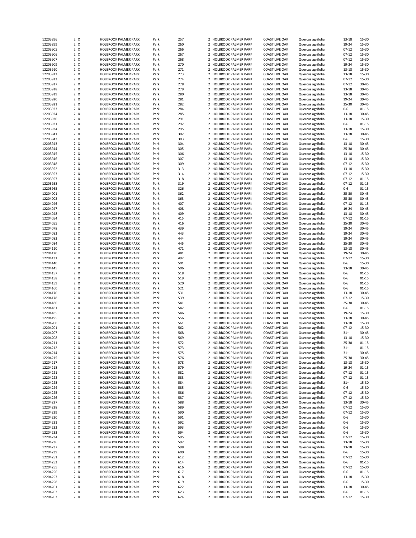| 12203896             | 2 X        | <b>HOLBROOK PALMER PARK</b>                  | Park         | 257        |                | 2 HOLBROOK PALMER PARK                           | <b>COAST LIVE OAK</b>                          | Quercus agrifolia                      | 13-18                | 15-30          |
|----------------------|------------|----------------------------------------------|--------------|------------|----------------|--------------------------------------------------|------------------------------------------------|----------------------------------------|----------------------|----------------|
| 12203899             | 2 X        | <b>HOLBROOK PALMER PARK</b>                  | Park         | 260        |                | 2 HOLBROOK PALMER PARK                           | <b>COAST LIVE OAK</b>                          | Quercus agrifolia                      | 19-24                | 15-30          |
| 12203905             | 2 X        | HOLBROOK PALMER PARK                         | Park         | 266        |                | 2 HOLBROOK PALMER PARK                           | <b>COAST LIVE OAK</b>                          | Quercus agrifolia                      | $07 - 12$            | 15-30          |
|                      |            |                                              |              |            |                |                                                  |                                                |                                        |                      |                |
| 12203906             | 2 X        | HOLBROOK PALMER PARK                         | Park         | 267        |                | 2 HOLBROOK PALMER PARK                           | <b>COAST LIVE OAK</b>                          | Quercus agrifolia                      | $07 - 12$            | 15-30          |
| 12203907             | 2 X        | <b>HOLBROOK PALMER PARK</b>                  | Park         | 268        |                | 2 HOLBROOK PALMER PARK                           | <b>COAST LIVE OAK</b>                          | Quercus agrifolia                      | $07 - 12$            | 15-30          |
| 12203909             | 2 X        | HOLBROOK PALMER PARK                         | Park         | 270        |                | 2 HOLBROOK PALMER PARK                           | <b>COAST LIVE OAK</b>                          | Quercus agrifolia                      | 19-24                | 15-30          |
| 12203910             | 2 X        | <b>HOLBROOK PALMER PARK</b>                  | Park         | 271        |                | 2 HOLBROOK PALMER PARK                           | <b>COAST LIVE OAK</b>                          | Quercus agrifolia                      | 13-18                | 15-30          |
| 12203912             | 2 X        | <b>HOLBROOK PALMER PARK</b>                  | Park         | 273        | $\overline{2}$ | <b>HOLBROOK PALMER PARK</b>                      | <b>COAST LIVE OAK</b>                          | Quercus agrifolia                      | 13-18                | 15-30          |
| 12203913             | 2 X        | <b>HOLBROOK PALMER PARK</b>                  | Park         | 274        |                | 2 HOLBROOK PALMER PARK                           | <b>COAST LIVE OAK</b>                          | Quercus agrifolia                      | $07 - 12$            | 15-30          |
|                      |            |                                              |              |            |                |                                                  |                                                |                                        |                      |                |
| 12203917             | 2 X        | HOLBROOK PALMER PARK                         | Park         | 278        |                | 2 HOLBROOK PALMER PARK                           | <b>COAST LIVE OAK</b>                          | Quercus agrifolia                      | $07 - 12$            | 30-45          |
| 12203918             | 2 X        | HOLBROOK PALMER PARK                         | Park         | 279        |                | 2 HOLBROOK PALMER PARK                           | <b>COAST LIVE OAK</b>                          | Quercus agrifolia                      | 13-18                | $30 - 45$      |
| 12203919             | 2 X        | HOLBROOK PALMER PARK                         | Park         | 280        |                | 2 HOLBROOK PALMER PARK                           | <b>COAST LIVE OAK</b>                          | Quercus agrifolia                      | 13-18                | $30 - 45$      |
| 12203920             | 2 X        | HOLBROOK PALMER PARK                         | Park         | 281        |                | 2 HOLBROOK PALMER PARK                           | <b>COAST LIVE OAK</b>                          | Quercus agrifolia                      | 19-24                | $30 - 45$      |
| 12203921             | 2 X        | <b>HOLBROOK PALMER PARK</b>                  | Park         | 282        |                | 2 HOLBROOK PALMER PARK                           | <b>COAST LIVE OAK</b>                          | Quercus agrifolia                      | 25-30                | $30 - 45$      |
|                      |            |                                              |              |            |                |                                                  |                                                |                                        |                      |                |
| 12203923             | 2 X        | HOLBROOK PALMER PARK                         | Park         | 284        | $\mathcal{P}$  | HOLBROOK PALMER PARK                             | <b>COAST LIVE OAK</b>                          | Quercus agrifolia                      | $0 - 6$              | $01 - 15$      |
| 12203924             | 2 X        | <b>HOLBROOK PALMER PARK</b>                  | Park         | 285        |                | 2 HOLBROOK PALMER PARK                           | <b>COAST LIVE OAK</b>                          | Quercus agrifolia                      | 13-18                | 30-45          |
| 12203930             | 2 X        | <b>HOLBROOK PALMER PARK</b>                  | Park         | 291        | 2              | <b>HOLBROOK PALMER PARK</b>                      | <b>COAST LIVE OAK</b>                          | Quercus agrifolia                      | 13-18                | 15-30          |
| 12203931             | 2 X        | <b>HOLBROOK PALMER PARK</b>                  | Park         | 292        |                | 2 HOLBROOK PALMER PARK                           | <b>COAST LIVE OAK</b>                          | Quercus agrifolia                      | $0 - 6$              | $01 - 15$      |
| 12203934             | 2 X        | <b>HOLBROOK PALMER PARK</b>                  | Park         | 295        |                | 2 HOLBROOK PALMER PARK                           | <b>COAST LIVE OAK</b>                          | Quercus agrifolia                      | $13 - 18$            | 15-30          |
| 12203941             | 2 X        | HOLBROOK PALMER PARK                         | Park         | 302        |                | 2 HOLBROOK PALMER PARK                           | COAST LIVE OAK                                 |                                        | 13-18                | 30-45          |
|                      |            |                                              |              |            |                |                                                  |                                                | Quercus agrifolia                      |                      |                |
| 12203942             | 2 X        | HOLBROOK PALMER PARK                         | Park         | 303        |                | 2 HOLBROOK PALMER PARK                           | <b>COAST LIVE OAK</b>                          | Quercus agrifolia                      | $0 - 6$              | 15-30          |
| 12203943             | 2 X        | <b>HOLBROOK PALMER PARK</b>                  | Park         | 304        |                | 2 HOLBROOK PALMER PARK                           | <b>COAST LIVE OAK</b>                          | Quercus agrifolia                      | 13-18                | $30 - 45$      |
| 12203944             | 2 X        | <b>HOLBROOK PALMER PARK</b>                  | Park         | 305        |                | 2 HOLBROOK PALMER PARK                           | <b>COAST LIVE OAK</b>                          | Quercus agrifolia                      | 25-30                | $30 - 45$      |
| 12203945             | 2 X        | <b>HOLBROOK PALMER PARK</b>                  | Park         | 306        |                | 2 HOLBROOK PALMER PARK                           | <b>COAST LIVE OAK</b>                          | Quercus agrifolia                      | $13 - 18$            | 15-30          |
| 12203946             | 2 X        | <b>HOLBROOK PALMER PARK</b>                  | Park         | 307        |                | 2 HOLBROOK PALMER PARK                           | <b>COAST LIVE OAK</b>                          | Quercus agrifolia                      | 13-18                | 15-30          |
|                      |            |                                              |              |            |                |                                                  |                                                |                                        |                      |                |
| 12203948             | 2 X        | <b>HOLBROOK PALMER PARK</b>                  | Park         | 309        | $\overline{2}$ | <b>HOLBROOK PALMER PARK</b>                      | <b>COAST LIVE OAK</b>                          | Quercus agrifolia                      | $07 - 12$            | 15-30          |
| 12203952             | 2 X        | <b>HOLBROOK PALMER PARK</b>                  | Park         | 313        |                | 2 HOLBROOK PALMER PARK                           | <b>COAST LIVE OAK</b>                          | Quercus agrifolia                      | 13-18                | 15-30          |
| 12203953             | 2 X        | <b>HOLBROOK PALMER PARK</b>                  | Park         | 314        |                | 2 HOLBROOK PALMER PARK                           | <b>COAST LIVE OAK</b>                          | Quercus agrifolia                      | $07 - 12$            | 15-30          |
| 12203957             | 2 X        | HOLBROOK PALMER PARK                         | Park         | 318        |                | 2 HOLBROOK PALMER PARK                           | <b>COAST LIVE OAK</b>                          | Quercus agrifolia                      | $07 - 12$            | $01 - 15$      |
| 12203958             | 2 X        | HOLBROOK PALMER PARK                         | Park         | 319        |                | 2 HOLBROOK PALMER PARK                           | <b>COAST LIVE OAK</b>                          | Quercus agrifolia                      | $07 - 12$            | $01 - 15$      |
|                      |            |                                              |              |            |                |                                                  |                                                |                                        |                      |                |
| 12203965             | 2 X        | <b>HOLBROOK PALMER PARK</b>                  | Park         | 326        | $\overline{2}$ | <b>HOLBROOK PALMER PARK</b>                      | <b>COAST LIVE OAK</b>                          | Quercus agrifolia                      | $0-6$                | $01 - 15$      |
| 12204001             | 2 X        | <b>HOLBROOK PALMER PARK</b>                  | Park         | 362        |                | 2 HOLBROOK PALMER PARK                           | <b>COAST LIVE OAK</b>                          | Quercus agrifolia                      | 25-30                | $30 - 45$      |
| 12204002             | 2 X        | HOLBROOK PALMER PARK                         | Park         | 363        | $\overline{2}$ | <b>HOLBROOK PALMER PARK</b>                      | <b>COAST LIVE OAK</b>                          | Quercus agrifolia                      | 25-30                | 30-45          |
| 12204046             | 2 X        | <b>HOLBROOK PALMER PARK</b>                  | Park         | 407        |                | 2 HOLBROOK PALMER PARK                           | <b>COAST LIVE OAK</b>                          | Quercus agrifolia                      | $07 - 12$            | $01 - 15$      |
| 12204047             | 2 X        | <b>HOLBROOK PALMER PARK</b>                  | Park         | 408        |                | 2 HOLBROOK PALMER PARK                           | <b>COAST LIVE OAK</b>                          | Quercus agrifolia                      | 19-24                | 30-45          |
| 12204048             | 2 X        | <b>HOLBROOK PALMER PARK</b>                  | Park         | 409        |                | 2 HOLBROOK PALMER PARK                           | <b>COAST LIVE OAK</b>                          | Quercus agrifolia                      | 13-18                | 30-45          |
|                      |            |                                              |              |            |                |                                                  |                                                |                                        |                      |                |
| 12204054             | 2 X        | HOLBROOK PALMER PARK                         | Park         | 415        |                | 2 HOLBROOK PALMER PARK                           | <b>COAST LIVE OAK</b>                          | Quercus agrifolia                      | $07 - 12$            | $01 - 15$      |
| 12204055             | 2 X        | HOLBROOK PALMER PARK                         | Park         | 416        |                | 2 HOLBROOK PALMER PARK                           | <b>COAST LIVE OAK</b>                          | Quercus agrifolia                      | 25-30                | $30 - 45$      |
| 12204078             | 2 X        | <b>HOLBROOK PALMER PARK</b>                  | Park         | 439        |                | 2 HOLBROOK PALMER PARK                           | <b>COAST LIVE OAK</b>                          | Quercus agrifolia                      | 19-24                | $30 - 45$      |
| 12204082             | 2 X        | <b>HOLBROOK PALMER PARK</b>                  | Park         | 443        |                | 2 HOLBROOK PALMER PARK                           | <b>COAST LIVE OAK</b>                          | Quercus agrifolia                      | 19-24                | $30 - 45$      |
| 12204083             | 2 X        | <b>HOLBROOK PALMER PARK</b>                  | Park         | 444        |                | 2 HOLBROOK PALMER PARK                           | <b>COAST LIVE OAK</b>                          | Quercus agrifolia                      | 19-24                | $30 - 45$      |
|                      |            |                                              |              |            |                |                                                  |                                                |                                        |                      |                |
| 12204084             | 2 X        | HOLBROOK PALMER PARK                         | Park         | 445        | $\overline{2}$ | HOLBROOK PALMER PARK                             | <b>COAST LIVE OAK</b>                          | Quercus agrifolia                      | 25-30                | 30-45          |
| 12204110             | 2 X        | HOLBROOK PALMER PARK                         | Park         | 471        |                | 2 HOLBROOK PALMER PARK                           | <b>COAST LIVE OAK</b>                          | Quercus agrifolia                      | 13-18                | 30-45          |
| 12204120             | 2 X        | <b>HOLBROOK PALMER PARK</b>                  | Park         | 481        |                | 2 HOLBROOK PALMER PARK                           | <b>COAST LIVE OAK</b>                          | Quercus agrifolia                      | 19-24                | $30 - 45$      |
| 12204131             | 2 X        |                                              |              | 492        |                |                                                  | <b>COAST LIVE OAK</b>                          | Quercus agrifolia                      | $07 - 12$            |                |
|                      |            | <b>HOLBROOK PALMER PARK</b>                  | Park         |            |                | 2 HOLBROOK PALMER PARK                           |                                                |                                        |                      | 15-30          |
|                      |            |                                              |              |            |                |                                                  |                                                |                                        |                      |                |
| 12204140             | 2 X        | HOLBROOK PALMER PARK                         | Park         | 501        |                | 2 HOLBROOK PALMER PARK                           | <b>COAST LIVE OAK</b>                          | Quercus agrifolia                      | $0 - 6$              | 15-30          |
| 12204145             | 2 X        | HOLBROOK PALMER PARK                         | Park         | 506        |                | 2 HOLBROOK PALMER PARK                           | COAST LIVE OAK                                 | Quercus agrifolia                      | 13-18                | $30 - 45$      |
| 12204157             | 2 X        | <b>HOLBROOK PALMER PARK</b>                  | Park         | 518        |                | 2 HOLBROOK PALMER PARK                           | <b>COAST LIVE OAK</b>                          | Quercus agrifolia                      | $0 - 6$              | $01 - 15$      |
| 12204158             | 2 X        | <b>HOLBROOK PALMER PARK</b>                  | Park         | 519        | $\mathcal{P}$  | <b>HOLBROOK PALMER PARK</b>                      | <b>COAST LIVE OAK</b>                          | Quercus agrifolia                      | $0 - 6$              | $01 - 15$      |
| 12204159             | 2 X        | <b>HOLBROOK PALMER PARK</b>                  | Park         | 520        |                | 2 HOLBROOK PALMER PARK                           | <b>COAST LIVE OAK</b>                          | Quercus agrifolia                      | $0 - 6$              | $01 - 15$      |
|                      |            |                                              |              |            |                | 2 HOLBROOK PALMER PARK                           | <b>COAST LIVE OAK</b>                          |                                        | $0 - 6$              | $01 - 15$      |
| 12204160             | 2 X        | <b>HOLBROOK PALMER PARK</b>                  | Park         | 521        |                |                                                  |                                                | Quercus agrifolia                      |                      |                |
| 12204170             | 2 X        | HOLBROOK PALMER PARK                         | Park         | 531        |                | 2 HOLBROOK PALMER PARK                           | <b>COAST LIVE OAK</b>                          | Quercus agrifolia                      | 13-18                | 30-45          |
| 12204178             | 2 X        | <b>HOLBROOK PALMER PARK</b>                  | Park         | 539        |                | 2 HOLBROOK PALMER PARK                           | <b>COAST LIVE OAK</b>                          | Quercus agrifolia                      | $07 - 12$            | 15-30          |
| 12204180             | 2 X        | HOLBROOK PALMER PARK                         | Park         | 541        |                | 2 HOLBROOK PALMER PARK                           | <b>COAST LIVE OAK</b>                          | Quercus agrifolia                      | 25-30                | $30 - 45$      |
| 12204181             | 2 X        | HOLBROOK PALMER PARK                         | Park         | 542        |                | 2 HOLBROOK PALMER PARK                           | <b>COAST LIVE OAK</b>                          | Quercus agrifolia                      | $0-6$                | $01 - 15$      |
| 12204185             | 2 X        | HOLBROOK PALMER PARK                         | Park         | 546        |                | 2 HOLBROOK PALMER PARK                           | <b>COAST LIVE OAK</b>                          | Quercus agrifolia                      | 19-24                | 15-30          |
|                      |            |                                              |              |            |                |                                                  |                                                |                                        |                      |                |
| 12204195             | 2 X        | <b>HOLBROOK PALMER PARK</b>                  | Park         | 556        |                | 2 HOLBROOK PALMER PARK                           | <b>COAST LIVE OAK</b>                          | Quercus agrifolia                      | 13-18                | $30 - 45$      |
| 12204200             | 2 X        | <b>HOLBROOK PALMER PARK</b>                  | Park         | 561        | $\mathcal{P}$  | <b>HOLBROOK PALMER PARK</b>                      | <b>COAST LIVE OAK</b>                          | Quercus agrifolia                      | 13-18                | 15-30          |
| 12204201             | 2 X        | <b>HOLBROOK PALMER PARK</b>                  | Park         | 562        |                | 2 HOLBROOK PALMER PARK                           | <b>COAST LIVE OAK</b>                          | Quercus agrifolia                      | $07 - 12$            | 15-30          |
| 12204207             | 2 X        | HOLBROOK PALMER PARK                         | Park         | 568        | $\overline{2}$ | <b>HOLBROOK PALMER PARK</b>                      | <b>COAST LIVE OAK</b>                          | Quercus agrifolia                      | $31+$                | 30-45          |
| 12204208             | 2 X        | HOLBROOK PALMER PARK                         | Park         | 569        |                | 2 HOLBROOK PALMER PARK                           | <b>COAST LIVE OAK</b>                          | Quercus agrifolia                      | 13-18                | 15-30          |
| 12204211             | $2 \times$ | HOLBROOK PALMER PARK                         | Park         | 572        |                | <b>HOLBROOK PALMER PARK</b>                      | <b>COAST LIVE OAK</b>                          | Quercus agrifolia                      | 25-30                | $01 - 15$      |
|                      |            |                                              |              |            |                |                                                  |                                                |                                        |                      |                |
| 12204212             | 2 X        | HOLBROOK PALMER PARK                         | Park         | 573        |                | 2 HOLBROOK PALMER PARK                           | <b>COAST LIVE OAK</b>                          | Quercus agrifolia                      | $31+$                | 01-15          |
| 12204214             | 2 X        | HOLBROOK PALMER PARK                         | Park         | 575        |                | 2 HOLBROOK PALMER PARK                           | <b>COAST LIVE OAK</b>                          | Quercus agrifolia                      | $31+$                | 30-45          |
| 12204215             | 2 X        | HOLBROOK PALMER PARK                         | Park         | 576        |                | 2 HOLBROOK PALMER PARK                           | <b>COAST LIVE OAK</b>                          | Quercus agrifolia                      | 25-30                | 30-45          |
| 12204217             | 2 X        | <b>HOLBROOK PALMER PARK</b>                  | Park         | 578        |                | 2 HOLBROOK PALMER PARK                           | COAST LIVE OAK                                 | Quercus agrifolia                      | 13-18                | 15-30          |
| 12204218             | 2 X        | HOLBROOK PALMER PARK                         | Park         | 579        |                | <b>HOLBROOK PALMER PARK</b>                      | <b>COAST LIVE OAK</b>                          | Quercus agrifolia                      | 19-24                | $01 - 15$      |
| 12204221             | 2 X        | HOLBROOK PALMER PARK                         | Park         | 582        |                | 2 HOLBROOK PALMER PARK                           | COAST LIVE OAK                                 | Quercus agrifolia                      | $07 - 12$            | 01-15          |
| 12204222             | 2 X        | HOLBROOK PALMER PARK                         | Park         | 583        |                | 2 HOLBROOK PALMER PARK                           | COAST LIVE OAK                                 | Quercus agrifolia                      | $07 - 12$            | 01-15          |
|                      |            |                                              |              |            |                |                                                  |                                                |                                        |                      |                |
| 12204223             | 2 X        | HOLBROOK PALMER PARK                         | Park         | 584        |                | 2 HOLBROOK PALMER PARK                           | COAST LIVE OAK                                 | Quercus agrifolia                      | $31+$                | 15-30          |
| 12204224             | 2 X        | HOLBROOK PALMER PARK                         | Park         | 585        |                | 2 HOLBROOK PALMER PARK                           | COAST LIVE OAK                                 | Quercus agrifolia                      | 0-6                  | 15-30          |
| 12204225             | 2 X        | HOLBROOK PALMER PARK                         | Park         | 586        |                | 2 HOLBROOK PALMER PARK                           | <b>COAST LIVE OAK</b>                          | Quercus agrifolia                      | $07 - 12$            | 15-30          |
| 12204226             | 2 X        | HOLBROOK PALMER PARK                         | Park         | 587        |                | 2 HOLBROOK PALMER PARK                           | <b>COAST LIVE OAK</b>                          | Quercus agrifolia                      | $07 - 12$            | 15-30          |
| 12204227             | 2 X        | HOLBROOK PALMER PARK                         | Park         | 588        |                | 2 HOLBROOK PALMER PARK                           | COAST LIVE OAK                                 | Quercus agrifolia                      | 13-18                | 30-45          |
|                      |            | HOLBROOK PALMER PARK                         |              |            |                | 2 HOLBROOK PALMER PARK                           |                                                |                                        |                      |                |
| 12204228             | 2 X        |                                              | Park         | 589        | 2              |                                                  | COAST LIVE OAK                                 | Quercus agrifolia                      | $07 - 12$            | 15-30          |
| 12204229             | 2 X        | HOLBROOK PALMER PARK                         | Park         | 590        |                | <b>HOLBROOK PALMER PARK</b>                      | <b>COAST LIVE OAK</b>                          | Quercus agrifolia                      | $07 - 12$            | 15-30          |
| 12204230             | 2 X        | HOLBROOK PALMER PARK                         | Park         | 591        |                | 2 HOLBROOK PALMER PARK                           | <b>COAST LIVE OAK</b>                          | Quercus agrifolia                      | 0-6                  | 15-30          |
| 12204231             | 2 X        | HOLBROOK PALMER PARK                         | Park         | 592        |                | 2 HOLBROOK PALMER PARK                           | COAST LIVE OAK                                 | Quercus agrifolia                      | $0 - 6$              | 15-30          |
| 12204232             | 2 X        | HOLBROOK PALMER PARK                         | Park         | 593        |                | 2 HOLBROOK PALMER PARK                           | COAST LIVE OAK                                 | Quercus agrifolia                      | $0 - 6$              | 15-30          |
| 12204233             | 2 X        | HOLBROOK PALMER PARK                         | Park         | 594        |                | 2 HOLBROOK PALMER PARK                           | COAST LIVE OAK                                 | Quercus agrifolia                      | $0 - 6$              | 15-30          |
| 12204234             | 2 X        | HOLBROOK PALMER PARK                         |              | 595        |                | 2 HOLBROOK PALMER PARK                           | <b>COAST LIVE OAK</b>                          |                                        | $07 - 12$            | 15-30          |
|                      |            |                                              | Park         |            |                |                                                  |                                                | Quercus agrifolia                      |                      |                |
| 12204236             | 2 X        | HOLBROOK PALMER PARK                         | Park         | 597        |                | 2 HOLBROOK PALMER PARK                           | COAST LIVE OAK                                 | Quercus agrifolia                      | 13-18                | 15-30          |
| 12204237             | 2 X        | HOLBROOK PALMER PARK                         | Park         | 598        |                | 2 HOLBROOK PALMER PARK                           | COAST LIVE OAK                                 | Quercus agrifolia                      | 13-18                | 15-30          |
| 12204239             | 2 X        | HOLBROOK PALMER PARK                         | Park         | 600        |                | 2 HOLBROOK PALMER PARK                           | COAST LIVE OAK                                 | Quercus agrifolia                      | 0-6                  | 15-30          |
| 12204251             | 2 X        | HOLBROOK PALMER PARK                         | Park         | 612        |                | <b>HOLBROOK PALMER PARK</b>                      | <b>COAST LIVE OAK</b>                          | Quercus agrifolia                      | $07 - 12$            | 15-30          |
| 12204253             | 2 X        | HOLBROOK PALMER PARK                         | Park         | 614        |                | 2 HOLBROOK PALMER PARK                           | COAST LIVE OAK                                 | Quercus agrifolia                      | 0-6                  | 01-15          |
| 12204255             | 2 X        | HOLBROOK PALMER PARK                         | Park         | 616        |                | 2 HOLBROOK PALMER PARK                           | COAST LIVE OAK                                 | Quercus agrifolia                      | $07 - 12$            | 15-30          |
|                      |            |                                              |              |            |                |                                                  |                                                |                                        |                      |                |
| 12204256             | 2 X        | HOLBROOK PALMER PARK                         | Park         | 617        |                | 2 HOLBROOK PALMER PARK                           | COAST LIVE OAK                                 | Quercus agrifolia                      | $0 - 6$              | 01-15          |
| 12204257             | 2 X        | HOLBROOK PALMER PARK                         | Park         | 618        |                | 2 HOLBROOK PALMER PARK                           | <b>COAST LIVE OAK</b>                          | Quercus agrifolia                      | 13-18                | 15-30          |
| 12204258             | 2 X        | HOLBROOK PALMER PARK                         | Park         | 619        |                | 2 HOLBROOK PALMER PARK                           | <b>COAST LIVE OAK</b>                          | Quercus agrifolia                      | 0-6                  | 15-30          |
| 12204261             | 2 X        | HOLBROOK PALMER PARK                         | Park         | 622        |                | 2 HOLBROOK PALMER PARK                           | COAST LIVE OAK                                 | Quercus agrifolia                      | 13-18                | 30-45          |
| 12204262<br>12204263 | 2 X<br>2 X | HOLBROOK PALMER PARK<br>HOLBROOK PALMER PARK | Park<br>Park | 623<br>624 |                | 2 HOLBROOK PALMER PARK<br>2 HOLBROOK PALMER PARK | <b>COAST LIVE OAK</b><br><b>COAST LIVE OAK</b> | Quercus agrifolia<br>Quercus agrifolia | $0 - 6$<br>$07 - 12$ | 01-15<br>15-30 |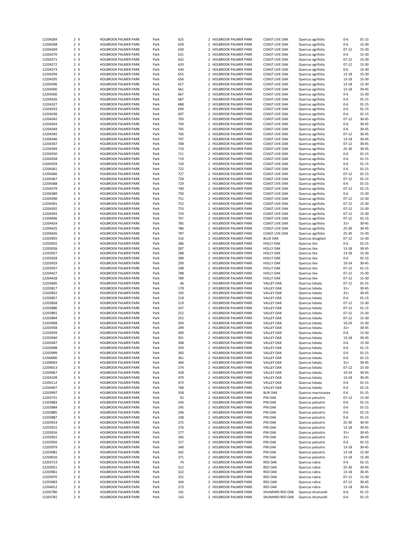| 12204264             | 2 X            | <b>HOLBROOK PALMER PARK</b>                         | Park         | 625        |                | 2 HOLBROOK PALMER PARK                           | <b>COAST LIVE OAK</b>              | Quercus agrifolia                      | $0 - 6$        | $01 - 15$      |
|----------------------|----------------|-----------------------------------------------------|--------------|------------|----------------|--------------------------------------------------|------------------------------------|----------------------------------------|----------------|----------------|
| 12204268             | 2 X            | <b>HOLBROOK PALMER PARK</b>                         | Park         | 629        |                | 2 HOLBROOK PALMER PARK                           | <b>COAST LIVE OAK</b>              | Quercus agrifolia                      | $0 - 6$        | 15-30          |
|                      |                |                                                     |              |            |                |                                                  |                                    |                                        |                |                |
| 12204269             | 2 X            | HOLBROOK PALMER PARK                                | Park         | 630        |                | 2 HOLBROOK PALMER PARK                           | <b>COAST LIVE OAK</b>              | Quercus agrifolia                      | $07 - 12$      | 15-30          |
| 12204270             | 2 X            | <b>HOLBROOK PALMER PARK</b>                         | Park         | 631        |                | 2 HOLBROOK PALMER PARK                           | <b>COAST LIVE OAK</b>              | Quercus agrifolia                      | $0-6$          | 15-30          |
| 12204271             | 2 X            | <b>HOLBROOK PALMER PARK</b>                         | Park         | 632        |                | 2 HOLBROOK PALMER PARK                           | <b>COAST LIVE OAK</b>              | Quercus agrifolia                      | $07 - 12$      | 15-30          |
|                      |                |                                                     |              |            |                |                                                  |                                    |                                        |                |                |
| 12204272             | 2 X            | <b>HOLBROOK PALMER PARK</b>                         | Park         | 633        |                | 2 HOLBROOK PALMER PARK                           | <b>COAST LIVE OAK</b>              | Quercus agrifolia                      | $07 - 12$      | 15-30          |
| 12204273             | 2 X            | <b>HOLBROOK PALMER PARK</b>                         | Park         | 634        |                | 2 HOLBROOK PALMER PARK                           | <b>COAST LIVE OAK</b>              | Quercus agrifolia                      | $0 - 6$        | 15-30          |
| 12204294             | 2 X            | <b>HOLBROOK PALMER PARK</b>                         | Park         | 655        | $\overline{2}$ | HOLBROOK PALMER PARK                             | <b>COAST LIVE OAK</b>              | Quercus agrifolia                      | 13-18          | 15-30          |
|                      |                |                                                     |              |            |                |                                                  | <b>COAST LIVE OAK</b>              |                                        |                |                |
| 12204295             | 2 X            | <b>HOLBROOK PALMER PARK</b>                         | Park         | 656        |                | 2 HOLBROOK PALMER PARK                           |                                    | Quercus agrifolia                      | 13-18          | 15-30          |
| 12204296             | 2 X            | <b>HOLBROOK PALMER PARK</b>                         | Park         | 657        |                | 2 HOLBROOK PALMER PARK                           | <b>COAST LIVE OAK</b>              | Quercus agrifolia                      | 13-18          | 15-30          |
| 12204300             | 2 X            | HOLBROOK PALMER PARK                                | Park         | 661        |                | 2 HOLBROOK PALMER PARK                           | <b>COAST LIVE OAK</b>              | Quercus agrifolia                      | $13 - 18$      | $30 - 45$      |
| 12204306             | 2 X            | HOLBROOK PALMER PARK                                | Park         | 667        |                | 2 HOLBROOK PALMER PARK                           | <b>COAST LIVE OAK</b>              | Quercus agrifolia                      | $0 - 6$        | 15-30          |
|                      |                |                                                     |              |            |                |                                                  |                                    |                                        |                |                |
| 12204326             | 2 X            | <b>HOLBROOK PALMER PARK</b>                         | Park         | 687        |                | 2 HOLBROOK PALMER PARK                           | <b>COAST LIVE OAK</b>              | Quercus agrifolia                      | $0 - 6$        | $01 - 15$      |
| 12204327             | 2 X            | <b>HOLBROOK PALMER PARK</b>                         | Park         | 688        |                | 2 HOLBROOK PALMER PARK                           | <b>COAST LIVE OAK</b>              | Quercus agrifolia                      | $0 - 6$        | $01 - 15$      |
| 12204333             | 2 X            | <b>HOLBROOK PALMER PARK</b>                         | Park         | 694        |                | 2 HOLBROOK PALMER PARK                           | <b>COAST LIVE OAK</b>              | Quercus agrifolia                      | $0 - 6$        | $01 - 15$      |
|                      |                |                                                     |              |            |                |                                                  |                                    |                                        |                |                |
| 12204336             | 2 X            | <b>HOLBROOK PALMER PARK</b>                         | Park         | 697        |                | 2 HOLBROOK PALMER PARK                           | <b>COAST LIVE OAK</b>              | Quercus agrifolia                      | $0 - 6$        | $01 - 15$      |
| 12204342             | 2 X            | <b>HOLBROOK PALMER PARK</b>                         | Park         | 703        | $\overline{2}$ | <b>HOLBROOK PALMER PARK</b>                      | <b>COAST LIVE OAK</b>              | Quercus agrifolia                      | $07 - 12$      | $30 - 45$      |
| 12204343             | 2 X            | <b>HOLBROOK PALMER PARK</b>                         | Park         | 704        |                | 2 HOLBROOK PALMER PARK                           | <b>COAST LIVE OAK</b>              | Quercus agrifolia                      | $0 - 6$        | $30 - 45$      |
|                      |                |                                                     |              |            |                |                                                  |                                    |                                        |                |                |
| 12204344             | 2 X            | HOLBROOK PALMER PARK                                | Park         | 705        |                | 2 HOLBROOK PALMER PARK                           | <b>COAST LIVE OAK</b>              | Quercus agrifolia                      | $0 - 6$        | $30 - 45$      |
| 12204345             | 2 X            | HOLBROOK PALMER PARK                                | Park         | 706        |                | 2 HOLBROOK PALMER PARK                           | <b>COAST LIVE OAK</b>              | Quercus agrifolia                      | $07 - 12$      | $30 - 45$      |
| 12204346             | 2 X            | HOLBROOK PALMER PARK                                | Park         | 707        |                | 2 HOLBROOK PALMER PARK                           | <b>COAST LIVE OAK</b>              | Quercus agrifolia                      | 13-18          | $30 - 45$      |
| 12204347             | 2 X            | <b>HOLBROOK PALMER PARK</b>                         | Park         | 708        |                | 2 HOLBROOK PALMER PARK                           | <b>COAST LIVE OAK</b>              | Quercus agrifolia                      | $07 - 12$      | $30 - 45$      |
|                      |                |                                                     |              |            |                |                                                  |                                    |                                        |                |                |
| 12204349             | 2 X            | <b>HOLBROOK PALMER PARK</b>                         | Park         | 710        |                | 2 HOLBROOK PALMER PARK                           | <b>COAST LIVE OAK</b>              | Quercus agrifolia                      | $25 - 30$      | $30 - 45$      |
| 12204350             | 2 X            | <b>HOLBROOK PALMER PARK</b>                         | Park         | 711        |                | 2 HOLBROOK PALMER PARK                           | <b>COAST LIVE OAK</b>              | Quercus agrifolia                      | $0 - 6$        | $01 - 15$      |
| 12204358             | 2 X            | <b>HOLBROOK PALMER PARK</b>                         | Park         | 719        |                | 2 HOLBROOK PALMER PARK                           | <b>COAST LIVE OAK</b>              | Quercus agrifolia                      | $0 - 6$        | $01 - 15$      |
|                      |                |                                                     |              |            |                |                                                  |                                    |                                        |                |                |
| 12204359             | 2 X            | <b>HOLBROOK PALMER PARK</b>                         | Park         | 720        |                | 2 HOLBROOK PALMER PARK                           | <b>COAST LIVE OAK</b>              | Quercus agrifolia                      | $0 - 6$        | $01 - 15$      |
| 12204361             | 2 X            | <b>HOLBROOK PALMER PARK</b>                         | Park         | 722        |                | 2 HOLBROOK PALMER PARK                           | <b>COAST LIVE OAK</b>              | Quercus agrifolia                      | $0 - 6$        | $01 - 15$      |
| 12204366             | 2 X            | <b>HOLBROOK PALMER PARK</b>                         | Park         | 727        |                | 2 HOLBROOK PALMER PARK                           | <b>COAST LIVE OAK</b>              | Quercus agrifolia                      | $07 - 12$      | $01 - 15$      |
|                      | 2 X            |                                                     |              | 728        |                | 2 HOLBROOK PALMER PARK                           |                                    |                                        | $07 - 12$      | $01 - 15$      |
| 12204367             |                | HOLBROOK PALMER PARK                                | Park         |            |                |                                                  | <b>COAST LIVE OAK</b>              | Quercus agrifolia                      |                |                |
| 12204368             | 2 X            | <b>HOLBROOK PALMER PARK</b>                         | Park         | 729        |                | 2 HOLBROOK PALMER PARK                           | <b>COAST LIVE OAK</b>              | Quercus agrifolia                      | $0 - 6$        | $01 - 15$      |
| 12204379             | 2 X            | <b>HOLBROOK PALMER PARK</b>                         | Park         | 740        |                | 2 HOLBROOK PALMER PARK                           | <b>COAST LIVE OAK</b>              | Quercus agrifolia                      | $07 - 12$      | $01 - 15$      |
| 12204389             | 2 X            | <b>HOLBROOK PALMER PARK</b>                         | Park         | 750        |                | 2 HOLBROOK PALMER PARK                           | <b>COAST LIVE OAK</b>              | Quercus agrifolia                      | $0 - 6$        | 15-30          |
|                      |                |                                                     |              |            |                |                                                  |                                    |                                        |                |                |
| 12204390             | 2 X            | HOLBROOK PALMER PARK                                | Park         | 751        |                | 2 HOLBROOK PALMER PARK                           | <b>COAST LIVE OAK</b>              | Quercus agrifolia                      | $07 - 12$      | 15-30          |
| 12204391             | 2 X            | <b>HOLBROOK PALMER PARK</b>                         | Park         | 752        |                | 2 HOLBROOK PALMER PARK                           | <b>COAST LIVE OAK</b>              | Quercus agrifolia                      | $07 - 12$      | 15-30          |
| 12204392             | 2 X            | <b>HOLBROOK PALMER PARK</b>                         | Park         | 753        |                | 2 HOLBROOK PALMER PARK                           | <b>COAST LIVE OAK</b>              | Quercus agrifolia                      | $07 - 12$      | 15-30          |
|                      |                |                                                     |              |            |                |                                                  |                                    |                                        |                |                |
| 12204393             | 2 X            | <b>HOLBROOK PALMER PARK</b>                         | Park         | 754        |                | 2 HOLBROOK PALMER PARK                           | <b>COAST LIVE OAK</b>              | Quercus agrifolia                      | $07 - 12$      | 15-30          |
| 12204406             | 2 X            | <b>HOLBROOK PALMER PARK</b>                         | Park         | 767        |                | 2 HOLBROOK PALMER PARK                           | <b>COAST LIVE OAK</b>              | Quercus agrifolia                      | $07 - 12$      | $01 - 15$      |
| 12204424             | 2 X            | HOLBROOK PALMER PARK                                | Park         | 785        |                | 2 HOLBROOK PALMER PARK                           | <b>COAST LIVE OAK</b>              | Quercus agrifolia                      | $31+$          | $30 - 45$      |
|                      | 2 X            |                                                     |              | 786        |                | 2 HOLBROOK PALMER PARK                           |                                    | Quercus agrifolia                      |                | $30 - 45$      |
| 12204425             |                | <b>HOLBROOK PALMER PARK</b>                         | Park         |            |                |                                                  | <b>COAST LIVE OAK</b>              |                                        | 25-30          |                |
| 12204426             | 2 X            | <b>HOLBROOK PALMER PARK</b>                         | Park         | 787        | $\mathcal{P}$  | <b>HOLBROOK PALMER PARK</b>                      | <b>COAST LIVE OAK</b>              | Quercus agrifolia                      | 25-30          | 15-30          |
| 12203955             | 2 X            | <b>HOLBROOK PALMER PARK</b>                         | Park         | 316        |                | 2 HOLBROOK PALMER PARK                           | <b>BLUE OAK</b>                    | Quercus douglasii                      | $07 - 12$      | 15-30          |
| 12203925             | 2 X            | HOLBROOK PALMER PARK                                | Park         | 286        |                | 2 HOLBROOK PALMER PARK                           | <b>HOLLY OAK</b>                   | Quercus ilex                           | 0-6            | $01 - 15$      |
|                      |                |                                                     |              |            |                |                                                  |                                    |                                        |                |                |
| 12203926             | 2 X            | <b>HOLBROOK PALMER PARK</b>                         | Park         | 287        |                | 2 HOLBROOK PALMER PARK                           | <b>HOLLY OAK</b>                   | Quercus ilex                           | 13-18          | 30-45          |
| 12203927             | 2 X            | <b>HOLBROOK PALMER PARK</b>                         | Park         | 288        |                | 2 HOLBROOK PALMER PARK                           | <b>HOLLY OAK</b>                   | Quercus ilex                           | 13-18          | 15-30          |
|                      |                |                                                     |              |            |                |                                                  |                                    |                                        |                |                |
|                      |                |                                                     |              |            |                |                                                  |                                    |                                        |                |                |
| 12203928             | 2 X            | <b>HOLBROOK PALMER PARK</b>                         | Park         | 289        |                | 2 HOLBROOK PALMER PARK                           | <b>HOLLY OAK</b>                   | Quercus ilex                           | $0-6$          | $01 - 15$      |
| 12203929             | 2 X            | HOLBROOK PALMER PARK                                | Park         | 290        |                | 2 HOLBROOK PALMER PARK                           | <b>HOLLY OAK</b>                   | Quercus ilex                           | 19-24          | $30 - 45$      |
| 12203937             | 2 X            | HOLBROOK PALMER PARK                                | Park         | 298        |                | 2 HOLBROOK PALMER PARK                           | <b>HOLLY OAK</b>                   | Quercus ilex                           | $07 - 12$      | $01 - 15$      |
|                      |                |                                                     |              |            |                |                                                  |                                    |                                        |                |                |
| 12204427             | 2 X            | <b>HOLBROOK PALMER PARK</b>                         | Park         | 788        |                | 2 HOLBROOK PALMER PARK                           | <b>HOLLY OAK</b>                   | Quercus ilex                           | $07 - 12$      | 15-30          |
| 12204428             | 2 X            | <b>HOLBROOK PALMER PARK</b>                         | Park         | 789        | $\mathcal{P}$  | HOLBROOK PALMER PARK                             | <b>HOLLY OAK</b>                   | Quercus ilex                           | $07 - 12$      | 15-30          |
| 12203685             | 2 X            | <b>HOLBROOK PALMER PARK</b>                         | Park         | 46         |                | 2 HOLBROOK PALMER PARK                           | <b>VALLEY OAK</b>                  | Quercus lobata                         | $07 - 12$      | $01 - 15$      |
|                      |                |                                                     |              |            |                |                                                  | <b>VALLEY OAK</b>                  |                                        |                | 30-45          |
| 12203817             | 2 X            | <b>HOLBROOK PALMER PARK</b>                         | Park         | 178        |                | 2 HOLBROOK PALMER PARK                           |                                    | Quercus lobata                         | $31+$          |                |
| 12203832             | 2 X            | HOLBROOK PALMER PARK                                | Park         | 193        |                | 2 HOLBROOK PALMER PARK                           | <b>VALLEY OAK</b>                  | Quercus lobata                         | $31+$          | 30-45          |
| 12203857             | 2 X            | HOLBROOK PALMER PARK                                | Park         | 218        |                | 2 HOLBROOK PALMER PARK                           | <b>VALLEY OAK</b>                  | Quercus lobata                         | $0 - 6$        | $01 - 15$      |
| 12203858             | 2 X            | HOLBROOK PALMER PARK                                | Park         | 219        |                | 2 HOLBROOK PALMER PARK                           | <b>VALLEY OAK</b>                  | Quercus lobata                         | $07 - 12$      | 15-30          |
|                      |                |                                                     |              |            |                |                                                  |                                    |                                        |                |                |
| 12203886             | 2 X            | HOLBROOK PALMER PARK                                | Park         | 247        |                | 2 HOLBROOK PALMER PARK                           | <b>VALLEY OAK</b>                  | Quercus lobata                         | $07 - 12$      | $01 - 15$      |
| 12203891             | 2 X            | <b>HOLBROOK PALMER PARK</b>                         | Park         | 252        |                | 2 HOLBROOK PALMER PARK                           | <b>VALLEY OAK</b>                  | Quercus lobata                         | $07 - 12$      | 15-30          |
| 12203894             | 2 X            | <b>HOLBROOK PALMER PARK</b>                         | Park         | 255        |                | 2 HOLBROOK PALMER PARK                           | <b>VALLEY OAK</b>                  | Quercus lobata                         | $07 - 12$      | 15-30          |
|                      |                |                                                     |              |            | $\mathcal{P}$  |                                                  |                                    |                                        |                |                |
| 12203908             | 2 X            | <b>HOLBROOK PALMER PARK</b>                         | Park         | 269        |                | HOLBROOK PALMER PARK                             | <b>VALLEY OAK</b>                  | Quercus lobata                         | 19-24          | 15-30          |
| 12203938             | 2 X            | <b>HOLBROOK PALMER PARK</b>                         | Park         | 299        |                | 2 HOLBROOK PALMER PARK                           | <b>VALLEY OAK</b>                  | Quercus Iobata                         | $31+$          | 30-45          |
| 12203939             | 2 X            | <b>HOLBROOK PALMER PARK</b>                         | Park         | 300        |                | 2 HOLBROOK PALMER PARK                           | <b>VALLEY OAK</b>                  | Quercus Iobata                         | $0 - 6$        | 15-30          |
| 12203940             | $2 \times$     | HOLBROOK PALMER PARK                                | Park         | 301        |                | 2 HOLBROOK PALMER PARK                           | <b>VALLEY OAK</b>                  | Quercus lobata                         | $13 - 18$      | 30-45          |
|                      |                |                                                     |              |            |                |                                                  |                                    |                                        |                |                |
| 12203947             | $\overline{2}$ | <b>HOLBROOK PALMER PARK</b>                         | Park         | 308        |                | <b>HOLBROOK PALMER PARK</b>                      | <b>VALLEY OAK</b>                  | Quercus lobata                         | $0 - 6$        | 15-30          |
| 12203998             | 2 X            | <b>HOLBROOK PALMER PARK</b>                         | Park         | 359        |                | 2 HOLBROOK PALMER PARK                           | <b>VALLEY OAK</b>                  | Quercus Iobata                         | $0 - 6$        | $01 - 15$      |
| 12203999             | 2 X            | HOLBROOK PALMER PARK                                | Park         | 360        |                | 2 HOLBROOK PALMER PARK                           | <b>VALLEY OAK</b>                  | Quercus lobata                         | $0 - 6$        | $01 - 15$      |
| 12204000             | 2 X            | HOLBROOK PALMER PARK                                | Park         | 361        |                | 2 HOLBROOK PALMER PARK                           | <b>VALLEY OAK</b>                  | Quercus lobata                         | $0 - 6$        | 01-15          |
|                      |                |                                                     |              |            |                |                                                  |                                    |                                        |                |                |
| 12204003             | 2 X            | HOLBROOK PALMER PARK                                | Park         | 364        |                | 2 HOLBROOK PALMER PARK                           | <b>VALLEY OAK</b>                  | Quercus lobata                         | $31+$          | 30-45          |
| 12204013             | 2 X            | HOLBROOK PALMER PARK                                | Park         | 374        |                | <b>HOLBROOK PALMER PARK</b>                      | <b>VALLEY OAK</b>                  | Quercus lobata                         | $07 - 12$      | 15-30          |
| 12204067             | 2 X            | HOLBROOK PALMER PARK                                | Park         | 428        |                | 2 HOLBROOK PALMER PARK                           | <b>VALLEY OAK</b>                  | Quercus lobata                         | 19-24          | 30-45          |
| 12204109             | 2 X            | HOLBROOK PALMER PARK                                | Park         | 470        |                | 2 HOLBROOK PALMER PARK                           | <b>VALLEY OAK</b>                  | Quercus lobata                         | 13-18          | 30-45          |
|                      |                |                                                     |              |            |                |                                                  |                                    |                                        |                |                |
| 12204112             | 2 X            | HOLBROOK PALMER PARK                                | Park         | 473        |                | 2 HOLBROOK PALMER PARK                           | <b>VALLEY OAK</b>                  | Quercus lobata                         | $0 - 6$        | $01 - 15$      |
| 12204407             | 2 X            | HOLBROOK PALMER PARK                                | Park         | 768        |                | 2 HOLBROOK PALMER PARK                           | <b>VALLEY OAK</b>                  | Quercus lobata                         | $0 - 6$        | $01 - 15$      |
| 12203997             | 2 X            | HOLBROOK PALMER PARK                                | Park         | 358        |                | 2 HOLBROOK PALMER PARK                           | <b>BUR OAK</b>                     | Quercus macrocarpa                     | $0 - 6$        | $01 - 15$      |
|                      | 2 X            | HOLBROOK PALMER PARK                                |              | 92         |                | 2 HOLBROOK PALMER PARK                           | PIN OAK                            | Quercus palustris                      | $07 - 12$      | 15-30          |
| 12203731             |                |                                                     | Park         |            |                |                                                  |                                    |                                        |                |                |
| 12203883             | 2 X            | HOLBROOK PALMER PARK                                | Park         | 244        |                | 2 HOLBROOK PALMER PARK                           | PIN OAK                            | Quercus palustris                      | $0 - 6$        | 01-15          |
| 12203884             | 2 X            | HOLBROOK PALMER PARK                                | Park         | 245        |                | 2 HOLBROOK PALMER PARK                           | PIN OAK                            | Quercus palustris                      | $0 - 6$        | $01 - 15$      |
| 12203885             | 2 X            | HOLBROOK PALMER PARK                                | Park         | 246        | $\overline{2}$ | HOLBROOK PALMER PARK                             | PIN OAK                            | Quercus palustris                      | 0-6            | $01 - 15$      |
|                      |                |                                                     |              |            |                |                                                  |                                    |                                        |                |                |
| 12203887             | 2 X            | HOLBROOK PALMER PARK                                | Park         | 248        |                | 2 HOLBROOK PALMER PARK                           | PIN OAK                            | Quercus palustris                      | 0-6            | $01 - 15$      |
| 12203914             | 2 X            | HOLBROOK PALMER PARK                                | Park         | 275        |                | 2 HOLBROOK PALMER PARK                           | PIN OAK                            | Quercus palustris                      | 25-30          | 30-45          |
| 12203915             | 2 X            | HOLBROOK PALMER PARK                                | Park         | 276        |                | 2 HOLBROOK PALMER PARK                           | PIN OAK                            | Quercus palustris                      | 13-18          | 30-45          |
|                      |                |                                                     |              |            |                |                                                  |                                    |                                        |                |                |
| 12203916             | 2 X            | HOLBROOK PALMER PARK                                | Park         | 277        |                | 2 HOLBROOK PALMER PARK                           | PIN OAK                            | Quercus palustris                      | $31+$          | 30-45          |
| 12203922             | 2 X            | HOLBROOK PALMER PARK                                | Park         | 283        |                | 2 HOLBROOK PALMER PARK                           | PIN OAK                            | Quercus palustris                      | $31+$          | 30-45          |
| 12203956             | 2 X            | HOLBROOK PALMER PARK                                | Park         | 317        |                | 2 HOLBROOK PALMER PARK                           | PIN OAK                            | Quercus palustris                      | 0-6            | $01 - 15$      |
| 12203979             | 2 X            | <b>HOLBROOK PALMER PARK</b>                         | Park         | 340        |                | 2 HOLBROOK PALMER PARK                           | PIN OAK                            | Quercus palustris                      | 13-18          | 30-45          |
|                      |                |                                                     |              |            |                |                                                  |                                    |                                        |                |                |
| 12203981             | 2 X            | HOLBROOK PALMER PARK                                | Park         | 342        |                | 2 HOLBROOK PALMER PARK                           | PIN OAK                            | Quercus palustris                      | 13-18          | 15-30          |
| 12204010             | 2 X            | HOLBROOK PALMER PARK                                | Park         | 371        |                | 2 HOLBROOK PALMER PARK                           | PIN OAK                            | Quercus palustris                      | 13-18          | 15-30          |
| 12203713             | 2 X            | HOLBROOK PALMER PARK                                | Park         | 74         |                | 2 HOLBROOK PALMER PARK                           | <b>RED OAK</b>                     | Quercus rubra                          | 0-6            | $01 - 15$      |
|                      |                |                                                     |              |            |                |                                                  |                                    |                                        |                |                |
| 12203951             | 2 X            | HOLBROOK PALMER PARK                                | Park         | 312        |                | 2 HOLBROOK PALMER PARK                           | <b>RED OAK</b>                     | Quercus rubra                          | 25-30          | 30-45          |
| 12203961             | 2 X            | HOLBROOK PALMER PARK                                | Park         | 322        |                | 2 HOLBROOK PALMER PARK                           | <b>RED OAK</b>                     | Quercus rubra                          | 13-18          | 30-45          |
| 12203970             | 2 X            | HOLBROOK PALMER PARK                                | Park         | 331        |                | 2 HOLBROOK PALMER PARK                           | <b>RED OAK</b>                     | Quercus rubra                          | $07 - 12$      | 15-30          |
| 12203983             | 2 X            | <b>HOLBROOK PALMER PARK</b>                         | Park         | 344        |                | 2 HOLBROOK PALMER PARK                           | <b>RED OAK</b>                     | Quercus rubra                          | $07 - 12$      | 30-45          |
|                      |                |                                                     |              |            |                |                                                  |                                    |                                        |                |                |
| 12204012             | 2 X            | HOLBROOK PALMER PARK                                | Park         | 373        |                | 2 HOLBROOK PALMER PARK                           | <b>RED OAK</b>                     | Quercus rubra                          | $13 - 18$      | 30-45          |
| 12203780<br>12203781 | 2 X<br>2 X     | HOLBROOK PALMER PARK<br><b>HOLBROOK PALMER PARK</b> | Park<br>Park | 141<br>142 |                | 2 HOLBROOK PALMER PARK<br>2 HOLBROOK PALMER PARK | SHUMARD RED OAK<br>SHUMARD RED OAK | Quercus shumardii<br>Quercus shumardii | $0 - 6$<br>0-6 | 01-15<br>01-15 |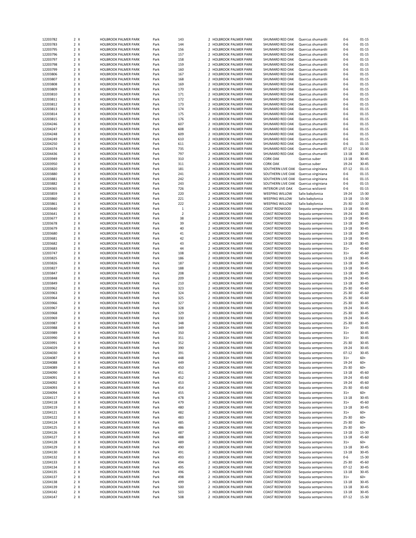| 12203782             | 2 X        | <b>HOLBROOK PALMER PARK</b>                  | Park         | 143            |                | 2 HOLBROOK PALMER PARK                           | SHUMARD RED OAK                | Quercus shumardii                            | $0 - 6$            | $01 - 15$      |
|----------------------|------------|----------------------------------------------|--------------|----------------|----------------|--------------------------------------------------|--------------------------------|----------------------------------------------|--------------------|----------------|
| 12203783             | 2 X        | <b>HOLBROOK PALMER PARK</b>                  | Park         | 144            |                | 2 HOLBROOK PALMER PARK                           | SHUMARD RED OAK                | Quercus shumardii                            | $0 - 6$            | $01 - 15$      |
| 12203795             | 2 X        | HOLBROOK PALMER PARK                         | Park         | 156            |                | 2 HOLBROOK PALMER PARK                           | SHUMARD RED OAK                | Quercus shumardii                            | $0 - 6$            | $01 - 15$      |
| 12203796             | 2 X        | HOLBROOK PALMER PARK                         | Park         | 157            |                | 2 HOLBROOK PALMER PARK                           | SHUMARD RED OAK                | Quercus shumardii                            | $0 - 6$            | $01 - 15$      |
|                      |            |                                              |              |                |                |                                                  |                                |                                              |                    |                |
| 12203797             | 2 X        | <b>HOLBROOK PALMER PARK</b>                  | Park         | 158            |                | 2 HOLBROOK PALMER PARK                           | SHUMARD RED OAK                | Quercus shumardii                            | $0 - 6$            | $01 - 15$      |
| 12203798             | 2 X        | HOLBROOK PALMER PARK                         | Park         | 159            |                | 2 HOLBROOK PALMER PARK                           | SHUMARD RED OAK                | Quercus shumardii                            | $0 - 6$            | $01 - 15$      |
| 12203799             | 2 X        | <b>HOLBROOK PALMER PARK</b>                  | Park         | 160            |                | 2 HOLBROOK PALMER PARK                           | SHUMARD RED OAK                | Quercus shumardii                            | $0 - 6$            | $01 - 15$      |
| 12203806             | 2 X        | <b>HOLBROOK PALMER PARK</b>                  | Park         | 167            | $\overline{2}$ | <b>HOLBROOK PALMER PARK</b>                      | SHUMARD RED OAK                | Quercus shumardii                            | $0 - 6$            | $01 - 15$      |
| 12203807             | 2 X        | <b>HOLBROOK PALMER PARK</b>                  | Park         | 168            |                | 2 HOLBROOK PALMER PARK                           | SHUMARD RED OAK                | Quercus shumardii                            | $0 - 6$            | $01 - 15$      |
| 12203808             | 2 X        | HOLBROOK PALMER PARK                         | Park         | 169            |                | 2 HOLBROOK PALMER PARK                           | SHUMARD RED OAK                | Quercus shumardii                            | $0 - 6$            | $01 - 15$      |
|                      |            |                                              |              |                |                |                                                  |                                |                                              |                    |                |
| 12203809             | 2 X        | HOLBROOK PALMER PARK                         | Park         | 170            |                | 2 HOLBROOK PALMER PARK                           | SHUMARD RED OAK                | Quercus shumardii                            | $0 - 6$            | $01 - 15$      |
| 12203810             | 2 X        | HOLBROOK PALMER PARK                         | Park         | 171            |                | 2 HOLBROOK PALMER PARK                           | SHUMARD RED OAK                | Quercus shumardii                            | $0 - 6$            | $01 - 15$      |
| 12203811             | 2 X        | HOLBROOK PALMER PARK                         | Park         | 172            | $\mathcal{P}$  | HOLBROOK PALMER PARK                             | SHUMARD RED OAK                | Quercus shumardii                            | $0 - 6$            | $01 - 15$      |
| 12203812             | 2 X        | <b>HOLBROOK PALMER PARK</b>                  | Park         | 173            |                | 2 HOLBROOK PALMER PARK                           | SHUMARD RED OAK                | Quercus shumardii                            | $0 - 6$            | $01 - 15$      |
| 12203813             | 2 X        | <b>HOLBROOK PALMER PARK</b>                  | Park         | 174            | $\mathcal{P}$  | <b>HOLBROOK PALMER PARK</b>                      | SHUMARD RED OAK                | Quercus shumardii                            | $0 - 6$            | $01 - 15$      |
|                      | 2 X        |                                              |              | 175            |                |                                                  | SHUMARD RED OAK                |                                              |                    |                |
| 12203814             |            | <b>HOLBROOK PALMER PARK</b>                  | Park         |                |                | 2 HOLBROOK PALMER PARK                           |                                | Quercus shumardii                            | $0 - 6$            | $01 - 15$      |
| 12203815             | 2 X        | <b>HOLBROOK PALMER PARK</b>                  | Park         | 176            | $\overline{2}$ | <b>HOLBROOK PALMER PARK</b>                      | SHUMARD RED OAK                | Quercus shumardii                            | $0 - 6$            | $01 - 15$      |
| 12204246             | 2 X        | <b>HOLBROOK PALMER PARK</b>                  | Park         | 607            |                | 2 HOLBROOK PALMER PARK                           | SHUMARD RED OAK                | Quercus shumardii                            | $0 - 6$            | $01 - 15$      |
| 12204247             | 2 X        | <b>HOLBROOK PALMER PARK</b>                  | Park         | 608            |                | 2 HOLBROOK PALMER PARK                           | SHUMARD RED OAK                | Quercus shumardii                            | $0 - 6$            | $01 - 15$      |
| 12204248             | 2 X        | HOLBROOK PALMER PARK                         | Park         | 609            |                | 2 HOLBROOK PALMER PARK                           | SHUMARD RED OAK                | Quercus shumardii                            | $0 - 6$            | $01 - 15$      |
| 12204249             | 2 X        | HOLBROOK PALMER PARK                         | Park         | 610            |                | 2 HOLBROOK PALMER PARK                           | SHUMARD RED OAK                | Quercus shumardii                            | $0 - 6$            | $01 - 15$      |
|                      |            |                                              |              |                |                |                                                  |                                |                                              |                    |                |
| 12204250             | 2 X        | <b>HOLBROOK PALMER PARK</b>                  | Park         | 611            | $\mathcal{P}$  | <b>HOLBROOK PALMER PARK</b>                      | SHUMARD RED OAK                | Quercus shumardii                            | $0 - 6$            | $01 - 15$      |
| 12204374             | 2 X        | <b>HOLBROOK PALMER PARK</b>                  | Park         | 735            |                | 2 HOLBROOK PALMER PARK                           | SHUMARD RED OAK                | Quercus shumardii                            | $07 - 12$          | 15-30          |
| 12204436             | 2 X        | <b>HOLBROOK PALMER PARK</b>                  | Park         | 797            |                | 2 HOLBROOK PALMER PARK                           | SHUMARD RED OAK                | Quercus shumardii                            | $13 - 18$          | $30 - 45$      |
| 12203949             | 2 X        | <b>HOLBROOK PALMER PARK</b>                  | Park         | 310            |                | 2 HOLBROOK PALMER PARK                           | <b>CORK OAK</b>                | Quercus suber                                | 13-18              | 30-45          |
| 12203950             | 2 X        | <b>HOLBROOK PALMER PARK</b>                  | Park         | 311            | $\overline{2}$ | <b>HOLBROOK PALMER PARK</b>                      | <b>CORK OAK</b>                | Quercus suber                                | 19-24              | $30 - 45$      |
| 12203820             | 2 X        | <b>HOLBROOK PALMER PARK</b>                  | Park         | 181            |                | 2 HOLBROOK PALMER PARK                           | SOUTHERN LIVE OAK              | Quercus virginiana                           | $07 - 12$          | $01 - 15$      |
|                      |            |                                              |              |                |                |                                                  |                                |                                              |                    |                |
| 12203880             | 2 X        | <b>HOLBROOK PALMER PARK</b>                  | Park         | 241            |                | 2 HOLBROOK PALMER PARK                           | SOUTHERN LIVE OAK              | Quercus virginiana                           | $0 - 6$            | $01 - 15$      |
| 12203881             | 2 X        | HOLBROOK PALMER PARK                         | Park         | 242            |                | 2 HOLBROOK PALMER PARK                           | SOUTHERN LIVE OAK              | Quercus virginiana                           | $0 - 6$            | $01 - 15$      |
| 12203882             | 2 X        | HOLBROOK PALMER PARK                         | Park         | 243            |                | 2 HOLBROOK PALMER PARK                           | SOUTHERN LIVE OAK              | Quercus virginiana                           | $0 - 6$            | $01 - 15$      |
| 12204365             | 2 X        | <b>HOLBROOK PALMER PARK</b>                  | Park         | 726            | $\mathcal{P}$  | <b>HOLBROOK PALMER PARK</b>                      | <b>INTERIOR LIVE OAK</b>       | Quercus wislizenii                           | $0 - 6$            | $01 - 15$      |
| 12203859             | 2 X        | <b>HOLBROOK PALMER PARK</b>                  | Park         | 220            |                | 2 HOLBROOK PALMER PARK                           | <b>WEEPING WILLOW</b>          | Salix babylonica                             | 19-24              | 15-30          |
| 12203860             | 2 X        |                                              |              |                | $\overline{2}$ |                                                  |                                |                                              |                    | 15-30          |
|                      |            | HOLBROOK PALMER PARK                         | Park         | 221            |                | <b>HOLBROOK PALMER PARK</b>                      | WEEPING WILLOW                 | Salix babylonica                             | 13-18              |                |
| 12203861             | 2 X        | <b>HOLBROOK PALMER PARK</b>                  | Park         | 222            |                | 2 HOLBROOK PALMER PARK                           | <b>WEEPING WILLOW</b>          | Salix babylonica                             | 25-30              | 15-30          |
| 12203640             | 2 X        | <b>HOLBROOK PALMER PARK</b>                  | Park         | $\,1\,$        |                | 2 HOLBROOK PALMER PARK                           | COAST REDWOOD                  | Sequoia sempervirens                         | 13-18              | 30-45          |
| 12203641             | 2 X        | <b>HOLBROOK PALMER PARK</b>                  | Park         | $\overline{2}$ |                | 2 HOLBROOK PALMER PARK                           | <b>COAST REDWOOD</b>           | Sequoia sempervirens                         | 19-24              | 30-45          |
| 12203677             | 2 X        | HOLBROOK PALMER PARK                         | Park         | 38             |                | 2 HOLBROOK PALMER PARK                           | COAST REDWOOD                  | Sequoia sempervirens                         | 13-18              | $30 - 45$      |
| 12203678             | 2 X        | HOLBROOK PALMER PARK                         | Park         | 39             |                | 2 HOLBROOK PALMER PARK                           | COAST REDWOOD                  | Sequoia sempervirens                         | $13 - 18$          | $30 - 45$      |
|                      |            |                                              |              |                |                |                                                  |                                |                                              |                    |                |
| 12203679             | 2 X        | <b>HOLBROOK PALMER PARK</b>                  | Park         | 40             |                | 2 HOLBROOK PALMER PARK                           | <b>COAST REDWOOD</b>           | Sequoia sempervirens                         | 13-18              | 30-45          |
| 12203680             | 2 X        | <b>HOLBROOK PALMER PARK</b>                  | Park         | 41             | $\overline{2}$ | <b>HOLBROOK PALMER PARK</b>                      | COAST REDWOOD                  | Sequoia sempervirens                         | 13-18              | $30 - 45$      |
| 12203681             | 2 X        | <b>HOLBROOK PALMER PARK</b>                  | Park         | 42             |                | 2 HOLBROOK PALMER PARK                           | COAST REDWOOD                  | Sequoia sempervirens                         | $13 - 18$          | $30 - 45$      |
| 12203682             | 2 X        | HOLBROOK PALMER PARK                         | Park         | 43             | $\overline{2}$ | <b>HOLBROOK PALMER PARK</b>                      | COAST REDWOOD                  | Sequoia sempervirens                         | 13-18              | 30-45          |
| 12203683             | 2 X        | HOLBROOK PALMER PARK                         | Park         | 44             |                | 2 HOLBROOK PALMER PARK                           | <b>COAST REDWOOD</b>           | Sequoia sempervirens                         | $31+$              | 45-60          |
|                      |            |                                              |              |                |                |                                                  |                                |                                              |                    | 45-60          |
| 12203747             | 2 X        | <b>HOLBROOK PALMER PARK</b>                  | Park         | 108            |                | 2 HOLBROOK PALMER PARK                           | COAST REDWOOD                  | Sequoia sempervirens                         | $31+$              |                |
| 12203825             | 2 X        | <b>HOLBROOK PALMER PARK</b>                  | Park         | 186            |                | 2 HOLBROOK PALMER PARK                           | <b>COAST REDWOOD</b>           | Sequoia sempervirens                         | 13-18              | 30-45          |
| 12203826             | 2 X        |                                              |              |                |                |                                                  |                                |                                              |                    |                |
|                      |            | HOLBROOK PALMER PARK                         | Park         | 187            |                | 2 HOLBROOK PALMER PARK                           | COAST REDWOOD                  | Sequoia sempervirens                         | $13 - 18$          | $30 - 45$      |
|                      | 2 X        |                                              |              | 188            |                | 2 HOLBROOK PALMER PARK                           |                                |                                              | $13 - 18$          | $30 - 45$      |
| 12203827             |            | HOLBROOK PALMER PARK                         | Park         |                |                |                                                  | COAST REDWOOD                  | Sequoia sempervirens                         |                    |                |
| 12203847             | 2 X        | <b>HOLBROOK PALMER PARK</b>                  | Park         | 208            |                | 2 HOLBROOK PALMER PARK                           | <b>COAST REDWOOD</b>           | Sequoia sempervirens                         | 13-18              | 30-45          |
| 12203848             | 2 X        | <b>HOLBROOK PALMER PARK</b>                  | Park         | 209            | $\mathcal{P}$  | <b>HOLBROOK PALMER PARK</b>                      | COAST REDWOOD                  | Sequoia sempervirens                         | 19-24              | $30 - 45$      |
| 12203849             | 2 X        | <b>HOLBROOK PALMER PARK</b>                  | Park         | 210            |                | 2 HOLBROOK PALMER PARK                           | COAST REDWOOD                  | Sequoia sempervirens                         | 13-18              | 30-45          |
| 12203962             | 2 X        | HOLBROOK PALMER PARK                         | Park         | 323            | $\overline{2}$ | <b>HOLBROOK PALMER PARK</b>                      | COAST REDWOOD                  | Sequoia sempervirens                         | 25-30              | 45-60          |
| 12203963             | 2 X        | <b>HOLBROOK PALMER PARK</b>                  | Park         | 324            |                | 2 HOLBROOK PALMER PARK                           | COAST REDWOOD                  | Sequoia sempervirens                         | 25-30              | 45-60          |
|                      |            |                                              |              |                |                |                                                  |                                |                                              |                    |                |
| 12203964             | 2 X        | HOLBROOK PALMER PARK                         | Park         | 325            |                | 2 HOLBROOK PALMER PARK                           | COAST REDWOOD                  | Sequoia sempervirens                         | $25 - 30$          | 45-60          |
| 12203966             | 2 X        | HOLBROOK PALMER PARK                         | Park         | 327            |                | 2 HOLBROOK PALMER PARK                           | COAST REDWOOD                  | Sequoia sempervirens                         | 25-30              | $30 - 45$      |
| 12203967             | 2 X        | HOLBROOK PALMER PARK                         | Park         | 328            |                | 2 HOLBROOK PALMER PARK                           | COAST REDWOOD                  | Sequoia sempervirens                         | 19-24              | $30 - 45$      |
| 12203968             | 2 X        | HOLBROOK PALMER PARK                         | Park         | 329            |                | 2 HOLBROOK PALMER PARK                           | COAST REDWOOD                  | Sequoia sempervirens                         | 25-30              | 30-45          |
| 12203969             | 2 X        | <b>HOLBROOK PALMER PARK</b>                  | Park         | 330            |                | 2 HOLBROOK PALMER PARK                           | COAST REDWOOD                  | Sequoia sempervirens                         | 19-24              | $30 - 45$      |
| 12203987             |            | <b>HOLBROOK PALMER PARK</b>                  |              | 348            | $\mathcal{P}$  | <b>HOLBROOK PALMER PARK</b>                      | COAST REDWOOD                  |                                              | 25-30              | $30 - 45$      |
|                      | 2 X        |                                              | Park         |                |                |                                                  |                                | Sequoia sempervirens                         |                    |                |
| 12203988             | 2 X        | <b>HOLBROOK PALMER PARK</b>                  | Park         | 349            |                | 2 HOLBROOK PALMER PARK                           | COAST REDWOOD                  | Sequoia sempervirens                         | $31+$              | 30-45          |
| 12203989             | 2 X        | HOLBROOK PALMER PARK                         | Park         | 350            | $\overline{2}$ | <b>HOLBROOK PALMER PARK</b>                      | COAST REDWOOD                  | Sequoia sempervirens                         | $31+$              | 30-45          |
| 12203990             | 2 X        | HOLBROOK PALMER PARK                         | Park         | 351            |                | 2 HOLBROOK PALMER PARK                           | COAST REDWOOD                  | Sequoia sempervirens                         | $31+$              | 30-45          |
| 12203991             | $2 \times$ | <b>HOLBROOK PALMER PARK</b>                  | Park         | 352            |                | HOLBROOK PALMER PARK                             | COAST REDWOOD                  | Sequoia sempervirens                         | 25-30              | $30 - 45$      |
| 12204029             | 2 X        | HOLBROOK PALMER PARK                         | Park         | 390            |                | 2 HOLBROOK PALMER PARK                           | COAST REDWOOD                  | Sequoia sempervirens                         | 19-24              | 30-45          |
| 12204030             | 2 X        | HOLBROOK PALMER PARK                         | Park         | 391            |                | 2 HOLBROOK PALMER PARK                           | COAST REDWOOD                  | Sequoia sempervirens                         | $07 - 12$          | 30-45          |
| 12204087             | 2 X        | HOLBROOK PALMER PARK                         | Park         | 448            |                | 2 HOLBROOK PALMER PARK                           | COAST REDWOOD                  |                                              | $31+$              | $60+$          |
|                      |            |                                              |              |                |                |                                                  |                                | Sequoia sempervirens                         |                    |                |
| 12204088             | 2 X        | HOLBROOK PALMER PARK                         | Park         | 449            |                | 2 HOLBROOK PALMER PARK                           | COAST REDWOOD                  | Sequoia sempervirens                         | 19-24              | $60+$          |
| 12204089             | 2 X        | HOLBROOK PALMER PARK                         | Park         | 450            |                | <b>HOLBROOK PALMER PARK</b>                      | COAST REDWOOD                  | Sequoia sempervirens                         | 25-30              | $60+$          |
| 12204090             | 2 X        | HOLBROOK PALMER PARK                         | Park         | 451            |                | 2 HOLBROOK PALMER PARK                           | COAST REDWOOD                  | Sequoia sempervirens                         | 13-18              | 45-60          |
| 12204091             | 2 X        | HOLBROOK PALMER PARK                         | Park         | 452            |                | 2 HOLBROOK PALMER PARK                           | COAST REDWOOD                  | Sequoia sempervirens                         | 19-24              | 45-60          |
| 12204092             | 2 X        | HOLBROOK PALMER PARK                         | Park         | 453            |                | 2 HOLBROOK PALMER PARK                           | COAST REDWOOD                  | Sequoia sempervirens                         | 19-24              | 45-60          |
| 12204093             | 2 X        | HOLBROOK PALMER PARK                         | Park         | 454            |                | 2 HOLBROOK PALMER PARK                           | COAST REDWOOD                  | Sequoia sempervirens                         | 25-30              | 45-60          |
|                      |            |                                              |              |                |                |                                                  | COAST REDWOOD                  |                                              |                    |                |
| 12204094             | 2 X        | HOLBROOK PALMER PARK                         | Park         | 455            |                | 2 HOLBROOK PALMER PARK                           |                                | Sequoia sempervirens                         | $31+$              | 60+            |
| 12204117             | 2 X        | HOLBROOK PALMER PARK                         | Park         | 478            |                | 2 HOLBROOK PALMER PARK                           | COAST REDWOOD                  | Sequoia sempervirens                         | 13-18              | 30-45          |
| 12204118             | 2 X        | HOLBROOK PALMER PARK                         | Park         | 479            |                | 2 HOLBROOK PALMER PARK                           | COAST REDWOOD                  | Sequoia sempervirens                         | $31+$              | 45-60          |
| 12204119             | 2 X        | HOLBROOK PALMER PARK                         | Park         | 480            |                | 2 HOLBROOK PALMER PARK                           | COAST REDWOOD                  | Sequoia sempervirens                         | 13-18              | 30-45          |
| 12204121             | 2 X        | HOLBROOK PALMER PARK                         | Park         | 482            | $\overline{2}$ | <b>HOLBROOK PALMER PARK</b>                      | COAST REDWOOD                  | Sequoia sempervirens                         | $31+$              | $60+$          |
| 12204122             | 2 X        | HOLBROOK PALMER PARK                         | Park         | 483            |                | 2 HOLBROOK PALMER PARK                           | COAST REDWOOD                  | Sequoia sempervirens                         | 25-30              | $60+$          |
|                      |            |                                              |              |                |                |                                                  |                                |                                              |                    |                |
| 12204124             | 2 X        | HOLBROOK PALMER PARK                         | Park         | 485            |                | 2 HOLBROOK PALMER PARK                           | COAST REDWOOD                  | Sequoia sempervirens                         | 25-30              | 60+            |
| 12204125             | 2 X        | HOLBROOK PALMER PARK                         | Park         | 486            |                | 2 HOLBROOK PALMER PARK                           | COAST REDWOOD                  | Sequoia sempervirens                         | 25-30              | $60+$          |
| 12204126             | 2 X        | HOLBROOK PALMER PARK                         | Park         | 487            |                | 2 HOLBROOK PALMER PARK                           | COAST REDWOOD                  | Sequoia sempervirens                         | 13-18              | 15-30          |
| 12204127             | 2 X        | HOLBROOK PALMER PARK                         | Park         | 488            |                | 2 HOLBROOK PALMER PARK                           | COAST REDWOOD                  | Sequoia sempervirens                         | 13-18              | 45-60          |
| 12204128             | 2 X        | HOLBROOK PALMER PARK                         | Park         | 489            |                | 2 HOLBROOK PALMER PARK                           | COAST REDWOOD                  | Sequoia sempervirens                         | $31+$              | 60+            |
| 12204129             | 2 X        | HOLBROOK PALMER PARK                         | Park         | 490            |                | 2 HOLBROOK PALMER PARK                           | COAST REDWOOD                  | Sequoia sempervirens                         | 13-18              | 30-45          |
|                      |            |                                              |              |                |                |                                                  |                                |                                              |                    |                |
| 12204130             | 2 X        | HOLBROOK PALMER PARK                         | Park         | 491            |                | 2 HOLBROOK PALMER PARK                           | COAST REDWOOD                  | Sequoia sempervirens                         | 13-18              | 30-45          |
| 12204132             | 2 X        | HOLBROOK PALMER PARK                         | Park         | 493            |                | 2 HOLBROOK PALMER PARK                           | COAST REDWOOD                  | Sequoia sempervirens                         | 0-6                | 15-30          |
| 12204133             | 2 X        | HOLBROOK PALMER PARK                         | Park         | 494            |                | 2 HOLBROOK PALMER PARK                           | COAST REDWOOD                  | Sequoia sempervirens                         | 25-30              | 45-60          |
| 12204134             | 2 X        | HOLBROOK PALMER PARK                         | Park         | 495            |                | 2 HOLBROOK PALMER PARK                           | COAST REDWOOD                  | Sequoia sempervirens                         | $07 - 12$          | 30-45          |
| 12204135             | 2 X        | HOLBROOK PALMER PARK                         | Park         | 496            |                | 2 HOLBROOK PALMER PARK                           | COAST REDWOOD                  | Sequoia sempervirens                         | 13-18              | 30-45          |
| 12204137             | 2 X        | HOLBROOK PALMER PARK                         | Park         | 498            |                | 2 HOLBROOK PALMER PARK                           | COAST REDWOOD                  | Sequoia sempervirens                         | $31+$              | 60+            |
| 12204138             | 2 X        | HOLBROOK PALMER PARK                         | Park         | 499            |                | 2 HOLBROOK PALMER PARK                           | COAST REDWOOD                  | Sequoia sempervirens                         | 13-18              | 30-45          |
|                      |            |                                              |              |                |                |                                                  |                                |                                              |                    |                |
| 12204139             | 2 X        | HOLBROOK PALMER PARK                         | Park         | 500            |                | 2 HOLBROOK PALMER PARK                           | <b>COAST REDWOOD</b>           | Sequoia sempervirens                         | 13-18              | 30-45          |
| 12204142<br>12204147 | 2 X<br>2 X | HOLBROOK PALMER PARK<br>HOLBROOK PALMER PARK | Park<br>Park | 503<br>508     |                | 2 HOLBROOK PALMER PARK<br>2 HOLBROOK PALMER PARK | COAST REDWOOD<br>COAST REDWOOD | Sequoia sempervirens<br>Sequoia sempervirens | 13-18<br>$07 - 12$ | 30-45<br>15-30 |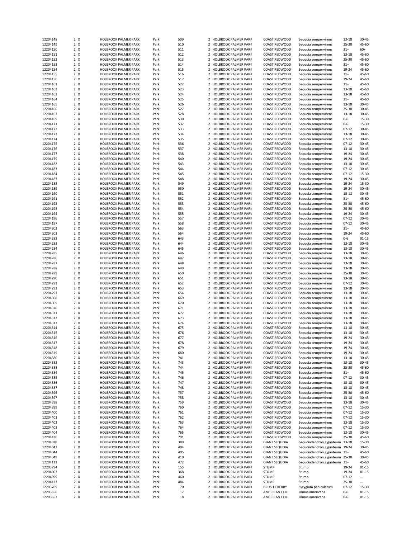| 12204148             | $2 \times$ | <b>HOLBROOK PALMER PARK</b>                         | Park         | 509      |                | 2 HOLBROOK PALMER PARK                           | COAST REDWOOD                | Sequoia sempervirens               | 13-18              | $30 - 45$                |
|----------------------|------------|-----------------------------------------------------|--------------|----------|----------------|--------------------------------------------------|------------------------------|------------------------------------|--------------------|--------------------------|
| 12204149             | 2 X        | <b>HOLBROOK PALMER PARK</b>                         | Park         | 510      |                | 2 HOLBROOK PALMER PARK                           | COAST REDWOOD                | Sequoia sempervirens               | 25-30              | 45-60                    |
| 12204150             | 2 X        | HOLBROOK PALMER PARK                                | Park         | 511      |                | 2 HOLBROOK PALMER PARK                           | COAST REDWOOD                | Sequoia sempervirens               | $31+$              | $60+$                    |
| 12204151             | 2 X        | <b>HOLBROOK PALMER PARK</b>                         | Park         | 512      |                | 2 HOLBROOK PALMER PARK                           | COAST REDWOOD                | Sequoia sempervirens               | 13-18              | 45-60                    |
| 12204152             | 2 X        | <b>HOLBROOK PALMER PARK</b>                         | Park         | 513      |                | 2 HOLBROOK PALMER PARK                           | COAST REDWOOD                | Sequoia sempervirens               | $25 - 30$          | 45-60                    |
| 12204153             | 2 X        | <b>HOLBROOK PALMER PARK</b>                         | Park         | 514      |                | 2 HOLBROOK PALMER PARK                           | COAST REDWOOD                | Sequoia sempervirens               | $31+$              | 45-60                    |
| 12204154             | 2 X        | <b>HOLBROOK PALMER PARK</b>                         | Park         | 515      |                | 2 HOLBROOK PALMER PARK                           | COAST REDWOOD                | Sequoia sempervirens               | 19-24              | 45-60                    |
| 12204155             | 2 X        | <b>HOLBROOK PALMER PARK</b>                         | Park         | 516      | $\overline{2}$ | HOLBROOK PALMER PARK                             | COAST REDWOOD                | Sequoia sempervirens               | $31+$              | 45-60                    |
|                      |            |                                                     |              |          |                |                                                  |                              |                                    |                    |                          |
| 12204156             | 2 X        | <b>HOLBROOK PALMER PARK</b>                         | Park         | 517      |                | 2 HOLBROOK PALMER PARK                           | COAST REDWOOD                | Sequoia sempervirens               | 19-24              | 45-60                    |
| 12204161             | 2 X        | <b>HOLBROOK PALMER PARK</b>                         | Park         | 522      |                | 2 HOLBROOK PALMER PARK                           | COAST REDWOOD                | Sequoia sempervirens               | $31+$              | 45-60                    |
| 12204162             | 2 X        | <b>HOLBROOK PALMER PARK</b>                         | Park         | 523      |                | 2 HOLBROOK PALMER PARK                           | COAST REDWOOD                | Sequoia sempervirens               | 13-18              | 45-60                    |
| 12204163             | 2 X        | HOLBROOK PALMER PARK                                | Park         | 524      |                | 2 HOLBROOK PALMER PARK                           | COAST REDWOOD                | Sequoia sempervirens               | $13 - 18$          | 45-60                    |
| 12204164             | 2 X        | <b>HOLBROOK PALMER PARK</b>                         | Park         | 525      |                | 2 HOLBROOK PALMER PARK                           | COAST REDWOOD                | Sequoia sempervirens               | $31+$              | 45-60                    |
| 12204165             | 2 X        | <b>HOLBROOK PALMER PARK</b>                         | Park         | 526      |                | 2 HOLBROOK PALMER PARK                           | COAST REDWOOD                | Sequoia sempervirens               | $13 - 18$          | 30-45                    |
| 12204166             | 2 X        | <b>HOLBROOK PALMER PARK</b>                         | Park         | 527      |                | 2 HOLBROOK PALMER PARK                           | COAST REDWOOD                | Sequoia sempervirens               | $25 - 30$          | 30-45                    |
| 12204167             | 2 X        | <b>HOLBROOK PALMER PARK</b>                         | Park         | 528      |                | 2 HOLBROOK PALMER PARK                           | COAST REDWOOD                | Sequoia sempervirens               | 13-18              | 30-45                    |
| 12204169             | 2 X        | <b>HOLBROOK PALMER PARK</b>                         | Park         | 530      |                | 2 HOLBROOK PALMER PARK                           | COAST REDWOOD                | Sequoia sempervirens               | $0 - 6$            | 15-30                    |
| 12204171             | $2 \times$ | <b>HOLBROOK PALMER PARK</b>                         | Park         | 532      |                | 2 HOLBROOK PALMER PARK                           | COAST REDWOOD                | Sequoia sempervirens               | $0 - 6$            | 15-30                    |
|                      |            |                                                     |              |          |                |                                                  |                              |                                    |                    |                          |
| 12204172             | 2 X        | <b>HOLBROOK PALMER PARK</b>                         | Park         | 533      |                | 2 HOLBROOK PALMER PARK                           | COAST REDWOOD                | Sequoia sempervirens               | $07 - 12$          | 30-45                    |
| 12204173             | 2 X        | HOLBROOK PALMER PARK                                | Park         | 534      |                | 2 HOLBROOK PALMER PARK                           | COAST REDWOOD                | Sequoia sempervirens               | $13 - 18$          | $30 - 45$                |
| 12204174             | 2 X        | HOLBROOK PALMER PARK                                | Park         | 535      |                | 2 HOLBROOK PALMER PARK                           | COAST REDWOOD                | Sequoia sempervirens               | $07 - 12$          | $30 - 45$                |
| 12204175             | 2 X        | <b>HOLBROOK PALMER PARK</b>                         | Park         | 536      |                | 2 HOLBROOK PALMER PARK                           | COAST REDWOOD                | Sequoia sempervirens               | $07 - 12$          | $30 - 45$                |
| 12204176             | 2 X        | <b>HOLBROOK PALMER PARK</b>                         | Park         | 537      |                | 2 HOLBROOK PALMER PARK                           | COAST REDWOOD                | Sequoia sempervirens               | 13-18              | 30-45                    |
| 12204177             | 2 X        | <b>HOLBROOK PALMER PARK</b>                         | Park         | 538      |                | 2 HOLBROOK PALMER PARK                           | COAST REDWOOD                | Sequoia sempervirens               | 19-24              | $30 - 45$                |
| 12204179             | 2 X        | <b>HOLBROOK PALMER PARK</b>                         | Park         | 540      |                | 2 HOLBROOK PALMER PARK                           | COAST REDWOOD                | Sequoia sempervirens               | 19-24              | $30 - 45$                |
| 12204182             | 2 X        | <b>HOLBROOK PALMER PARK</b>                         | Park         | 543      |                | 2 HOLBROOK PALMER PARK                           | COAST REDWOOD                | Sequoia sempervirens               | 13-18              | $30 - 45$                |
| 12204183             | 2 X        | <b>HOLBROOK PALMER PARK</b>                         | Park         | 544      |                | 2 HOLBROOK PALMER PARK                           | COAST REDWOOD                | Sequoia sempervirens               | $07 - 12$          | 30-45                    |
|                      | 2 X        |                                                     |              | 545      |                | 2 HOLBROOK PALMER PARK                           | COAST REDWOOD                |                                    | $07 - 12$          | 15-30                    |
| 12204184             |            | <b>HOLBROOK PALMER PARK</b>                         | Park         |          |                |                                                  |                              | Sequoia sempervirens               |                    |                          |
| 12204187             | 2 X        | HOLBROOK PALMER PARK                                | Park         | 548      |                | 2 HOLBROOK PALMER PARK                           | COAST REDWOOD                | Sequoia sempervirens               | 19-24              | 30-45                    |
| 12204188             | 2 X        | <b>HOLBROOK PALMER PARK</b>                         | Park         | 549      |                | 2 HOLBROOK PALMER PARK                           | COAST REDWOOD                | Sequoia sempervirens               | 19-24              | 15-30                    |
| 12204189             | 2 X        | <b>HOLBROOK PALMER PARK</b>                         | Park         | 550      |                | 2 HOLBROOK PALMER PARK                           | COAST REDWOOD                | Sequoia sempervirens               | 19-24              | $30 - 45$                |
| 12204190             | 2 X        | <b>HOLBROOK PALMER PARK</b>                         | Park         | 551      |                | 2 HOLBROOK PALMER PARK                           | COAST REDWOOD                | Sequoia sempervirens               | $13 - 18$          | 30-45                    |
| 12204191             | 2 X        | <b>HOLBROOK PALMER PARK</b>                         | Park         | 552      |                | 2 HOLBROOK PALMER PARK                           | COAST REDWOOD                | Sequoia sempervirens               | $31+$              | 45-60                    |
| 12204192             | 2 X        | <b>HOLBROOK PALMER PARK</b>                         | Park         | 553      |                | 2 HOLBROOK PALMER PARK                           | COAST REDWOOD                | Sequoia sempervirens               | 25-30              | 45-60                    |
| 12204193             | 2 X        | HOLBROOK PALMER PARK                                | Park         | 554      |                | 2 HOLBROOK PALMER PARK                           | COAST REDWOOD                | Sequoia sempervirens               | $25 - 30$          | 45-60                    |
| 12204194             | 2 X        | <b>HOLBROOK PALMER PARK</b>                         | Park         | 555      |                | 2 HOLBROOK PALMER PARK                           | COAST REDWOOD                | Sequoia sempervirens               | 19-24              | 30-45                    |
| 12204196             | 2 X        | <b>HOLBROOK PALMER PARK</b>                         | Park         | 557      |                | 2 HOLBROOK PALMER PARK                           | COAST REDWOOD                | Sequoia sempervirens               | $07 - 12$          | 30-45                    |
| 12204197             | 2 X        | HOLBROOK PALMER PARK                                | Park         | 558      |                | 2 HOLBROOK PALMER PARK                           | COAST REDWOOD                |                                    | $07 - 12$          | 30-45                    |
|                      |            | <b>HOLBROOK PALMER PARK</b>                         |              |          |                |                                                  | COAST REDWOOD                | Sequoia sempervirens               |                    |                          |
| 12204202             | 2 X        |                                                     | Park         | 563      |                | 2 HOLBROOK PALMER PARK                           |                              | Sequoia sempervirens               | $31+$              | 45-60                    |
| 12204203             | 2 X        | <b>HOLBROOK PALMER PARK</b>                         | Park         | 564      |                | 2 HOLBROOK PALMER PARK                           | COAST REDWOOD                | Sequoia sempervirens               | 19-24              | 45-60                    |
| 12204282             | 2 X        | <b>HOLBROOK PALMER PARK</b>                         | Park         | 643      |                | 2 HOLBROOK PALMER PARK                           | COAST REDWOOD                | Sequoia sempervirens               | $0 - 6$            | $01 - 15$                |
| 12204283             | 2 X        | <b>HOLBROOK PALMER PARK</b>                         | Park         | 644      |                | 2 HOLBROOK PALMER PARK                           | COAST REDWOOD                | Sequoia sempervirens               | 13-18              | $30 - 45$                |
| 12204284             | 2 X        | <b>HOLBROOK PALMER PARK</b>                         | Park         | 645      |                | 2 HOLBROOK PALMER PARK                           | COAST REDWOOD                | Sequoia sempervirens               | 13-18              | $30 - 45$                |
| 12204285             | 2 X        | <b>HOLBROOK PALMER PARK</b>                         | Park         | 646      |                | 2 HOLBROOK PALMER PARK                           | COAST REDWOOD                | Sequoia sempervirens               | 13-18              | $30 - 45$                |
| 12204286             | $2 \times$ | <b>HOLBROOK PALMER PARK</b>                         | Park         | 647      |                | 2 HOLBROOK PALMER PARK                           | COAST REDWOOD                | Sequoia sempervirens               | 13-18              | $30 - 45$                |
| 12204287             | 2 X        | HOLBROOK PALMER PARK                                | Park         | 648      |                | 2 HOLBROOK PALMER PARK                           | COAST REDWOOD                | Sequoia sempervirens               | 13-18              | 30-45                    |
|                      |            |                                                     |              |          |                |                                                  |                              |                                    |                    |                          |
|                      |            |                                                     |              |          |                |                                                  |                              |                                    |                    |                          |
| 12204288             | 2 X        | HOLBROOK PALMER PARK                                | Park         | 649      |                | 2 HOLBROOK PALMER PARK                           | COAST REDWOOD                | Sequoia sempervirens               | $13 - 18$          | $30 - 45$                |
| 12204289             | 2 X        | HOLBROOK PALMER PARK                                | Park         | 650      |                | 2 HOLBROOK PALMER PARK                           | COAST REDWOOD                | Sequoia sempervirens               | 25-30              | $30 - 45$                |
| 12204290             | 2 X        | <b>HOLBROOK PALMER PARK</b>                         | Park         | 651      |                | 2 HOLBROOK PALMER PARK                           | COAST REDWOOD                | Sequoia sempervirens               | $13 - 18$          | $30 - 45$                |
| 12204291             | 2 X        | <b>HOLBROOK PALMER PARK</b>                         | Park         | 652      |                | 2 HOLBROOK PALMER PARK                           | COAST REDWOOD                | Sequoia sempervirens               | $07 - 12$          | $30 - 45$                |
| 12204292             | 2 X        | <b>HOLBROOK PALMER PARK</b>                         | Park         | 653      |                | 2 HOLBROOK PALMER PARK                           | COAST REDWOOD                | Sequoia sempervirens               | 13-18              | $30 - 45$                |
| 12204293             | $2 \times$ | <b>HOLBROOK PALMER PARK</b>                         | Park         | 654      |                | 2 HOLBROOK PALMER PARK                           | COAST REDWOOD                | Sequoia sempervirens               | 13-18              | 30-45                    |
| 12204308             | 2 X        | HOLBROOK PALMER PARK                                | Park         | 669      |                | 2 HOLBROOK PALMER PARK                           | COAST REDWOOD                | Sequoia sempervirens               | 13-18              | $30 - 45$                |
| 12204309             | 2 X        | HOLBROOK PALMER PARK                                | Park         | 670      |                | 2 HOLBROOK PALMER PARK                           | COAST REDWOOD                | Sequoia sempervirens               | 13-18              | 30-45                    |
| 12204310             | 2 X        | <b>HOLBROOK PALMER PARK</b>                         | Park         | 671      |                | 2 HOLBROOK PALMER PARK                           | COAST REDWOOD                |                                    | 13-18              | $30 - 45$                |
|                      | 2 X        |                                                     |              | 672      |                |                                                  | COAST REDWOOD                | Sequoia sempervirens               | $13 - 18$          | 30-45                    |
| 12204311             |            | <b>HOLBROOK PALMER PARK</b>                         | Park         |          |                | 2 HOLBROOK PALMER PARK                           |                              | Sequoia sempervirens               |                    |                          |
| 12204312             | 2 X        | <b>HOLBROOK PALMER PARK</b>                         | Park         | 673      |                | 2 HOLBROOK PALMER PARK                           | COAST REDWOOD                | Sequoia sempervirens               | $13 - 18$          | 30-45                    |
| 12204313             | 2 X        | <b>HOLBROOK PALMER PARK</b>                         | Park         | 674      |                | 2 HOLBROOK PALMER PARK                           | COAST REDWOOD                | Sequoia sempervirens               | $13 - 18$          | 30-45                    |
| 12204314             | 2 X        | <b>HOLBROOK PALMER PARK</b>                         | Park         | 675      |                | 2 HOLBROOK PALMER PARK                           | COAST REDWOOD                | Sequoia sempervirens               | 13-18              | $30 - 45$                |
| 12204315             | 2 X        | <b>HOLBROOK PALMER PARK</b>                         | Park         | 676      |                | 2 HOLBROOK PALMER PARK                           | COAST REDWOOD                | Sequoia sempervirens               | $13 - 18$          | 30-45                    |
| 12204316             | $2 \times$ | <b>HOLBROOK PALMER PARK</b>                         | Park         | 677      |                | 2 HOLBROOK PALMER PARK                           | COAST REDWOOD                | Sequoia sempervirens               | 19-24              | $30 - 45$                |
| 12204317             | $2 \times$ | <b>HOLBROOK PALMER PARK</b>                         | Park         | 678      |                | HOLBROOK PALMER PARK                             | COAST REDWOOD                | Sequoia sempervirens               | 19-24              | $30 - 45$                |
| 12204318             | 2 X        | <b>HOLBROOK PALMER PARK</b>                         | Park         | 679      |                | 2 HOLBROOK PALMER PARK                           | COAST REDWOOD                | Sequoia sempervirens               | 19-24              | 30-45                    |
| 12204319             | 2 X        | <b>HOLBROOK PALMER PARK</b>                         | Park         | 680      |                | 2 HOLBROOK PALMER PARK                           | COAST REDWOOD                | Sequoia sempervirens               | 19-24              | 30-45                    |
| 12204380             | 2 X        | HOLBROOK PALMER PARK                                | Park         | 741      |                | 2 HOLBROOK PALMER PARK                           | COAST REDWOOD                | Sequoia sempervirens               | 13-18              | 30-45                    |
| 12204382             | 2 X        | <b>HOLBROOK PALMER PARK</b>                         | Park         | 743      |                | 2 HOLBROOK PALMER PARK                           | COAST REDWOOD                | Sequoia sempervirens               | 13-18              | 30-45                    |
| 12204383             | 2 X        | <b>HOLBROOK PALMER PARK</b>                         | Park         | 744      |                | 2 HOLBROOK PALMER PARK                           | COAST REDWOOD                | Sequoia sempervirens               | 25-30              | 45-60                    |
| 12204384             | 2 X        | <b>HOLBROOK PALMER PARK</b>                         | Park         | 745      |                | 2 HOLBROOK PALMER PARK                           | COAST REDWOOD                | Sequoia sempervirens               | $31+$              | 45-60                    |
| 12204385             | 2 X        | HOLBROOK PALMER PARK                                | Park         | 746      |                | 2 HOLBROOK PALMER PARK                           | COAST REDWOOD                | Sequoia sempervirens               | $07 - 12$          | 30-45                    |
|                      |            | HOLBROOK PALMER PARK                                |              |          |                |                                                  |                              |                                    |                    |                          |
| 12204386             | 2 X        |                                                     | Park         | 747      |                | 2 HOLBROOK PALMER PARK                           | COAST REDWOOD                | Sequoia sempervirens               | 13-18              | 30-45                    |
| 12204387             | 2 X        | HOLBROOK PALMER PARK                                | Park         | 748      |                | 2 HOLBROOK PALMER PARK                           | COAST REDWOOD                | Sequoia sempervirens               | 13-18              | 30-45                    |
| 12204396             | 2 X        | <b>HOLBROOK PALMER PARK</b>                         | Park         | 757      |                | 2 HOLBROOK PALMER PARK                           | COAST REDWOOD                | Sequoia sempervirens               | 25-30              | 45-60                    |
| 12204397             | 2 X        | HOLBROOK PALMER PARK                                | Park         | 758      |                | 2 HOLBROOK PALMER PARK                           | COAST REDWOOD                | Sequoia sempervirens               | 13-18              | 30-45                    |
| 12204398             | 2 X        | HOLBROOK PALMER PARK                                | Park         | 759      |                | 2 HOLBROOK PALMER PARK                           | COAST REDWOOD                | Sequoia sempervirens               | 13-18              | 30-45                    |
| 12204399             | 2 X        | <b>HOLBROOK PALMER PARK</b>                         | Park         | 760      |                | 2 HOLBROOK PALMER PARK                           | COAST REDWOOD                | Sequoia sempervirens               | $07 - 12$          | 15-30                    |
| 12204400             | 2 X        | HOLBROOK PALMER PARK                                | Park         | 761      |                | 2 HOLBROOK PALMER PARK                           | COAST REDWOOD                | Sequoia sempervirens               | $07 - 12$          | 15-30                    |
| 12204401             | 2 X        | HOLBROOK PALMER PARK                                | Park         | 762      |                | 2 HOLBROOK PALMER PARK                           | COAST REDWOOD                | Sequoia sempervirens               | $07 - 12$          | 15-30                    |
| 12204402             | 2 X        | HOLBROOK PALMER PARK                                | Park         | 763      |                | 2 HOLBROOK PALMER PARK                           | COAST REDWOOD                | Sequoia sempervirens               | 13-18              | 15-30                    |
| 12204403             | 2 X        | HOLBROOK PALMER PARK                                | Park         | 764      |                | 2 HOLBROOK PALMER PARK                           | COAST REDWOOD                | Sequoia sempervirens               | $07 - 12$          | 15-30                    |
|                      |            |                                                     |              |          |                |                                                  |                              |                                    |                    |                          |
| 12204404             | 2 X        | HOLBROOK PALMER PARK                                | Park         | 765      |                | 2 HOLBROOK PALMER PARK                           | COAST REDWOOD                | Sequoia sempervirens               | 13-18              | 30-45                    |
| 12204430             | 2 X        | HOLBROOK PALMER PARK                                | Park         | 791      |                | 2 HOLBROOK PALMER PARK                           | COAST REDWOOD                | Sequoia sempervirens               | 25-30              | 45-60                    |
| 12204028             | 2 X        | HOLBROOK PALMER PARK                                | Park         | 389      |                | 2 HOLBROOK PALMER PARK                           | <b>GIANT SEQUOIA</b>         | Sequoiadendron giganteum 13-18     |                    | 15-30                    |
| 12204043             | 2 X        | <b>HOLBROOK PALMER PARK</b>                         | Park         | 404      |                | 2 HOLBROOK PALMER PARK                           | <b>GIANT SEQUOIA</b>         | Sequoiadendron giganteum 19-24     |                    | 30-45                    |
| 12204044             | 2 X        | HOLBROOK PALMER PARK                                | Park         | 405      |                | 2 HOLBROOK PALMER PARK                           | <b>GIANT SEQUOIA</b>         | Sequoiadendron giganteum 31+       |                    | 45-60                    |
| 12204049             | 2 X        | HOLBROOK PALMER PARK                                | Park         | 410      |                | 2 HOLBROOK PALMER PARK                           | <b>GIANT SEQUOIA</b>         | Sequoiadendron giganteum           | 25-30              | 30-45                    |
| 12204111             | 2 X        | HOLBROOK PALMER PARK                                | Park         | 472      |                | 2 HOLBROOK PALMER PARK                           | <b>GIANT SEQUOIA</b>         | Sequoiadendron giganteum 31+       |                    | 45-60                    |
| 12203794             | 2 X        | HOLBROOK PALMER PARK                                | Park         | 155      |                | 2 HOLBROOK PALMER PARK                           | <b>STUMP</b>                 | Stump                              | 19-24              | $01 - 15$                |
| 12204007             | 2 X        | HOLBROOK PALMER PARK                                | Park         | 368      |                | 2 HOLBROOK PALMER PARK                           | <b>STUMP</b>                 | Stump                              | 19-24              | $01 - 15$                |
| 12204099             | 2 X        | HOLBROOK PALMER PARK                                | Park         | 460      |                | 2 HOLBROOK PALMER PARK                           | <b>STUMP</b>                 | Stump                              | $07 - 12$          | $\overline{\phantom{a}}$ |
| 12204123             | 2 X        | HOLBROOK PALMER PARK                                | Park         | 484      |                | 2 HOLBROOK PALMER PARK                           | <b>STUMP</b>                 | Stump                              | 25-30              | $\hspace{0.05cm} \ldots$ |
|                      |            |                                                     |              |          |                |                                                  |                              |                                    |                    |                          |
| 12203709             | 2 X        | <b>HOLBROOK PALMER PARK</b>                         | Park         | 70       |                | 2 HOLBROOK PALMER PARK                           | <b>BRUSH CHERRY</b>          | Syzygium paniculatum               | $07 - 12$          | 15-30                    |
| 12203656<br>12203657 | 2 X<br>2 X | <b>HOLBROOK PALMER PARK</b><br>HOLBROOK PALMER PARK | Park<br>Park | 17<br>18 |                | 2 HOLBROOK PALMER PARK<br>2 HOLBROOK PALMER PARK | AMERICAN ELM<br>AMERICAN ELM | Ulmus americana<br>Ulmus americana | $0 - 6$<br>$0 - 6$ | $01 - 15$<br>$01 - 15$   |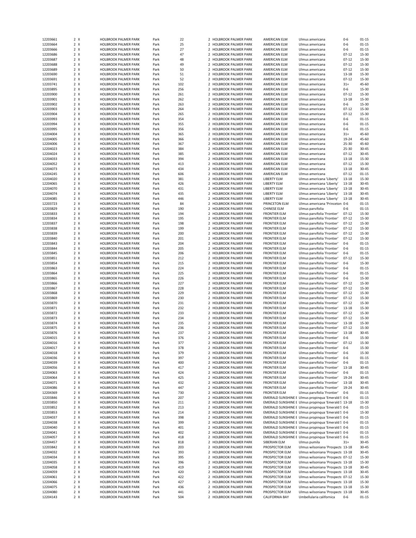| 12203661 | 2 X | HOLBROOK PALMER PARK        | Park | 22  |                          | 2 HOLBROOK PALMER PARK      | AMERICAN ELM        | Ulmus americana                                     | 0-6       | 01-15     |
|----------|-----|-----------------------------|------|-----|--------------------------|-----------------------------|---------------------|-----------------------------------------------------|-----------|-----------|
| 12203664 | 2 X | HOLBROOK PALMER PARK        | Park | 25  |                          | 2 HOLBROOK PALMER PARK      | AMERICAN ELM        | Ulmus americana                                     | $0-6$     | $01 - 15$ |
| 12203666 | 2 X | HOLBROOK PALMER PARK        | Park | 27  |                          | 2 HOLBROOK PALMER PARK      | AMERICAN ELM        | Ulmus americana                                     | $0-6$     | $01 - 15$ |
|          |     |                             |      |     |                          |                             |                     |                                                     |           |           |
| 12203686 | 2 X | HOLBROOK PALMER PARK        | Park | 47  | $\overline{\phantom{a}}$ | <b>HOLBROOK PALMER PARK</b> | AMERICAN ELM        | Ulmus americana                                     | $07 - 12$ | 15-30     |
| 12203687 | 2 X | <b>HOLBROOK PALMER PARK</b> | Park | 48  |                          | 2 HOLBROOK PALMER PARK      | AMERICAN ELM        | Ulmus americana                                     | $07 - 12$ | 15-30     |
| 12203688 | 2 X | HOLBROOK PALMER PARK        | Park | 49  |                          | 2 HOLBROOK PALMER PARK      | AMERICAN ELM        | Ulmus americana                                     | $07 - 12$ | 15-30     |
| 12203689 | 2 X | <b>HOLBROOK PALMER PARK</b> | Park | 50  |                          | 2 HOLBROOK PALMER PARK      | AMERICAN ELM        | Ulmus americana                                     | $07 - 12$ | 15-30     |
| 12203690 | 2 X | <b>HOLBROOK PALMER PARK</b> | Park | 51  |                          | 2 HOLBROOK PALMER PARK      | AMERICAN ELM        | Ulmus americana                                     | 13-18     | 15-30     |
| 12203691 | 2 X | <b>HOLBROOK PALMER PARK</b> | Park | 52  |                          | 2 HOLBROOK PALMER PARK      | AMERICAN ELM        | Ulmus americana                                     | $07 - 12$ | 15-30     |
|          |     |                             |      |     |                          |                             |                     |                                                     |           |           |
| 12203741 | 2 X | HOLBROOK PALMER PARK        | Park | 102 |                          | 2 HOLBROOK PALMER PARK      | AMERICAN ELM        | Ulmus americana                                     | $31+$     | 45-60     |
| 12203895 | 2 X | HOLBROOK PALMER PARK        | Park | 256 |                          | 2 HOLBROOK PALMER PARK      | AMERICAN ELM        | Ulmus americana                                     | $0 - 6$   | 15-30     |
| 12203900 | 2 X | HOLBROOK PALMER PARK        | Park | 261 |                          | 2 HOLBROOK PALMER PARK      | AMERICAN ELM        | Ulmus americana                                     | $07 - 12$ | 15-30     |
| 12203901 | 2 X | <b>HOLBROOK PALMER PARK</b> | Park | 262 | $\mathcal{P}$            | <b>HOLBROOK PALMER PARK</b> | AMERICAN ELM        | Ulmus americana                                     | $13 - 18$ | 15-30     |
| 12203902 | 2 X | <b>HOLBROOK PALMER PARK</b> | Park | 263 |                          | 2 HOLBROOK PALMER PARK      | AMERICAN ELM        | Ulmus americana                                     | 0-6       | 15-30     |
|          |     |                             |      |     |                          |                             |                     |                                                     |           |           |
| 12203903 | 2 X | HOLBROOK PALMER PARK        | Park | 264 |                          | 2 HOLBROOK PALMER PARK      | AMERICAN ELM        | Ulmus americana                                     | $07 - 12$ | 15-30     |
| 12203904 | 2 X | HOLBROOK PALMER PARK        | Park | 265 |                          | 2 HOLBROOK PALMER PARK      | AMERICAN ELM        | Ulmus americana                                     | $07 - 12$ | 15-30     |
| 12203993 | 2 X | HOLBROOK PALMER PARK        | Park | 354 |                          | 2 HOLBROOK PALMER PARK      | AMERICAN ELM        | Ulmus americana                                     | $0 - 6$   | $01 - 15$ |
| 12203994 | 2 X | HOLBROOK PALMER PARK        | Park | 355 |                          | 2 HOLBROOK PALMER PARK      | AMERICAN ELM        | Ulmus americana                                     | $0 - 6$   | $01 - 15$ |
| 12203995 | 2 X | HOLBROOK PALMER PARK        | Park | 356 |                          | 2 HOLBROOK PALMER PARK      | AMERICAN ELM        | Ulmus americana                                     | $0-6$     | $01 - 15$ |
| 12204004 | 2 X | <b>HOLBROOK PALMER PARK</b> | Park | 365 |                          | 2 HOLBROOK PALMER PARK      | AMERICAN ELM        | Ulmus americana                                     | $31+$     | 45-60     |
|          |     |                             |      |     |                          |                             |                     |                                                     |           |           |
| 12204005 | 2 X | HOLBROOK PALMER PARK        | Park | 366 |                          | 2 HOLBROOK PALMER PARK      | AMERICAN ELM        | Ulmus americana                                     | 19-24     | 45-60     |
| 12204006 | 2 X | <b>HOLBROOK PALMER PARK</b> | Park | 367 | $\overline{2}$           | <b>HOLBROOK PALMER PARK</b> | AMERICAN ELM        | Ulmus americana                                     | 25-30     | 45-60     |
| 12204023 | 2 X | <b>HOLBROOK PALMER PARK</b> | Park | 384 |                          | 2 HOLBROOK PALMER PARK      | AMERICAN ELM        | Ulmus americana                                     | 25-30     | $30 - 45$ |
| 12204024 | 2 X | <b>HOLBROOK PALMER PARK</b> | Park | 385 |                          | 2 HOLBROOK PALMER PARK      | AMERICAN ELM        | Ulmus americana                                     | $07 - 12$ | 30-45     |
| 12204033 | 2 X |                             |      | 394 |                          |                             |                     |                                                     |           | 15-30     |
|          |     | <b>HOLBROOK PALMER PARK</b> | Park |     |                          | 2 HOLBROOK PALMER PARK      | AMERICAN ELM        | Ulmus americana                                     | 13-18     |           |
| 12204052 | 2 X | HOLBROOK PALMER PARK        | Park | 413 |                          | 2 HOLBROOK PALMER PARK      | AMERICAN ELM        | Ulmus americana                                     | $07 - 12$ | 15-30     |
| 12204073 | 2 X | HOLBROOK PALMER PARK        | Park | 434 |                          | 2 HOLBROOK PALMER PARK      | AMERICAN ELM        | Ulmus americana                                     | 13-18     | $30 - 45$ |
| 12204245 | 2 X | HOLBROOK PALMER PARK        | Park | 606 |                          | 2 HOLBROOK PALMER PARK      | AMERICAN ELM        | Ulmus americana                                     | $07 - 12$ | $01 - 15$ |
| 12204020 | 2 X | <b>HOLBROOK PALMER PARK</b> | Park | 381 |                          | 2 HOLBROOK PALMER PARK      | LIBERTY ELM         | Ulmus americana 'Liberty'                           | $13 - 18$ | 15-30     |
| 12204065 | 2 X | HOLBROOK PALMER PARK        | Park | 426 |                          | 2 HOLBROOK PALMER PARK      | LIBERTY ELM         | Ulmus americana 'Liberty'                           | $13 - 18$ | $30 - 45$ |
|          |     |                             |      |     |                          |                             |                     |                                                     |           |           |
| 12204070 | 2 X | <b>HOLBROOK PALMER PARK</b> | Park | 431 | $\overline{2}$           | HOLBROOK PALMER PARK        | LIBERTY ELM         | Ulmus americana 'Liberty'                           | 13-18     | 30-45     |
| 12204074 | 2 X | <b>HOLBROOK PALMER PARK</b> | Park | 435 |                          | 2 HOLBROOK PALMER PARK      | <b>LIBERTY ELM</b>  | Ulmus americana 'Liberty'                           | $13 - 18$ | $30 - 45$ |
| 12204085 | 2 X | <b>HOLBROOK PALMER PARK</b> | Park | 446 |                          | 2 HOLBROOK PALMER PARK      | LIBERTY ELM         | Ulmus americana 'Liberty'                           | 13-18     | $30 - 45$ |
| 12203723 | 2 X | <b>HOLBROOK PALMER PARK</b> | Park | 84  |                          | 2 HOLBROOK PALMER PARK      | PRINCETON ELM       | Ulmus americana 'Princeton 0-6                      |           | $01 - 15$ |
| 12203829 | 2 X | HOLBROOK PALMER PARK        | Park | 190 |                          | 2 HOLBROOK PALMER PARK      | CHINESE ELM         | Ulmus parvifolia                                    | $0-6$     | $01 - 15$ |
|          |     |                             |      |     |                          |                             |                     |                                                     |           |           |
| 12203833 | 2 X | HOLBROOK PALMER PARK        | Park | 194 |                          | 2 HOLBROOK PALMER PARK      | <b>FRONTIER ELM</b> | Ulmus parvifolia 'Frontier'                         | $07 - 12$ | 15-30     |
| 12203834 | 2 X | <b>HOLBROOK PALMER PARK</b> | Park | 195 |                          | 2 HOLBROOK PALMER PARK      | <b>FRONTIER ELM</b> | Ulmus parvifolia 'Frontier'                         | $07 - 12$ | 15-30     |
| 12203837 | 2 X | <b>HOLBROOK PALMER PARK</b> | Park | 198 |                          | 2 HOLBROOK PALMER PARK      | <b>FRONTIER ELM</b> | Ulmus parvifolia 'Frontier'                         | $07 - 12$ | 15-30     |
| 12203838 | 2 X | <b>HOLBROOK PALMER PARK</b> | Park | 199 |                          | 2 HOLBROOK PALMER PARK      | <b>FRONTIER ELM</b> | Ulmus parvifolia 'Frontier'                         | $07 - 12$ | 15-30     |
| 12203839 | 2 X | <b>HOLBROOK PALMER PARK</b> | Park | 200 |                          | 2 HOLBROOK PALMER PARK      | <b>FRONTIER ELM</b> | Ulmus parvifolia 'Frontier'                         | $07 - 12$ | 15-30     |
|          |     |                             |      |     |                          |                             |                     |                                                     |           |           |
| 12203840 | 2 X | <b>HOLBROOK PALMER PARK</b> | Park | 201 |                          | 2 HOLBROOK PALMER PARK      | <b>FRONTIER ELM</b> | Ulmus parvifolia 'Frontier'                         | $07 - 12$ | 15-30     |
| 12203843 | 2 X | <b>HOLBROOK PALMER PARK</b> | Park | 204 |                          | 2 HOLBROOK PALMER PARK      | <b>FRONTIER ELM</b> | Ulmus parvifolia 'Frontier'                         | $0 - 6$   | $01 - 15$ |
| 12203844 | 2 X | <b>HOLBROOK PALMER PARK</b> | Park | 205 |                          | 2 HOLBROOK PALMER PARK      | <b>FRONTIER ELM</b> | Ulmus parvifolia 'Frontier'                         | $0 - 6$   | $01 - 15$ |
| 12203845 | 2 X | HOLBROOK PALMER PARK        | Park | 206 |                          | 2 HOLBROOK PALMER PARK      | <b>FRONTIER ELM</b> | Ulmus parvifolia 'Frontier'                         | $0-6$     | $01 - 15$ |
| 12203851 | 2 X | HOLBROOK PALMER PARK        | Park | 212 |                          | 2 HOLBROOK PALMER PARK      | <b>FRONTIER ELM</b> | Ulmus parvifolia 'Frontier'                         | $07 - 12$ | 15-30     |
|          |     |                             |      |     |                          |                             |                     |                                                     |           |           |
| 12203854 | 2 X | HOLBROOK PALMER PARK        | Park | 215 |                          | 2 HOLBROOK PALMER PARK      | <b>FRONTIER ELM</b> | Ulmus parvifolia 'Frontier'                         | $0-6$     | 15-30     |
| 12203863 | 2 X | HOLBROOK PALMER PARK        | Park | 224 |                          | 2 HOLBROOK PALMER PARK      | <b>FRONTIER ELM</b> | Ulmus parvifolia 'Frontier'                         | $0-6$     | $01 - 15$ |
| 12203864 | 2 X | <b>HOLBROOK PALMER PARK</b> | Park | 225 |                          | 2 HOLBROOK PALMER PARK      | <b>FRONTIER ELM</b> | Ulmus parvifolia 'Frontier'                         | $0-6$     | $01 - 15$ |
| 12203865 | 2 X | <b>HOLBROOK PALMER PARK</b> | Park | 226 |                          | 2 HOLBROOK PALMER PARK      | <b>FRONTIER ELM</b> | Ulmus parvifolia 'Frontier'                         | $0-6$     | 15-30     |
| 12203866 | 2 X | <b>HOLBROOK PALMER PARK</b> | Park | 227 |                          | 2 HOLBROOK PALMER PARK      | FRONTIER ELM        | Ulmus parvifolia 'Frontier'                         | $07 - 12$ | 15-30     |
|          |     |                             |      |     |                          |                             |                     |                                                     |           |           |
| 12203867 | 2 X | <b>HOLBROOK PALMER PARK</b> | Park | 228 |                          | 2 HOLBROOK PALMER PARK      | <b>FRONTIER ELM</b> | Ulmus parvifolia 'Frontier'                         | $07 - 12$ | 15-30     |
| 12203868 | 2 X | HOLBROOK PALMER PARK        | Park | 229 |                          | 2 HOLBROOK PALMER PARK      | <b>FRONTIER ELM</b> | Ulmus parvifolia 'Frontier'                         | $07 - 12$ | 15-30     |
| 12203869 | 2 X | HOLBROOK PALMER PARK        | Park | 230 |                          | 2 HOLBROOK PALMER PARK      | <b>FRONTIER ELM</b> | Ulmus parvifolia 'Frontier'                         | $07 - 12$ | 15-30     |
| 12203870 | 2 X | <b>HOLBROOK PALMER PARK</b> | Park | 231 |                          | 2 HOLBROOK PALMER PARK      | <b>FRONTIER ELM</b> | Ulmus parvifolia 'Frontier'                         | $07 - 12$ | 15-30     |
| 12203871 | 2 X | HOLBROOK PALMER PARK        | Park | 232 |                          | 2 HOLBROOK PALMER PARK      | <b>FRONTIER ELM</b> | Ulmus parvifolia 'Frontier'                         | $13 - 18$ | 15-30     |
|          |     |                             |      |     |                          |                             |                     |                                                     |           |           |
| 12203872 | 2 X | HOLBROOK PALMER PARK        | Park | 233 |                          | 2 HOLBROOK PALMER PARK      | <b>FRONTIER ELM</b> | Ulmus parvifolia 'Frontier'                         | $07 - 12$ | 15-30     |
| 12203873 | 2 X | <b>HOLBROOK PALMER PARK</b> | Park | 234 |                          | 2 HOLBROOK PALMER PARK      | <b>FRONTIER ELM</b> | Ulmus parvifolia 'Frontier'                         | $07 - 12$ | 15-30     |
| 12203874 | 2 X | HOLBROOK PALMER PARK        | Park | 235 |                          | 2 HOLBROOK PALMER PARK      | <b>FRONTIER ELM</b> | Ulmus parvifolia 'Frontier'                         | $13 - 18$ | 15-30     |
| 12203875 | 2 X | <b>HOLBROOK PALMER PARK</b> | Park | 236 |                          | 2 HOLBROOK PALMER PARK      | <b>FRONTIER ELM</b> | Ulmus parvifolia 'Frontier'                         | $07 - 12$ | 15-30     |
| 12203876 | 2 X | HOLBROOK PALMER PARK        | Park | 237 |                          | 2 HOLBROOK PALMER PARK      | <b>FRONTIER ELM</b> | Ulmus parvifolia 'Frontier'                         | $13 - 18$ | $30 - 45$ |
|          | 2 X |                             |      | 376 |                          | 2 HOLBROOK PALMER PARK      |                     |                                                     | $0-6$     |           |
| 12204015 |     | HOLBROOK PALMER PARK        | Park |     |                          |                             | <b>FRONTIER ELM</b> | Ulmus parvifolia 'Frontier'                         |           | 15-30     |
| 12204016 | 2 X | <b>HOLBROOK PALMER PARK</b> | Park | 377 |                          | 2 HOLBROOK PALMER PARK      | <b>FRONTIER ELM</b> | Ulmus parvifolia 'Frontier'                         | $07-12$   | $15-30$   |
| 12204017 | 2 X | <b>HOLBROOK PALMER PARK</b> | Park | 378 |                          | 2 HOLBROOK PALMER PARK      | <b>FRONTIER ELM</b> | Ulmus parvifolia 'Frontier'                         | $0 - 6$   | 15-30     |
| 12204018 | 2 X | <b>HOLBROOK PALMER PARK</b> | Park | 379 |                          | 2 HOLBROOK PALMER PARK      | <b>FRONTIER ELM</b> | Ulmus parvifolia 'Frontier'                         | $0-6$     | 15-30     |
| 12204036 | 2 X | HOLBROOK PALMER PARK        | Park | 397 |                          | 2 HOLBROOK PALMER PARK      | FRONTIER ELM        | Ulmus parvifolia 'Frontier'                         | $0 - 6$   | $01 - 15$ |
| 12204039 | 2 X | HOLBROOK PALMER PARK        | Park | 400 |                          | 2 HOLBROOK PALMER PARK      | <b>FRONTIER ELM</b> | Ulmus parvifolia 'Frontier'                         | $0 - 6$   | $01 - 15$ |
|          |     |                             |      |     |                          |                             |                     | Ulmus parvifolia 'Frontier'                         |           |           |
| 12204056 | 2 X | HOLBROOK PALMER PARK        | Park | 417 |                          | 2 HOLBROOK PALMER PARK      | <b>FRONTIER ELM</b> |                                                     | 13-18     | $30 - 45$ |
| 12204063 | 2 X | HOLBROOK PALMER PARK        | Park | 424 |                          | 2 HOLBROOK PALMER PARK      | <b>FRONTIER ELM</b> | Ulmus parvifolia 'Frontier'                         | $0-6$     | $01 - 15$ |
| 12204064 | 2 X | HOLBROOK PALMER PARK        | Park | 425 |                          | 2 HOLBROOK PALMER PARK      | <b>FRONTIER ELM</b> | Ulmus parvifolia 'Frontier'                         | 19-24     | 30-45     |
| 12204071 | 2 X | HOLBROOK PALMER PARK        | Park | 432 |                          | 2 HOLBROOK PALMER PARK      | <b>FRONTIER ELM</b> | Ulmus parvifolia 'Frontier'                         | $13 - 18$ | 30-45     |
| 12204086 | 2 X | HOLBROOK PALMER PARK        | Park | 447 |                          | 2 HOLBROOK PALMER PARK      | <b>FRONTIER ELM</b> | Ulmus parvifolia 'Frontier'                         | 19-24     | 30-45     |
| 12204369 | 2 X | <b>HOLBROOK PALMER PARK</b> | Park | 730 |                          | 2 HOLBROOK PALMER PARK      | <b>FRONTIER ELM</b> | Ulmus parvifolia 'Frontier'                         | $0-6$     | $01 - 15$ |
|          |     | HOLBROOK PALMER PARK        |      |     |                          |                             |                     |                                                     |           |           |
| 12203846 | 2 X |                             | Park | 207 |                          | 2 HOLBROOK PALMER PARK      |                     | EMERALD SUNSHINE E Ulmus propinqua 'Emerald S 0-6   |           | $01 - 15$ |
| 12203850 | 2 X | HOLBROOK PALMER PARK        | Park | 211 |                          | 2 HOLBROOK PALMER PARK      |                     | EMERALD SUNSHINE E Ulmus propinqua 'Emerald S 13-18 |           | 15-30     |
| 12203852 | 2 X | HOLBROOK PALMER PARK        | Park | 213 |                          | 2 HOLBROOK PALMER PARK      |                     | EMERALD SUNSHINE E Ulmus propinqua 'Emerald S 0-6   |           | $01 - 15$ |
| 12203853 | 2 X | HOLBROOK PALMER PARK        | Park | 214 |                          | 2 HOLBROOK PALMER PARK      |                     | EMERALD SUNSHINE E Ulmus propinqua 'Emerald S 0-6   |           | 15-30     |
| 12204037 | 2 X | HOLBROOK PALMER PARK        | Park | 398 |                          | 2 HOLBROOK PALMER PARK      |                     | EMERALD SUNSHINE E Ulmus propinqua 'Emerald S 0-6   |           | $01 - 15$ |
| 12204038 | 2 X | HOLBROOK PALMER PARK        | Park | 399 |                          | 2 HOLBROOK PALMER PARK      |                     | EMERALD SUNSHINE E Ulmus propinqua 'Emerald S 0-6   |           | $01 - 15$ |
|          |     |                             |      |     |                          |                             |                     |                                                     |           |           |
| 12204040 | 2 X | HOLBROOK PALMER PARK        | Park | 401 |                          | 2 HOLBROOK PALMER PARK      |                     | EMERALD SUNSHINE E Ulmus propinqua 'Emerald S 0-6   |           | $01 - 15$ |
| 12204041 | 2 X | HOLBROOK PALMER PARK        | Park | 402 |                          | 2 HOLBROOK PALMER PARK      |                     | EMERALD SUNSHINE E Ulmus propinqua 'Emerald S 0-6   |           | $01 - 15$ |
| 12204057 | 2 X | HOLBROOK PALMER PARK        | Park | 418 |                          | 2 HOLBROOK PALMER PARK      |                     | EMERALD SUNSHINE E Ulmus propinqua 'Emerald S 0-6   |           | $01 - 15$ |
| 12204457 | 2 X | HOLBROOK PALMER PARK        | Park | 818 |                          | 2 HOLBROOK PALMER PARK      | SIBERIAN ELM        | Ulmus pumila                                        | $31+$     | 30-45     |
|          |     | HOLBROOK PALMER PARK        |      |     |                          |                             |                     |                                                     |           |           |
|          |     |                             | Park | 203 |                          | 2 HOLBROOK PALMER PARK      | PROSPECTOR ELM      | Ulmus wilsoniana 'Prospectc 13-18                   |           | 30-45     |
| 12203842 | 2 X |                             | Park | 393 |                          | 2 HOLBROOK PALMER PARK      | PROSPECTOR ELM      | Ulmus wilsoniana 'Prospectc 13-18                   |           | 30-45     |
| 12204032 | 2 X | HOLBROOK PALMER PARK        |      |     |                          | 2 HOLBROOK PALMER PARK      | PROSPECTOR ELM      | Ulmus wilsoniana 'Prospecto 07-12                   |           |           |
| 12204034 | 2 X | HOLBROOK PALMER PARK        | Park | 395 |                          |                             |                     |                                                     |           | 15-30     |
| 12204035 | 2 X | HOLBROOK PALMER PARK        | Park | 396 |                          | 2 HOLBROOK PALMER PARK      | PROSPECTOR ELM      | Ulmus wilsoniana 'Prospectc 13-18                   |           | 15-30     |
|          |     |                             |      |     |                          |                             |                     |                                                     |           |           |
| 12204058 | 2 X | HOLBROOK PALMER PARK        | Park | 419 |                          | 2 HOLBROOK PALMER PARK      | PROSPECTOR ELM      | Ulmus wilsoniana 'Prospectc 13-18                   |           | 30-45     |
| 12204059 | 2 X | HOLBROOK PALMER PARK        | Park | 420 |                          | 2 HOLBROOK PALMER PARK      | PROSPECTOR ELM      | Ulmus wilsoniana 'Prospectc 13-18                   |           | 30-45     |
| 12204061 | 2 X | HOLBROOK PALMER PARK        | Park | 422 |                          | 2 HOLBROOK PALMER PARK      | PROSPECTOR ELM      | Ulmus wilsoniana 'Prospectc 07-12                   |           | 15-30     |
| 12204066 | 2 X | HOLBROOK PALMER PARK        | Park | 427 |                          | 2 HOLBROOK PALMER PARK      | PROSPECTOR ELM      | Ulmus wilsoniana 'Prospectc 13-18                   |           | 15-30     |
| 12204075 | 2 X | HOLBROOK PALMER PARK        | Park | 436 |                          | 2 HOLBROOK PALMER PARK      | PROSPECTOR ELM      | Ulmus wilsoniana 'Prospectc 13-18                   |           | 15-30     |
| 12204080 | 2 X | HOLBROOK PALMER PARK        | Park | 441 |                          | 2 HOLBROOK PALMER PARK      | PROSPECTOR ELM      | Ulmus wilsoniana 'Prospectc 13-18                   |           | 30-45     |
| 12204143 | 2 X | <b>HOLBROOK PALMER PARK</b> | Park | 504 |                          | 2 HOLBROOK PALMER PARK      | CALIFORNIA BAY      | Umbellularia californica                            | 0-6       | $01 - 15$ |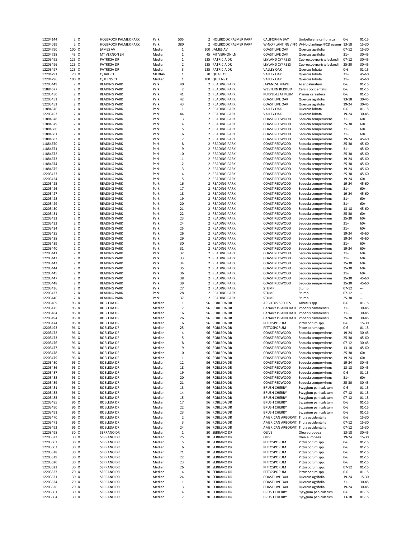| 12204144             | 2 X          | <b>HOLBROOK PALMER PARK</b>     | Park             | 505            | 2              | HOLBROOK PALMER PARK        | CALIFORNIA BAY                             | Umbellularia californica                            | 0-6              | 01-15                  |
|----------------------|--------------|---------------------------------|------------------|----------------|----------------|-----------------------------|--------------------------------------------|-----------------------------------------------------|------------------|------------------------|
| 12204019             | $2 \times$   | HOLBROOK PALMER PARK            | Park             | 380            |                | 2 HOLBROOK PALMER PARK      |                                            | W-NO PLANTING / FFC W-No planting/FFCD easem( 13-18 |                  | 15-30                  |
| 12204790             | 100 X        | <b>JAMES AV</b>                 | Median           | $\mathbf{1}$   |                | 100 JAMES AV                | <b>COAST LIVE OAK</b>                      | Quercus agrifolia                                   | $07 - 12$        | 15-30                  |
| 12204728             | 45 X         | MT VERNON LN                    | Median           | $\mathbf{1}$   | 45             | MT VERNON LN                | <b>COAST LIVE OAK</b>                      | Quercus agrifolia                                   | $31+$            | $30 - 45$              |
| 12203495             | 125 X        | PATRICIA DR                     | Median           | $\mathbf{1}$   |                | 125 PATRICIA DR             | LEYLAND CYPRESS                            | Cupressocyparis x leylandii                         | $07 - 12$        | 30-45                  |
| 12203496             | 125 X        | PATRICIA DR                     | Median           | $\overline{2}$ |                | 125 PATRICIA DR             | LEYLAND CYPRESS                            | Cupressocyparis x leylandii                         | 25-30            | 30-45                  |
| 12203497             | 125 X        | PATRICIA DR                     | Median           | 3              |                | 125 PATRICIA DR             | <b>VALLEY OAK</b>                          | Quercus lobata                                      | $0 - 6$          | $01 - 15$              |
| 12204791             | 70 X         | <b>QUAIL CT</b>                 | <b>MEDIAN</b>    | $\mathbf 1$    | 70             | <b>QUAIL CT</b>             | <b>VALLEY OAK</b>                          | Quercus lobata                                      | $31+$            | 45-60                  |
| 12204796             | 100 X        | <b>QUEENS CT</b>                | Median           | $\,1\,$        | 100            | <b>QUEENS CT</b>            | <b>VALLEY OAK</b>                          | Quercus lobata                                      | $31+$            | 45-60                  |
| 12203449             | 2 X          | <b>READING PARK</b>             | Park             | 40             |                | 2 READING PARK              | JAPANESE MAPLE                             | Acer palmatum                                       | $0 - 6$          | $01 - 15$              |
| 11884677             | $2 \times$   | <b>READING PARK</b>             | Park             | $\overline{2}$ | $\mathcal{P}$  | <b>READING PARK</b>         | <b>WESTERN REDBUD</b>                      | Cercis occidentalis                                 | $0 - 6$          | $01 - 15$              |
| 12203450             | $2 \times$   | <b>READING PARK</b>             | Park             | 41             |                | 2 READING PARK              | PURPLE-LEAF PLUM                           | Prunus cerasifera                                   | $0 - 6$          | $01 - 15$              |
| 12203451             | $2 \times$   | <b>READING PARK</b>             | Park             | 42             | 2              | <b>READING PARK</b>         | <b>COAST LIVE OAK</b>                      | Quercus agrifolia                                   | $13 - 18$        | $30 - 45$              |
| 12203452             | 2 X          | <b>READING PARK</b>             | Park             | 43             |                | 2 READING PARK              | <b>COAST LIVE OAK</b>                      | Quercus agrifolia                                   | 19-24            | 30-45                  |
| 11884676             | 2 X          | <b>READING PARK</b>             | Park             | $\mathbf{1}$   | $\overline{2}$ | <b>READING PARK</b>         | <b>VALLEY OAK</b>                          | Quercus lobata                                      | $0-6$            | $01 - 15$              |
| 12203453             | $2 \times$   | <b>READING PARK</b>             | Park             | 44             |                | 2 READING PARK              | <b>VALLEY OAK</b>                          | Quercus lobata                                      | 19-24            | $30 - 45$              |
|                      |              |                                 |                  |                |                |                             |                                            |                                                     |                  |                        |
| 11884678             | 2 X          | <b>READING PARK</b>             | Park             | $\mathsf 3$    |                | 2 READING PARK              | COAST REDWOOD                              | Sequoia sempervirens                                | $31+$            | $60+$                  |
| 11884679             | $2 \times$   | <b>READING PARK</b>             | Park             | 4              | 2              | <b>READING PARK</b>         | COAST REDWOOD                              | Sequoia sempervirens                                | 25-30            | $60+$                  |
| 11884680             | $2 \times$   | <b>READING PARK</b>             | Park             | 5              |                | 2 READING PARK              | COAST REDWOOD                              | Sequoia sempervirens                                | $31+$            | $60+$                  |
| 11884681             | 2 X          | <b>READING PARK</b>             | Park             | 6              |                | 2 READING PARK              | COAST REDWOOD                              | Sequoia sempervirens                                | $31+$            | $60+$                  |
| 11884682             | $2 \times$   | <b>READING PARK</b>             | Park             | $\overline{7}$ |                | 2 READING PARK              | COAST REDWOOD                              | Sequoia sempervirens                                | 19-24            | 45-60                  |
| 11884670             | $2 \times$   | <b>READING PARK</b>             | Park             | 8              | $\overline{2}$ | <b>READING PARK</b>         | COAST REDWOOD                              | Sequoia sempervirens                                | 25-30            | 45-60                  |
| 11884671             | 2 X          | <b>READING PARK</b>             | Park             | 9              |                | 2 READING PARK              | <b>COAST REDWOOD</b>                       | Sequoia sempervirens                                | $31+$            | 45-60                  |
| 11884672             | 2 X          | <b>READING PARK</b>             | Park             | 10             | 2              | <b>READING PARK</b>         | <b>COAST REDWOOD</b>                       | Sequoia sempervirens                                | 25-30            | 45-60                  |
| 11884673             | 2 X          | <b>READING PARK</b>             | Park             | 11             |                | 2 READING PARK              | COAST REDWOOD                              | Sequoia sempervirens                                | 19-24            | 45-60                  |
| 11884674             | 2 X          | <b>READING PARK</b>             | Park             | 12             |                | 2 READING PARK              | COAST REDWOOD                              | Sequoia sempervirens                                | 25-30            | 45-60                  |
| 11884675             | $2 \times$   | <b>READING PARK</b>             | Park             | 13             |                | 2 READING PARK              | COAST REDWOOD                              | Sequoia sempervirens                                | 19-24            | 45-60                  |
| 12203423             | 2 X          | <b>READING PARK</b>             | Park             | 14             |                | 2 READING PARK              | COAST REDWOOD                              | Sequoia sempervirens                                | 25-30            | 45-60                  |
| 12203424             | 2 X          | <b>READING PARK</b>             | Park             | 15             |                | 2 READING PARK              | COAST REDWOOD                              | Sequoia sempervirens                                | 19-24            | $60+$                  |
| 12203425             | $2 \times$   | <b>READING PARK</b>             | Park             | 16             |                | 2 READING PARK              | <b>COAST REDWOOD</b>                       | Sequoia sempervirens                                | 19-24            | 45-60                  |
| 12203426             | $2 \times$   | <b>READING PARK</b>             | Park             | 17             | 2              | <b>READING PARK</b>         | COAST REDWOOD                              | Sequoia sempervirens                                | $31+$            | 60+                    |
| 12203427             | 2 X          | <b>READING PARK</b>             | Park             | 18             |                | 2 READING PARK              | COAST REDWOOD                              | Sequoia sempervirens                                | 19-24            | 45-60                  |
| 12203428             | 2 X          | <b>READING PARK</b>             | Park             | 19             |                | 2 READING PARK              | COAST REDWOOD                              | Sequoia sempervirens                                | $31+$            | 60+                    |
| 12203429             | $2 \times$   | <b>READING PARK</b>             | Park             | 20             |                | 2 READING PARK              | COAST REDWOOD                              | Sequoia sempervirens                                | $31+$            | $60+$                  |
| 12203430             | 2 X          | <b>READING PARK</b>             | Park             | 21             |                | 2 READING PARK              | COAST REDWOOD                              | Sequoia sempervirens                                | 13-18            | 45-60                  |
| 12203431             | $2 \times$   | <b>READING PARK</b>             | Park             | 22             | $\overline{2}$ | <b>READING PARK</b>         | COAST REDWOOD                              | Sequoia sempervirens                                | 25-30            | $60+$                  |
|                      |              |                                 |                  |                |                | 2 READING PARK              | COAST REDWOOD                              |                                                     | $25 - 30$        | $60+$                  |
| 12203432             | 2 X          | <b>READING PARK</b>             | Park             | 23             |                |                             |                                            | Sequoia sempervirens                                |                  |                        |
| 12203433             | $2 \times$   | <b>READING PARK</b>             | Park             | 24             |                | 2 READING PARK              | COAST REDWOOD                              | Sequoia sempervirens                                | $31+$            | $60+$                  |
| 12203434             | $2 \times$   | <b>READING PARK</b>             | Park             | 25             |                | 2 READING PARK              | COAST REDWOOD                              | Sequoia sempervirens                                | $31+$            | 60+                    |
| 12203435             | 2 X          | <b>READING PARK</b>             | Park             | 26             | 2              | <b>READING PARK</b>         | COAST REDWOOD                              | Sequoia sempervirens                                | 19-24            | 45-60                  |
| 12203438             | 2 X          | <b>READING PARK</b>             | Park             | 29             |                | 2 READING PARK              | COAST REDWOOD                              | Sequoia sempervirens                                | 19-24            | 45-60                  |
| 12203439             | 2 X          | <b>READING PARK</b>             | Park             | 30             |                | 2 READING PARK              | COAST REDWOOD                              | Sequoia sempervirens                                | $31+$            | $60+$                  |
| 12203440             | $2 \times$   | <b>READING PARK</b>             | Park             | 31             |                | 2 READING PARK              | COAST REDWOOD                              | Sequoia sempervirens                                | 19-24            | $60+$                  |
| 12203441             | 2 X          | <b>READING PARK</b>             | Park             | 32             |                | 2 READING PARK              | COAST REDWOOD                              | Sequoia sempervirens                                | $31+$            | $60+$                  |
| 12203442             | $2 \times$   | <b>READING PARK</b>             | Park             |                |                | <b>READING PARK</b>         | COAST REDWOOD                              | Sequoia sempervirens                                | $31+$            | $60+$                  |
|                      |              |                                 |                  | 33             | 2              |                             |                                            |                                                     |                  |                        |
| 12203443             | 2 X          | <b>READING PARK</b>             | Park             | 34             |                | 2 READING PARK              | COAST REDWOOD                              | Sequoia sempervirens                                | $25 - 30$        | $60+$                  |
| 12203444             | 2 X          | <b>READING PARK</b>             | Park             | 35             |                | 2 READING PARK              | COAST REDWOOD                              | Sequoia sempervirens                                | $25 - 30$        | $60+$                  |
| 12203445             | 2 X          | <b>READING PARK</b>             | Park             | 36             |                | 2 READING PARK              | COAST REDWOOD                              | Sequoia sempervirens                                | $31+$            | 60+                    |
|                      |              | <b>READING PARK</b>             |                  |                | 2              | <b>READING PARK</b>         | COAST REDWOOD                              |                                                     | $25 - 30$        | 45-60                  |
| 12203447             | 2 X          |                                 | Park             | 38             |                | 2 READING PARK              |                                            | Sequoia sempervirens                                |                  |                        |
| 12203448             | 2 X          | <b>READING PARK</b>             | Park             | 39             |                |                             | COAST REDWOOD                              | Sequoia sempervirens                                | 25-30            | 45-60                  |
| 12203436             | 2 X          | <b>READING PARK</b>             | Park             | 27             |                | 2 READING PARK              | <b>STUMP</b>                               | Stump                                               | $07 - 12$        | <br>---                |
| 12203437             | $2 \times$   | <b>READING PARK</b>             | Park             | 28             | 2              | <b>READING PARK</b>         | <b>STUMP</b>                               | Stump                                               | $07 - 12$        | $\overline{a}$         |
| 12203446             | $2 \times$   | <b>READING PARK</b>             | Park             | 37             |                | 2 READING PARK              | <b>STUMP</b>                               | Stump                                               | 25-30            |                        |
| 12203469             | 96 X         | ROBLEDA DR                      | Median           | $\mathbf{1}$   | 96             | ROBLEDA DR                  | <b>ARBUTUS SPECIES</b>                     | Arbutus spp.                                        | $0 - 6$          | $01 - 15$              |
| 12203475             | 96 X         | ROBLEDA DR                      | Median           | $\overline{7}$ | 96             | <b>ROBLEDA DR</b>           | CANARY ISLAND DATE Phoenix canariensis     |                                                     | $31+$            | $30 - 45$              |
| 12203484             | 96 X         | ROBLEDA DR                      | Median           | 16             | 96             | ROBLEDA DR                  | CANARY ISLAND DATE Phoenix canariensis     |                                                     | $31+$            | 30-45                  |
| 12203494             | 96 X         | ROBLEDA DR                      | Median           | 26             | 96             | ROBLEDA DR                  | CANARY ISLAND DATE Phoenix canariensis     |                                                     | $25 - 30$        | 30-45                  |
| 12203474             | 96 X         | ROBLEDA DR                      | Median           | 6              | 96             | ROBLEDA DR                  | PITTOSPORUM                                | Pittosporum spp.                                    | $0 - 6$          | 15-30                  |
| 12203493             | 96 X         | ROBLEDA DR                      | Median           | 25             | 96             | ROBLEDA DR                  | PITTOSPORUM                                | Pittosporum spp                                     | $0 - 6$          | $01 - 15$              |
| 12203472             | 96 X         | ROBLEDA DR                      | Median           | 4              |                | 96 ROBLEDA DR               | COAST REDWOOD                              | Sequoia sempervirens                                | 19-24            | $30 - 45$              |
| 12203473             | 96 X         | ROBLEDA DR                      | Median           | 5              |                | 96 ROBLEDA DR               | COAST REDWOOD                              | Sequoia sempervirens                                | 25-30            | 45-60                  |
| 12203476             | 96 X         | ROBLEDA DR                      | Median           |                |                | 96 ROBLEDA DR               | COAST REDWOOD                              | Sequoia sempervirens                                | $07-12$          | 30-45                  |
| 12203477             | 96 X         | ROBLEDA DR                      | Median           | 9              |                | 96 ROBLEDA DR               | COAST REDWOOD                              | Sequoia sempervirens                                | 13-18            | 45-60                  |
| 12203478             | 96 X         | ROBLEDA DR                      | Median           | 10             |                | 96 ROBLEDA DR               | COAST REDWOOD                              | Sequoia sempervirens                                | 25-30            | 60+                    |
| 12203479             | 96 X         | ROBLEDA DR                      | Median           | 11             | 96             | ROBLEDA DR                  | COAST REDWOOD                              | Sequoia sempervirens                                | 19-24            | 60+                    |
| 12203480             | 96 X         | ROBLEDA DR                      | Median           | 12             | 96             | ROBLEDA DR                  | COAST REDWOOD                              | Sequoia sempervirens                                | 19-24            | 30-45                  |
| 12203486             | 96 X         | ROBLEDA DR                      | Median           | 18             | 96             | ROBLEDA DR                  | COAST REDWOOD                              | Sequoia sempervirens                                | 13-18            | 30-45                  |
| 12203487             | 96 X         | ROBLEDA DR                      | Median           | 19             |                | 96 ROBLEDA DR               | COAST REDWOOD                              | Sequoia sempervirens                                | $0 - 6$          | $01 - 15$              |
| 12203488             | 96 X         | ROBLEDA DR                      | Median           | 20             | 96             | ROBLEDA DR                  | COAST REDWOOD                              | Sequoia sempervirens                                | $31+$            | 60+                    |
| 12203489             | 96 X         | <b>ROBLEDA DR</b>               | Median           | 21             |                | 96 ROBLEDA DR               | COAST REDWOOD                              | Sequoia sempervirens                                | 25-30            | 30-45                  |
| 12203481             | 96 X         | ROBLEDA DR                      | Median           | 13             | 96             | ROBLEDA DR                  | <b>BRUSH CHERRY</b>                        | Syzygium paniculatum                                | $0 - 6$          | 01-15                  |
| 12203482             | 96 X         | ROBLEDA DR                      | Median           | 14             | 96             | <b>ROBLEDA DR</b>           | <b>BRUSH CHERRY</b>                        | Syzygium paniculatum                                | $07 - 12$        | $01 - 15$              |
| 12203483             | 96 X         | ROBLEDA DR                      | Median           | 15             |                | 96 ROBLEDA DR               | <b>BRUSH CHERRY</b>                        | Syzygium paniculatum                                | $07 - 12$        | $01 - 15$              |
| 12203485             | 96 X         | ROBLEDA DR                      | Median           | 17             | 96             | ROBLEDA DR                  | <b>BRUSH CHERRY</b>                        | Syzygium paniculatum                                | $0 - 6$          | $01 - 15$              |
| 12203490             | 96 X         | ROBLEDA DR                      | Median           | 22             | 96             | ROBLEDA DR                  | <b>BRUSH CHERRY</b>                        | Syzygium paniculatum                                | $0 - 6$          | $01 - 15$              |
| 12203491             | 96 X         | ROBLEDA DR                      | Median           | 23             | 96             | ROBLEDA DR                  | <b>BRUSH CHERRY</b>                        | Syzygium paniculatum                                | $0 - 6$          | $01 - 15$              |
| 12203470             | 96 X         | ROBLEDA DR                      | Median           | $\overline{2}$ | 96             | ROBLEDA DR                  | AMERICAN ARBORVIT. Thuja occidentalis      |                                                     | $0 - 6$          | 15-30                  |
| 12203471             | 96 X         | ROBLEDA DR                      | Median           | 3              | 96             | ROBLEDA DR                  | AMERICAN ARBORVIT. Thuja occidentalis      |                                                     | $07 - 12$        | 15-30                  |
| 12203492             | 96 X         | ROBLEDA DR                      | Median           | 24             | 96             | ROBLEDA DR                  | AMERICAN ARBORVIT. Thuja occidentalis      |                                                     | $07 - 12$        | 15-30                  |
|                      |              |                                 |                  |                | 30             |                             | OLIVE                                      |                                                     |                  |                        |
| 12203498             | 30 X         | <b>SERRANO DR</b>               | Median           | 1              |                | SERRANO DR                  |                                            | Olea europaea                                       | 13-18            | 30-45                  |
| 12203522             | 30 X         | <b>SERRANO DR</b>               | Median           | 25             | 30             | <b>SERRANO DR</b>           | OLIVE                                      | Olea europaea                                       | 19-24            | 15-30                  |
| 12203502             | 30 X         | <b>SERRANO DR</b>               | Median           | 5              | 30             | <b>SERRANO DR</b>           | PITTOSPORUM                                | Pittosporum spp.                                    | $0 - 6$          | $01 - 15$              |
| 12203503             | 30 X         | SERRANO DR                      | Median           | 6              | 30             | SERRANO DR                  | PITTOSPORUM                                | Pittosporum spp.                                    | $0 - 6$          | $01 - 15$              |
| 12203518             | 30 X         | <b>SERRANO DR</b>               | Median           | 21             | 30             | SERRANO DR                  | PITTOSPORUM                                | Pittosporum spp.                                    | $0 - 6$          | $01 - 15$              |
| 12203519             | 30 X         | <b>SERRANO DR</b>               | Median           | 22             | 30             | SERRANO DR                  | PITTOSPORUM                                | Pittosporum spp.                                    | $0 - 6$          | $01 - 15$              |
| 12203520             | 30 X         | <b>SERRANO DR</b>               | Median           | 23             | 30             | SERRANO DR                  | PITTOSPORUM                                | Pittosporum spp.                                    | $0 - 6$          | $01 - 15$              |
| 12203523             | 30 X         | <b>SERRANO DR</b>               | Median           | 26             | 30             | <b>SERRANO DR</b>           | PITTOSPORUM                                | Pittosporum spp.                                    | $07 - 12$        | $01 - 15$              |
| 12203527             | 70 X         | <b>SERRANO DR</b>               | Median           | 4              |                | 70 SERRANO DR               | PITTOSPORUM                                | Pittosporum spp.                                    | $0 - 6$          | $01 - 15$              |
| 12203521             | 30 X         | <b>SERRANO DR</b>               | Median           | 24             | 30             | <b>SERRANO DR</b>           | <b>COAST LIVE OAK</b>                      | Quercus agrifolia                                   | 19-24            | 15-30                  |
| 12203524             | 70 X         | SERRANO DR                      | Median           | 1              | 70             | SERRANO DR                  | <b>COAST LIVE OAK</b>                      | Quercus agrifolia                                   | $31+$            | 30-45                  |
| 12203526             | 70 X         | SERRANO DR                      | Median           | 3              | 70             | SERRANO DR                  | <b>COAST LIVE OAK</b>                      | Quercus agrifolia                                   | 19-24            | 30-45                  |
| 12203501<br>12203504 | 30 X<br>30 X | SERRANO DR<br><b>SERRANO DR</b> | Median<br>Median | 4<br>7         | 30             | SERRANO DR<br>30 SERRANO DR | <b>BRUSH CHERRY</b><br><b>BRUSH CHERRY</b> | Syzygium paniculatum<br>Syzygium paniculatum        | $0 - 6$<br>13-18 | $01 - 15$<br>$01 - 15$ |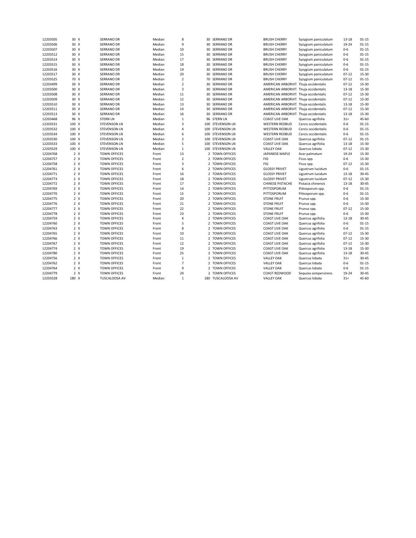| 12203505 | 30 X  | <b>SERRANO DR</b>   | Median | 8                       | 30 SERRANO DR     | <b>BRUSH CHERRY</b>                   | Syzygium paniculatum | $13 - 18$ | $01 - 15$ |
|----------|-------|---------------------|--------|-------------------------|-------------------|---------------------------------------|----------------------|-----------|-----------|
| 12203506 | 30 X  | <b>SERRANO DR</b>   | Median | 9                       | 30 SERRANO DR     | <b>BRUSH CHERRY</b>                   | Syzygium paniculatum | 19-24     | $01 - 15$ |
| 12203507 | 30 X  | <b>SERRANO DR</b>   | Median | 10                      | 30 SERRANO DR     | <b>BRUSH CHERRY</b>                   | Syzygium paniculatum | $0-6$     | $01 - 15$ |
| 12203512 | 30 X  | <b>SERRANO DR</b>   | Median | 15                      | 30 SERRANO DR     | <b>BRUSH CHERRY</b>                   | Syzygium paniculatum | $0 - 6$   | $01 - 15$ |
| 12203514 | 30 X  | <b>SERRANO DR</b>   | Median | 17                      | 30 SERRANO DR     | <b>BRUSH CHERRY</b>                   | Syzygium paniculatum | $0 - 6$   | $01 - 15$ |
| 12203515 | 30 X  | <b>SERRANO DR</b>   | Median | 18                      | 30 SERRANO DR     | <b>BRUSH CHERRY</b>                   | Syzygium paniculatum | $0 - 6$   | $01 - 15$ |
| 12203516 | 30 X  | <b>SERRANO DR</b>   | Median | 19                      | 30 SERRANO DR     | <b>BRUSH CHERRY</b>                   | Syzygium paniculatum | $0 - 6$   | $01 - 15$ |
| 12203517 | 30 X  | <b>SERRANO DR</b>   | Median | 20                      | 30 SERRANO DR     | <b>BRUSH CHERRY</b>                   | Syzygium paniculatum | $07 - 12$ | $15 - 30$ |
| 12203525 | 70 X  | <b>SERRANO DR</b>   | Median | $\overline{2}$          | 70 SERRANO DR     | <b>BRUSH CHERRY</b>                   | Syzygium paniculatum | $07 - 12$ | $01 - 15$ |
| 12203499 | 30 X  | <b>SERRANO DR</b>   | Median | $\overline{2}$          | 30 SERRANO DR     | AMERICAN ARBORVIT. Thuja occidentalis |                      | $07 - 12$ | 15-30     |
| 12203500 | 30 X  | <b>SERRANO DR</b>   | Median | $\overline{3}$          | 30 SERRANO DR     | AMERICAN ARBORVIT. Thuja occidentalis |                      | $13 - 18$ | $15 - 30$ |
| 12203508 | 30 X  | <b>SERRANO DR</b>   | Median | 11                      | 30 SERRANO DR     | AMERICAN ARBORVIT. Thuja occidentalis |                      | $07 - 12$ | 15-30     |
| 12203509 | 30 X  | <b>SERRANO DR</b>   | Median | 12                      | 30 SERRANO DR     | AMERICAN ARBORVIT. Thuja occidentalis |                      | $07 - 12$ | 15-30     |
| 12203510 | 30 X  | <b>SERRANO DR</b>   | Median | 13                      | 30 SERRANO DR     | AMERICAN ARBORVIT. Thuja occidentalis |                      | $13 - 18$ | $15 - 30$ |
| 12203511 | 30 X  | <b>SERRANO DR</b>   | Median | 14                      | 30 SERRANO DR     | AMERICAN ARBORVIT. Thuja occidentalis |                      | $07 - 12$ | 15-30     |
| 12203513 | 30 X  | <b>SERRANO DR</b>   | Median | 16                      | 30 SERRANO DR     | AMERICAN ARBORVIT. Thuja occidentalis |                      | $13 - 18$ | $15 - 30$ |
| 12203468 | 96 X  | <b>STERN LN</b>     | Median | $\mathbf{1}$            | 96 STERN LN       | <b>COAST LIVE OAK</b>                 | Quercus agrifolia    | $31+$     | 45-60     |
| 12203531 | 100 X | <b>STEVENSON LN</b> | Median | $\overline{3}$          | 100 STEVENSON LN  | <b>WESTERN REDBUD</b>                 | Cercis occidentalis  | $0 - 6$   | $01 - 15$ |
| 12203532 | 100 X | <b>STEVENSON LN</b> | Median | $\overline{4}$          | 100 STEVENSON LN  | <b>WESTERN REDBUD</b>                 | Cercis occidentalis  | $0-6$     | $01 - 15$ |
| 12203534 | 100 X | <b>STEVENSON LN</b> | Median | 6                       | 100 STEVENSON LN  | <b>WESTERN REDBUD</b>                 | Cercis occidentalis  | $0-6$     | $01 - 15$ |
| 12203530 | 100 X | <b>STEVENSON LN</b> | Median | $\mathbf 2$             | 100 STEVENSON LN  | <b>COAST LIVE OAK</b>                 | Quercus agrifolia    | $07 - 12$ | $01 - 15$ |
| 12203533 | 100 X | <b>STEVENSON LN</b> | Median | 5                       | 100 STEVENSON LN  | <b>COAST LIVE OAK</b>                 | Quercus agrifolia    | $13 - 18$ | $15 - 30$ |
| 12203529 | 100 X | <b>STEVENSON LN</b> | Median | $\,1\,$                 | 100 STEVENSON LN  | <b>VALLEY OAK</b>                     | Quercus lobata       | $07 - 12$ | $15 - 30$ |
| 12204768 | 2 X   | <b>TOWN OFFICES</b> | Front  | 13                      | 2 TOWN OFFICES    | JAPANESE MAPLE                        | Acer palmatum        | 19-24     | $15 - 30$ |
| 12204757 | 2 X   | <b>TOWN OFFICES</b> | Front  | $\overline{2}$          | 2 TOWN OFFICES    | FIG                                   | Ficus spp.           | $0-6$     | $15 - 30$ |
| 12204758 | 2 X   | <b>TOWN OFFICES</b> | Front  | $\overline{\mathbf{3}}$ | 2 TOWN OFFICES    | FIG                                   | Ficus spp.           | $07 - 12$ | 15-30     |
| 12204761 | 2 X   | <b>TOWN OFFICES</b> | Front  | 6                       | 2 TOWN OFFICES    | <b>GLOSSY PRIVET</b>                  | Ligustrum lucidum    | $0-6$     | $01 - 15$ |
| 12204771 | 2 X   | <b>TOWN OFFICES</b> | Front  | 16                      | 2 TOWN OFFICES    | <b>GLOSSY PRIVET</b>                  | Ligustrum lucidum    | $13 - 18$ | $30 - 45$ |
| 12204773 | 2 X   | <b>TOWN OFFICES</b> | Front  | 18                      | 2 TOWN OFFICES    | <b>GLOSSY PRIVET</b>                  | Ligustrum lucidum    | $07 - 12$ | $15 - 30$ |
| 12204772 | 2 X   | <b>TOWN OFFICES</b> | Front  | 17                      | 2 TOWN OFFICES    | CHINESE PISTACHE                      | Pistacia chinensis   | $13 - 18$ | $30 - 45$ |
| 12204769 | 2 X   | <b>TOWN OFFICES</b> | Front  | 14                      | 2 TOWN OFFICES    | PITTOSPORUM                           | Pittosporum spp.     | $0 - 6$   | $01 - 15$ |
| 12204770 | 2 X   | <b>TOWN OFFICES</b> | Front  | 15                      | 2 TOWN OFFICES    | PITTOSPORUM                           | Pittosporum spp.     | $0 - 6$   | $01 - 15$ |
| 12204775 | 2 X   | <b>TOWN OFFICES</b> | Front  | 20                      | 2 TOWN OFFICES    | <b>STONE FRUIT</b>                    | Prunus spp.          | $0 - 6$   | 15-30     |
| 12204776 | 2 X   | <b>TOWN OFFICES</b> | Front  | 21                      | 2 TOWN OFFICES    | <b>STONE FRUIT</b>                    | Prunus spp.          | $0 - 6$   | $15 - 30$ |
| 12204777 | 2 X   | <b>TOWN OFFICES</b> | Front  | 22                      | 2 TOWN OFFICES    | <b>STONE FRUIT</b>                    | Prunus spp.          | $07 - 12$ | 15-30     |
| 12204778 | 2 X   | <b>TOWN OFFICES</b> | Front  | 23                      | 2 TOWN OFFICES    | <b>STONE FRUIT</b>                    | Prunus spp.          | $0-6$     | 15-30     |
| 12204759 | 2 X   | <b>TOWN OFFICES</b> | Front  | 4                       | 2 TOWN OFFICES    | <b>COAST LIVE OAK</b>                 | Quercus agrifolia    | $13 - 18$ | $30 - 45$ |
| 12204760 | 2 X   | <b>TOWN OFFICES</b> | Front  | 5                       | 2 TOWN OFFICES    | <b>COAST LIVE OAK</b>                 | Quercus agrifolia    | $0 - 6$   | $01 - 15$ |
| 12204763 | 2 X   | <b>TOWN OFFICES</b> | Front  | 8                       | 2 TOWN OFFICES    | <b>COAST LIVE OAK</b>                 | Quercus agrifolia    | $0-6$     | $01 - 15$ |
| 12204765 | 2 X   | <b>TOWN OFFICES</b> | Front  | 10                      | 2 TOWN OFFICES    | <b>COAST LIVE OAK</b>                 | Quercus agrifolia    | $07 - 12$ | $15 - 30$ |
| 12204766 | 2 X   | <b>TOWN OFFICES</b> | Front  | 11                      | 2 TOWN OFFICES    | <b>COAST LIVE OAK</b>                 | Quercus agrifolia    | $07 - 12$ | 15-30     |
| 12204767 | 2 X   | <b>TOWN OFFICES</b> | Front  | 12                      | 2 TOWN OFFICES    | COAST LIVE OAK                        | Quercus agrifolia    | $07 - 12$ | 15-30     |
| 12204774 | 2 X   | <b>TOWN OFFICES</b> | Front  | 19                      | 2 TOWN OFFICES    | <b>COAST LIVE OAK</b>                 | Quercus agrifolia    | $13 - 18$ | 15-30     |
| 12204780 | 2 X   | <b>TOWN OFFICES</b> | Front  | 25                      | 2 TOWN OFFICES    | COAST LIVE OAK                        | Quercus agrifolia    | $13 - 18$ | $30 - 45$ |
| 12204756 | 2 X   | <b>TOWN OFFICES</b> | Front  | $\mathbf{1}$            | 2 TOWN OFFICES    | <b>VALLEY OAK</b>                     | Quercus lobata       | $31+$     | $30 - 45$ |
| 12204762 | 2 X   | <b>TOWN OFFICES</b> | Front  | $\overline{7}$          | 2 TOWN OFFICES    | <b>VALLEY OAK</b>                     | Quercus lobata       | $0 - 6$   | $01 - 15$ |
| 12204764 | 2 X   | <b>TOWN OFFICES</b> | Front  | 9                       | 2 TOWN OFFICES    | <b>VALLEY OAK</b>                     | Quercus lobata       | $0 - 6$   | $01 - 15$ |
| 12204779 | 2 X   | <b>TOWN OFFICES</b> | Front  | 24                      | 2 TOWN OFFICES    | COAST REDWOOD                         | Sequoia sempervirens | 19-24     | $30 - 45$ |
| 12203528 | 180 X | TUSCALOOSA AV       | Median | $\mathbf{1}$            | 180 TUSCALOOSA AV | <b>VALLEY OAK</b>                     | Quercus lobata       | $31+$     | 45-60     |
|          |       |                     |        |                         |                   |                                       |                      |           |           |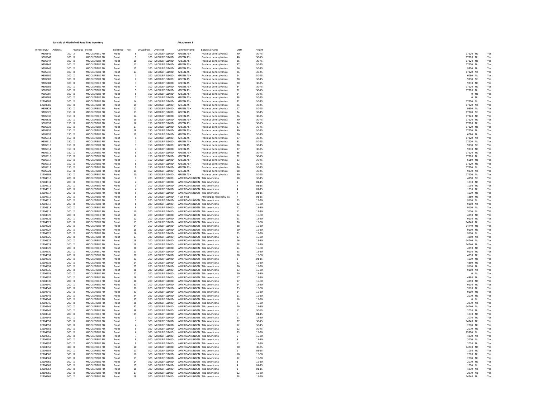|                     | Eastside of Middlefield Road Tree Inventory |                   |               |                         |                                                    | Attachment 3                    |                         |                |           |           |
|---------------------|---------------------------------------------|-------------------|---------------|-------------------------|----------------------------------------------------|---------------------------------|-------------------------|----------------|-----------|-----------|
| entoryID<br>Address |                                             | Fictitious Street | SideType Tree |                         | OnAddress OnStreet                                 | CommonName                      | BotanicalName           | DBH            | Height    |           |
| 9305842             | 100 X                                       | MIDDI FFIFI D RD  | Front         | $\mathbf{R}$            | 100 MIDDLEFIELD RD                                 | <b>GREEN ASH</b>                | Fraxinus pennsylvanica  | 40             | $30 - 45$ | 17220 No  |
| 9305843             | $100 \times$                                | MIDDI FFIFI D RD  | Front         | $\alpha$                | 100 MIDDLEFIELD RD                                 | <b>GREEN ASH</b>                | Fraxinus pennsylvanica  | 40             | 30-45     | 17220 No  |
| 9305844             | 100 X                                       | MIDDLEFIELD RD    | Front         | 10 <sub>10</sub>        | 100 MIDDLEFIELD RD                                 | <b>GREEN ASH</b>                | Fraxinus pennsylvanica  | 36             | 30-45     | 17220 No  |
| 9305845             | 100 X                                       | MIDDLEFIELD RD    | Front         | 11                      | 100 MIDDLEFIELD RD                                 | <b>GREEN ASH</b>                | Fraxinus pennsylvanica  | 37             | 30-45     | 17220 No  |
| 9305846             | 100 X                                       | MIDDLEFIELD RD    | Front         | 12                      | 100 MIDDLEFIELD RD                                 | <b>GREEN ASH</b>                | Fraxinus pennsylvanica  | 26             | $30 - 45$ | 9830 No   |
| 9305847             | 100 X                                       | MIDDLEFIELD RD    | Front         | 13                      | 100 MIDDLEFIELD RD                                 | <b>GREEN ASH</b>                | Fraxinus pennsylvanica  | 36             | 30-45     | 17220 No  |
| 9305902             | 100 X                                       | MIDDLEFIELD RD    | Front         | $\,1\,$                 | 100 MIDDLEFIELD RD                                 | <b>GREEN ASH</b>                | Fraxinus pennsylvanica  | 24             | 30-45     | 6080 No   |
| 9305903             | 100 X                                       | MIDDLEFIELD RD    | Front         |                         | 100 MIDDLEFIELD RD                                 | <b>GREEN ASH</b>                | Fraxinus pennsylvanica  | 30             | 30-45     | 9830 No   |
| 9305904             | 100 X                                       | MIDDLEFIELD RD    | Front         | $\overline{\mathbf{3}}$ | 100 MIDDLEFIELD RD                                 | <b>GREEN ASH</b>                | Fraxinus pennsylvanica  | 30             | 30-45     | 9830 No   |
| 9305905             | $100 \times$                                | MIDDI FFIFI D RD  | Front         | $\mathbf{A}$            | 100 MIDDLEFIELD RD                                 | <b>GREEN ASH</b>                | Fraxinus pennsylvanica  | 34             | 30-45     | 17220 No. |
| 9305906             | 100 X                                       | MIDDLEFIELD RD    | Front         | $\overline{5}$          | 100 MIDDLEFIELD RD                                 | <b>GREEN ASH</b>                | Fraxinus pennsylvanica  | 32             | 30-45     | 17220 No  |
| 9305907             | 100 X                                       | MIDDLEFIELD RD    | Front         |                         | 100 MIDDLEFIELD RD                                 | <b>GREEN ASH</b>                | Fraxinus pennsylvanica  | 34             | 30-45     | $0$ No    |
| 9305908             | 100 X                                       | MIDDLEFIELD RD    | Front         | $\overline{7}$          | 100 MIDDLEFIELD RD                                 | <b>GREEN ASH</b>                | Fraxinus pennsylvanica  | 38             | 30-45     | 0 No      |
| 12204507            | $100 \times$                                | MIDDI FFIFID RD   | Front         | 14                      | 100 MIDDLEFIELD RD                                 | <b>GREEN ASH</b>                | Fraxinus pennsylvanica  | 32             | 30-45     | 17220 No. |
| 12204508            | 100 X                                       | MIDDLEFIELD RD    | Front         | 15                      | 100 MIDDLEFIELD RD                                 | <b>GREEN ASH</b>                | Fraxinus pennsylvanica  | 36             | $30 - 45$ | 17220 No  |
| 9305828             | 150 X                                       | MIDDLEFIELD RD    | Front         | 12                      | 150 MIDDLEFIELD RD                                 | <b>GREEN ASH</b>                | Fraxinus pennsylvanica  | 27             | 30-45     | 9830 No   |
| 9305829             | 150 X                                       | MIDDLEFIELD RD    | Front         | 13                      | 150 MIDDLEFIELD RD                                 | <b>GREEN ASH</b>                | Fraxinus pennsylvanica  | 34             | 30-45     | 17220 No  |
| 9305830             | 150 X                                       | MIDDLEFIELD RD    | Front         | 14                      | 150 MIDDLEFIELD RD                                 | <b>GREEN ASH</b>                | Fraxinus pennsylvanica  | 36             | $30 - 45$ | 17220 No  |
| 9305831             | 150 X                                       | MIDDLEFIELD RD    | Front         | 15                      | 150 MIDDLEFIELD RD                                 | <b>GREEN ASH</b>                | Fraxinus pennsylvanica  | 40             | 30-45     | 17220 No  |
| 9305832             | 150 X                                       | MIDDLEFIELD RD    | Front         | 16                      | 150 MIDDLEFIELD RD                                 | <b>GREEN ASH</b>                | Fraxinus pennsylvanica  | 36             | 30-45     | 17220 No  |
| 9305833             | 150 X                                       | MIDDLEFIELD RD    | Front         | 17                      | 150 MIDDLEFIELD RD                                 | <b>GREEN ASH</b>                | Fraxinus pennsylvanica  | 37             | 30-45     | 17220 No  |
| 9305834             | 150 X                                       | MIDDLEFIELD RD    | Front         | 18                      | 150 MIDDLEFIELD RD                                 | <b>GREEN ASH</b>                | Fraxinus pennsylvanica  | 40             | $30 - 45$ | 17220 No  |
| 9305835             | 150 X                                       | MIDDLEFIELD RD    | Front         | 19                      | 150 MIDDLEFIELD RD                                 | <b>GREEN ASH</b>                | Fraxinus pennsylvanica  | 20             | 30-45     | 6080 No   |
| 9305911             | 150 X                                       | MIDDLEFIELD RD    | Front         | $\overline{1}$          | 150 MIDDLEFIELD RD                                 | <b>GREEN ASH</b>                | Fraxinus pennsylvanica  | 37             | 30-45     | 17220 No  |
| 9305912             | 150 X                                       | MIDDLEFIELD RD    | Front         | $\overline{2}$          | 150 MIDDLEFIELD RD                                 | <b>GREEN ASH</b>                | Fraxinus pennsylvanica  | 33             | 30-45     | 17220 No  |
| 9305913             | 150 X                                       | MIDDLEFIELD RD    | Front         | $\mathbf{R}$            | 150 MIDDLEFIELD RD                                 | <b>GREEN ASH</b>                | Fraxinus pennsylvanica  | 28             | 30-45     | 9830 No   |
| 9305914             | 150 X                                       | MIDDLEFIELD RD    | Front         | $\mathbf{A}$            | 150 MIDDLEFIELD RD                                 | <b>GREEN ASH</b>                | Fraxinus pennsylvanica  | 27             | 30-45     | 9830 No   |
| 9305915             | 150 X                                       | MIDDLEFIELD RD    | Front         | $\overline{5}$          | 150 MIDDLEFIELD RD                                 | <b>GREEN ASH</b>                | Fraxinus pennsylvanica  | 36             | $30 - 45$ | 17220 No  |
| 9305916             | 150 X                                       | MIDDLEFIELD RD    | Front         |                         | 150 MIDDLEFIELD RD                                 | <b>GREEN ASH</b>                | Fraxinus pennsylvanica  | 32             | 30-45     | 17220 No  |
| 9305917             | 150 X                                       | MIDDLEFIELD RD    | Front         | $\overline{7}$          | 150 MIDDLEFIELD RD                                 | <b>GREEN ASH</b>                | Fraxinus pennsylvanica  | 23             | $30 - 45$ | 6080 No   |
| 9305918             | 150 X                                       | MIDDLEFIELD RD    | Front         | 8                       | 150 MIDDLEFIELD RD                                 | <b>GREEN ASH</b>                | Fraxinus pennsylvanica  | 32             | $30 - 45$ | 17220 No  |
| 9305919             | 150 X                                       | MIDDLEFIELD RD    | Front         |                         | 150 MIDDLEFIELD RD                                 | <b>GREEN ASH</b>                | Fraxinus pennsylvanica  | 36             | 30-45     | 17220 No  |
| 9305921             | 150 X                                       | MIDDLEFIELD RD    | Front         | $11\,$                  | 150 MIDDLEFIELD RD                                 | <b>GREEN ASH</b>                | Fraxinus pennsylvanica  | 28             | 30-45     | 9830 No   |
| 12204509            | 150 X                                       | MIDDLEFIELD RD    | Front         | 20                      | 150 MIDDLEFIELD RD                                 | <b>GREEN ASH</b>                | Fraxinus pennsylvanica  | 40             | 30-45     | 17220 No  |
| 12204510            | 200 X                                       | MIDDLEFIELD RD    | Front         | -1                      | 200 MIDDLEFIELD RD                                 | AMERICAN LINDEN Tilia americana |                         | 18             | $30 - 45$ | 4890 No   |
| 12204511            | 200 X                                       | MIDDLEFIELD RD    | Front         | $\overline{z}$          | 200 MIDDLEFIELD RD                                 | AMERICAN LINDEN Tilia americana |                         |                | $01 - 15$ | 1030 No   |
| 12204512            | 200 X                                       | MIDDLEFIELD RD    | Front         |                         | 200 MIDDLEFIELD RD                                 | AMERICAN LINDEN Tilia americana |                         |                | $01 - 15$ | 1030 No   |
| 12204513            | 200 X                                       | MIDDLEFIELD RD    | Front         | $\overline{4}$          | 200 MIDDLEFIELD RD                                 | AMERICAN LINDEN Tilia americana |                         |                | $01 - 15$ | 1030 No   |
| 12204514            | 200 X                                       | MIDDLEFIELD RD    | Front         | $\overline{5}$          | 200 MIDDLEFIELD RD                                 | AMERICAN UNDEN Tilia americana  |                         |                | $01 - 15$ | 1030 No   |
| 12204515            | 200 X                                       | MIDDLEFIELD RD    | Front         | 6                       | 200 MIDDLEFIELD RD                                 | YFW PINF                        | Afrocarpus macrophyllus |                | $01 - 15$ | 1380 No   |
| 12204516            | 200 X                                       | MIDDLEFIELD RD    | Front         | $\overline{7}$          | 200 MIDDLEFIELD RD                                 | AMERICAN LINDEN Tilia americana |                         | 23             | 15-30     | 9110 No   |
| 12204517            | 200 X                                       | MIDDLEFIELD RD    | Front         | 8                       | 200 MIDDLEFIELD RD                                 | AMERICAN LINDEN Tilia americana |                         | 22             | 15-30     | 9110 No   |
| 12204518            | 200 X                                       | MIDDLEFIELD RD    | Front         | $\mathbf{q}$            | 200 MIDDLEFIELD RD                                 | AMERICAN LINDEN Tilia americana |                         | 22             | 15-30     | 9110 No   |
| 12204519            | 200 X                                       | MIDDLEFIELD RD    | Front         | 10                      | 200 MIDDLEFIELD RD                                 | AMERICAN LINDEN Tilia americana |                         | 12             | 15-30     | 2070 No   |
| 12204520            | 200 X                                       | MIDDLEFIELD RD    | Front         | 11                      | 200 MIDDLEFIELD RD                                 | AMERICAN LINDEN Tilia americana |                         | 14             | 15-30     | 4890 No   |
| 12204521            | 200 X                                       | MIDDLEFIELD RD    | Front         | 12                      | 200 MIDDLEFIELD RD                                 | AMERICAN LINDEN Tilia americana |                         | 23             | 15-30     | 9110 No   |
| 12204522            | 200 X                                       | MIDDLEFIELD RD    | Front         | 13                      | 200 MIDDLEFIELD RD                                 | AMERICAN LINDEN Tilia americana |                         | 26             | 15-30     | 14740 No  |
| 12204523            | 200 X                                       | MIDDLEFIELD RD    | Front         | 14                      | 200 MIDDLEFIELD RD                                 | AMERICAN LINDEN Tilia americana |                         | 28             | 15-30     | 14740 No  |
| 12204524            | 200 X                                       | MIDDLEFIELD RD    | Front         | 15                      | 200 MIDDLEFIELD RD                                 | AMERICAN LINDEN Tilia americana |                         | 20             | $15 - 30$ | 9110 No   |
| 12204525            | 200 X                                       | MIDDLEFIELD RD    | Front         | 16                      | 200 MIDDLEFIELD RD                                 | AMERICAN LINDEN Tilia americana |                         | 23             | 15-30     | 9110 No   |
| 12204526            | 200 X                                       | MIDDLEFIELD RD    | Front         | 17                      | 200 MIDDLEFIELD RD                                 | AMERICAN LINDEN Tilia americana |                         | 17             | 15-30     | 4890 No   |
| 12204527            | 200 X                                       | MIDDI FFIFID RD   | Front         | 18                      | 200 MIDDLEFIELD RD                                 | AMERICAN LINDEN Tilia americana |                         | 26             | 15-30     | 14740 No  |
| 12204528            | 200 X                                       | MIDDLEFIELD RD    | Front         | 19                      | 200 MIDDLEFIELD RD                                 | AMERICAN LINDEN Tilia americana |                         | 28             | 15-30     | 14740 No  |
| 12204529            | 200 X                                       | MIDDLEFIELD RD    | Front         | 20                      | 200 MIDDLEFIELD RD                                 | AMERICAN LINDEN Tilia americana |                         | 14             | 15-30     | 4890 No   |
| 12204530            | 200 X                                       | MIDDLEFIELD RD    | Front         | 21                      | 200 MIDDLEFIELD RD                                 | AMERICAN LINDEN Tilia americana |                         | 23             | 15-30     | 9110 No   |
| 12204531            | 200 X                                       | MIDDLEFIELD RD    | Front         | 22                      | 200 MIDDLEFIELD RD                                 | AMERICAN LINDEN Tilia americana |                         | 18             | 15-30     | 4890 No   |
| 12204532            | 200 X                                       | MIDDLEFIELD RD    | Front         | 23                      | 200 MIDDLEFIELD RD                                 | AMERICAN LINDEN Tilia americana |                         | $\overline{z}$ | $01 - 15$ | 1030 No   |
| 12204533            | 200 X                                       | MIDDLEFIELD RD    | Front         | 24                      | 200 MIDDLEFIELD RD                                 | AMERICAN LINDEN Tilia americana |                         | 17             | 15-30     | 4890 No   |
| 12204534            | 200 X                                       | MIDDLEFIELD RD    | Front         | 25                      | 200 MIDDLEFIELD RD                                 | AMERICAN LINDEN Tilia americana |                         | 20             | 15-30     | 9110 No   |
| 12204535            | 200 X                                       | MIDDLEFIELD RD    | Front         | 26                      | 200 MIDDLEFIELD RD                                 | AMERICAN LINDEN Tilia americana |                         | 23             | 15-30     | 9110 No   |
| 12204536            | 200 X                                       | MIDDLEFIELD RD    | Front         | 27                      | 200 MIDDLEFIELD RD                                 | AMERICAN LINDEN Tilia americana |                         | 20             | 15-30     | $0$ No    |
| 12204537            | 200 X                                       | MIDDLEFIELD RD    | Front         | 28                      | 200 MIDDLEFIELD RD                                 | AMERICAN LINDEN Tilia americana |                         | 17             | 15-30     | 4890 No   |
| 12204539            | 200 X                                       | MIDDLEFIELD RD    | Front         | 30                      | 200 MIDDLEFIELD RD                                 | AMERICAN LINDEN Tilia americana |                         | 17             | 15-30     | 4890 No   |
| 12204540            | 200 X                                       | MIDDLEFIELD RD    | Front         | 31                      | 200 MIDDLEFIELD RD                                 | AMERICAN LINDEN Tilia americana |                         | 24             | 15-30     | 9110 No   |
| 12204541            | 200 X                                       | MIDDLEFIELD RD    | Front         | 32                      | 200 MIDDLEFIELD RD                                 | AMERICAN LINDEN Tilia americana |                         | 23             | 15-30     | 9110 No   |
| 12204542            | 200 X                                       | MIDDLEFIELD RD    | Front         | 33                      | 200 MIDDLEFIELD RD                                 | AMERICAN LINDEN Tilia americana |                         | 24             | 15-30     | 9110 No   |
| 12204543            | 200 X                                       | MIDDLEFIELD RD    | Front         | 34                      | 200 MIDDLEFIELD RD                                 | AMERICAN LINDEN Tilia americana |                         | 11             | 15-30     | 2070 No   |
| 12204544            | 200 X                                       | MIDDLEFIELD RD    | Front         | 35                      | 200 MIDDLEFIELD RD                                 | AMERICAN LINDEN Tilia americana |                         | 18             | 15-30     | $0$ No    |
| 12204545            | 200 X                                       | MIDDLEFIELD RD    | Front         | 36                      | 200 MIDDLEFIELD RD                                 | AMERICAN LINDEN Tilia americana |                         | $\mathbf{R}$   | 15-30     | 2070 No   |
| 12204546            | 200 X                                       | MIDDLEFIELD RD    | Front         | 37                      | 200 MIDDLEFIELD RD                                 | AMERICAN LINDEN Tilia americana |                         | 29             | 15-30     | 14740 No  |
| 12204547            | 200 X                                       | MIDDLEFIELD RD    | Front         | 38                      | 200 MIDDLEFIELD RD                                 | AMERICAN LINDEN Tilia americana |                         | 12             | $30 - 45$ | 2070 No   |
| 12204548            | 200 X                                       | MIDDLEFIELD RD    | Front         | 39                      | 200 MIDDLEFIELD RD                                 | AMERICAN LINDEN Tilia americana |                         | 6              | $01 - 15$ | 1030 No   |
| 12204549            | 300 X                                       | MIDDLEFIELD RD    | Front         | $\overline{1}$          | 300 MIDDLEFIELD RD                                 | AMERICAN LINDEN Tilia americana |                         | 11             | 15-30     | 2070 No.  |
|                     |                                             |                   |               |                         |                                                    |                                 |                         | 27             | 30-45     | 14740 No  |
| 12204551            | 300 X                                       | MIDDLEFIELD RD    | Front         |                         | 300 MIDDLEFIELD RD                                 | AMERICAN LINDEN Tilia americana |                         |                |           |           |
| 12204552            | 300 X                                       | MIDDLEFIELD RD    | Front         |                         | 300 MIDDLEFIELD RD                                 | AMERICAN LINDEN Tilia americana |                         | 12             | 30-45     | 2070 No   |
| 12204553            | 300 X                                       | MIDDLEFIELD RD    | Front         | -5                      | 300 MIDDLEFIELD RD                                 | AMERICAN LINDEN Tilia americana |                         | 12             | $30 - 45$ | 2070 No   |
| 12204554            | 300 X                                       | MIDDLEFIELD RD    | Front         | -6                      | 300 MIDDLEFIELD RD                                 | AMERICAN LINDEN Tilia americana |                         | 33             | 15-30     | 25820 No  |
| 12204555            | 300 X                                       | MIDDLEFIELD RD    | Front         | $\overline{7}$          | 300 MIDDLEFIELD RD                                 | AMERICAN LINDEN Tilia americana |                         | -5             | 15-30     | 1030 No   |
| 12204556            | 300 X                                       | MIDDLEFIELD RD    | Front         |                         | 300 MIDDLEFIELD RD                                 | AMERICAN LINDEN Tilia americana |                         |                | 15-30     | 2070 No   |
| 12204557            | 300 X                                       | MIDDLEFIELD RD    | Front         |                         | 300 MIDDLEFIELD RD                                 | AMERICAN LINDEN Tilia americana |                         | 11             | 15-30     | 2070 No   |
| 12204558            | 300 X                                       | MIDDLEFIELD RD    | Front         | 10                      | 300 MIDDLEFIELD RD                                 | AMERICAN LINDEN Tilia americana |                         | 30             | $30 - 45$ | 14740 No  |
| 12204559            | 300 X                                       | MIDDLEFIELD RD    | Front         | 11                      | 300 MIDDLEFIELD RD                                 | AMERICAN LINDEN Tilia americana |                         | $\overline{1}$ | $01 - 15$ | 1030 No   |
| 12204560            | 300 X                                       | MIDDLEFIELD RD    | Front         | 12                      | 300 MIDDLEFIELD RD                                 | AMERICAN LINDEN Tilia americana |                         | 10             | 15-30     | 2070 No   |
| 12204561            | 300 X                                       | MIDDLEFIELD RD    | Front         | 13                      | 300 MIDDLEFIELD RD                                 | AMERICAN LINDEN Tilia americana |                         | $12\,$         | 15-30     | 2070 No   |
| 12204562            | 300 X                                       | MIDDLEFIELD RD    | Front         | 14                      | 300 MIDDLEFIELD RD                                 | AMERICAN LINDEN Tilia americana |                         | $\mathbf{R}$   | 15-30     | 2070 No   |
| 12204563            | $300 \times$                                | MIDDI FFIFID RD   | Front         | 15                      | 300 MIDDLEFIELD RD                                 | AMERICAN LINDEN Tilia americana |                         | $\mathbf{A}$   | $01 - 15$ | 1030 No.  |
| 12204564            | 300 X                                       | MIDDLEFIELD RD    | Front         | 16                      | 300 MIDDLEFIELD RD                                 | AMERICAN LINDEN Tilia americana |                         |                | $01 - 15$ | 1030 No   |
| 12204565            | 300 X                                       | MIDDLEFIELD RD    | Front         | 17                      | 300 MIDDLEFIELD RD                                 | AMERICAN LINDEN Tilia americana |                         | 12             | 15-30     | 2070 No   |
| 12204566            | 300 X                                       | MIDDLEFIELD RD    | Front         | 18                      | 300 MIDDLEFIELD RD AMERICAN LINDEN Tilia americana |                                 |                         | 28             | 15-30     | 14740 No  |
|                     |                                             |                   |               |                         |                                                    |                                 |                         |                |           |           |

| 17220 98330 98330 98330 98330 98330 98330 98330 98330 98330 98330 98330 98330 98330 98330 98330 98330 98330 98330 98330 98330 98330 98330 98330 98330 98330 98330 98330 98330 98330 98330 98330 98330 98330 98330 98330 98330 | 2020 2020 2020 2020 2020 2020 2020 2020 2020 2020 2020 2020 2020 2020 2020 2020 2020 2020 2020 2020 2020 2020 2020 2020 2020 2020 2020 2020 2020 2020 2020 2020 2020 2020 2020 2020 2020 2020 2020 2020 2020 2020 2020 2020 202 |  |
|-------------------------------------------------------------------------------------------------------------------------------------------------------------------------------------------------------------------------------|---------------------------------------------------------------------------------------------------------------------------------------------------------------------------------------------------------------------------------|--|
|                                                                                                                                                                                                                               |                                                                                                                                                                                                                                 |  |
|                                                                                                                                                                                                                               |                                                                                                                                                                                                                                 |  |
|                                                                                                                                                                                                                               |                                                                                                                                                                                                                                 |  |
|                                                                                                                                                                                                                               |                                                                                                                                                                                                                                 |  |
|                                                                                                                                                                                                                               |                                                                                                                                                                                                                                 |  |
|                                                                                                                                                                                                                               |                                                                                                                                                                                                                                 |  |
|                                                                                                                                                                                                                               |                                                                                                                                                                                                                                 |  |
|                                                                                                                                                                                                                               |                                                                                                                                                                                                                                 |  |
|                                                                                                                                                                                                                               |                                                                                                                                                                                                                                 |  |
|                                                                                                                                                                                                                               |                                                                                                                                                                                                                                 |  |
|                                                                                                                                                                                                                               |                                                                                                                                                                                                                                 |  |
|                                                                                                                                                                                                                               |                                                                                                                                                                                                                                 |  |
|                                                                                                                                                                                                                               |                                                                                                                                                                                                                                 |  |
|                                                                                                                                                                                                                               |                                                                                                                                                                                                                                 |  |
|                                                                                                                                                                                                                               |                                                                                                                                                                                                                                 |  |
|                                                                                                                                                                                                                               |                                                                                                                                                                                                                                 |  |
|                                                                                                                                                                                                                               |                                                                                                                                                                                                                                 |  |
|                                                                                                                                                                                                                               |                                                                                                                                                                                                                                 |  |
|                                                                                                                                                                                                                               |                                                                                                                                                                                                                                 |  |
|                                                                                                                                                                                                                               |                                                                                                                                                                                                                                 |  |
|                                                                                                                                                                                                                               |                                                                                                                                                                                                                                 |  |
|                                                                                                                                                                                                                               |                                                                                                                                                                                                                                 |  |